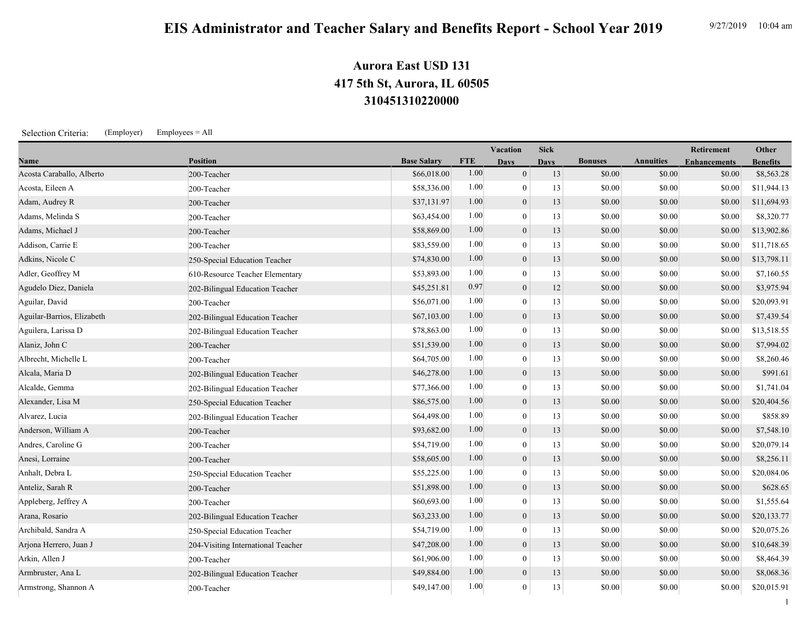## **310451310220000 417 5th St, Aurora, IL 60505 Aurora East USD 131**

Selection Criteria: (Employer) Employees = All

|                            |                                    |                    |            | Vacation         | <b>Sick</b> |                |                  | <b>Retirement</b>   | Other           |
|----------------------------|------------------------------------|--------------------|------------|------------------|-------------|----------------|------------------|---------------------|-----------------|
| Name                       | <b>Position</b>                    | <b>Base Salary</b> | <b>FTE</b> | <b>Davs</b>      | <b>Davs</b> | <b>Bonuses</b> | <b>Annuities</b> | <b>Enhancements</b> | <b>Benefits</b> |
| Acosta Caraballo, Alberto  | 200-Teacher                        | \$66,018.00        | 1.00       | $\mathbf{0}$     | 13          | \$0.00         | \$0.00           | \$0.00              | \$8,563.28      |
| Acosta, Eileen A           | 200-Teacher                        | \$58,336.00        | 1.00       | $\mathbf{0}$     | 13          | \$0.00         | \$0.00           | \$0.00              | \$11,944.13     |
| Adam, Audrey R             | 200-Teacher                        | \$37,131.97        | 1.00       | $\overline{0}$   | 13          | \$0.00         | \$0.00           | \$0.00              | \$11,694.93     |
| Adams, Melinda S           | 200-Teacher                        | \$63,454.00        | 1.00       | $\overline{0}$   | 13          | \$0.00         | \$0.00           | \$0.00              | \$8,320.77      |
| Adams, Michael J           | 200-Teacher                        | \$58,869.00        | 1.00       | $\mathbf{0}$     | 13          | \$0.00         | \$0.00           | \$0.00              | \$13,902.86     |
| Addison, Carrie E          | 200-Teacher                        | \$83,559.00        | 1.00       | $\overline{0}$   | 13          | \$0.00         | \$0.00           | \$0.00              | \$11,718.65     |
| Adkins, Nicole C           | 250-Special Education Teacher      | \$74,830.00        | 1.00       | $\overline{0}$   | 13          | \$0.00         | \$0.00           | \$0.00              | \$13,798.11     |
| Adler, Geoffrey M          | 610-Resource Teacher Elementary    | \$53,893.00        | 1.00       | $\overline{0}$   | 13          | \$0.00         | \$0.00           | \$0.00              | \$7,160.55      |
| Agudelo Diez, Daniela      | 202-Bilingual Education Teacher    | \$45,251.81        | 0.97       | $\boldsymbol{0}$ | 12          | \$0.00         | \$0.00           | \$0.00              | \$3,975.94      |
| Aguilar, David             | 200-Teacher                        | \$56,071.00        | 1.00       | $\mathbf{0}$     | 13          | \$0.00         | \$0.00           | \$0.00              | \$20,093.91     |
| Aguilar-Barrios, Elizabeth | 202-Bilingual Education Teacher    | \$67,103.00        | 1.00       | $\overline{0}$   | 13          | \$0.00         | \$0.00           | \$0.00              | \$7,439.54      |
| Aguilera, Larissa D        | 202-Bilingual Education Teacher    | \$78,863.00        | 1.00       | $\overline{0}$   | 13          | \$0.00         | \$0.00           | \$0.00              | \$13,518.55     |
| Alaniz, John C             | 200-Teacher                        | \$51,539.00        | 1.00       | $\mathbf{0}$     | 13          | \$0.00         | \$0.00           | \$0.00              | \$7,994.02      |
| Albrecht, Michelle L       | 200-Teacher                        | \$64,705.00        | 1.00       | $\overline{0}$   | 13          | \$0.00         | \$0.00           | \$0.00              | \$8,260.46      |
| Alcala, Maria D            | 202-Bilingual Education Teacher    | \$46,278.00        | 1.00       | $\boldsymbol{0}$ | 13          | \$0.00         | \$0.00           | \$0.00              | \$991.61        |
| Alcalde, Gemma             | 202-Bilingual Education Teacher    | \$77,366.00        | 1.00       | $\overline{0}$   | 13          | \$0.00         | \$0.00           | \$0.00              | \$1,741.04      |
| Alexander, Lisa M          | 250-Special Education Teacher      | \$86,575.00        | 1.00       | $\mathbf{0}$     | 13          | \$0.00         | \$0.00           | \$0.00              | \$20,404.56     |
| Alvarez, Lucia             | 202-Bilingual Education Teacher    | \$64,498.00        | 1.00       | $\mathbf{0}$     | 13          | \$0.00         | \$0.00           | \$0.00              | \$858.89        |
| Anderson, William A        | 200-Teacher                        | \$93,682.00        | 1.00       | $\mathbf{0}$     | 13          | \$0.00         | \$0.00           | \$0.00              | \$7,548.10      |
| Andres, Caroline G         | 200-Teacher                        | \$54,719.00        | 1.00       | $\overline{0}$   | 13          | \$0.00         | \$0.00           | \$0.00              | \$20,079.14     |
| Anesi, Lorraine            | 200-Teacher                        | \$58,605.00        | 1.00       | $\mathbf{0}$     | 13          | \$0.00         | \$0.00           | \$0.00              | \$8,256.11      |
| Anhalt, Debra L            | 250-Special Education Teacher      | \$55,225.00        | 1.00       | $\overline{0}$   | 13          | \$0.00         | \$0.00           | \$0.00              | \$20,084.06     |
| Anteliz, Sarah R           | 200-Teacher                        | \$51,898.00        | 1.00       | $\boldsymbol{0}$ | 13          | \$0.00         | \$0.00           | \$0.00              | \$628.65        |
| Appleberg, Jeffrey A       | 200-Teacher                        | \$60,693.00        | 1.00       | $\mathbf{0}$     | 13          | \$0.00         | \$0.00           | \$0.00              | \$1,555.64      |
| Arana, Rosario             | 202-Bilingual Education Teacher    | \$63,233.00        | 1.00       | $\mathbf{0}$     | 13          | \$0.00         | \$0.00           | \$0.00              | \$20,133.77     |
| Archibald, Sandra A        | 250-Special Education Teacher      | \$54,719.00        | 1.00       | $\mathbf{0}$     | 13          | \$0.00         | \$0.00           | \$0.00              | \$20,075.26     |
| Arjona Herrero, Juan J     | 204-Visiting International Teacher | \$47,208.00        | 1.00       | $\overline{0}$   | 13          | \$0.00         | \$0.00           | \$0.00              | \$10,648.39     |
| Arkin, Allen J             | 200-Teacher                        | \$61,906.00        | 1.00       | $\overline{0}$   | 13          | \$0.00         | \$0.00           | \$0.00              | \$8,464.39      |
| Armbruster, Ana L          | 202-Bilingual Education Teacher    | \$49,884.00        | 1.00       | $\mathbf{0}$     | 13          | \$0.00         | \$0.00           | \$0.00              | \$8,068.36      |
| Armstrong, Shannon A       | 200-Teacher                        | \$49,147.00        | 1.00       | $\overline{0}$   | 13          | \$0.00         | \$0.00           | \$0.00              | \$20,015.91     |

1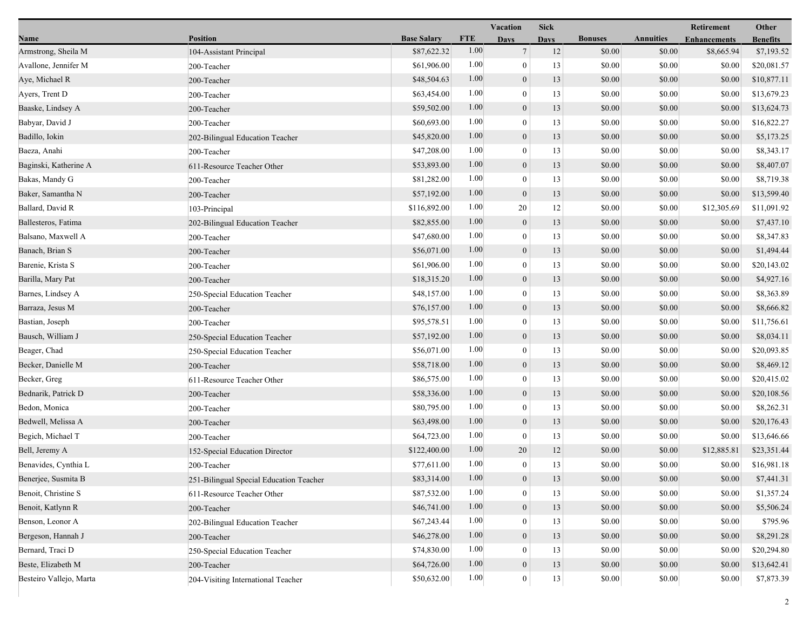|                         |                                         |                    |            | Vacation         | <b>Sick</b> |                |                  | Retirement          | Other           |
|-------------------------|-----------------------------------------|--------------------|------------|------------------|-------------|----------------|------------------|---------------------|-----------------|
| Name                    | <b>Position</b>                         | <b>Base Salary</b> | <b>FTE</b> | <b>Days</b>      | <b>Days</b> | <b>Bonuses</b> | <b>Annuities</b> | <b>Enhancements</b> | <b>Benefits</b> |
| Armstrong, Sheila M     | 104-Assistant Principal                 | \$87,622.32        | 1.00       | $\tau$           | 12          | \$0.00         | \$0.00           | \$8,665.94          | \$7,193.52      |
| Avallone, Jennifer M    | 200-Teacher                             | \$61,906.00        | 1.00       | $\mathbf{0}$     | 13          | \$0.00         | \$0.00           | \$0.00              | \$20,081.57     |
| Aye, Michael R          | 200-Teacher                             | \$48,504.63        | 1.00       | $\boldsymbol{0}$ | 13          | \$0.00         | \$0.00           | \$0.00              | \$10,877.11     |
| Ayers, Trent D          | 200-Teacher                             | \$63,454.00        | 1.00       | $\mathbf{0}$     | 13          | \$0.00         | \$0.00           | \$0.00              | \$13,679.23     |
| Baaske, Lindsey A       | 200-Teacher                             | \$59,502.00        | 1.00       | $\boldsymbol{0}$ | 13          | \$0.00         | \$0.00           | \$0.00              | \$13,624.73     |
| Babyar, David J         | 200-Teacher                             | \$60,693.00        | 1.00       | $\mathbf{0}$     | 13          | \$0.00         | \$0.00           | \$0.00              | \$16,822.27     |
| Badillo, Iokin          | 202-Bilingual Education Teacher         | \$45,820.00        | 1.00       | $\mathbf{0}$     | 13          | \$0.00         | \$0.00           | \$0.00              | \$5,173.25      |
| Baeza, Anahi            | 200-Teacher                             | \$47,208.00        | 1.00       | $\mathbf{0}$     | 13          | \$0.00         | \$0.00           | \$0.00              | \$8,343.17      |
| Baginski, Katherine A   | 611-Resource Teacher Other              | \$53,893.00        | 1.00       | $\boldsymbol{0}$ | 13          | \$0.00         | \$0.00           | \$0.00              | \$8,407.07      |
| Bakas, Mandy G          | 200-Teacher                             | \$81,282.00        | 1.00       | $\mathbf{0}$     | 13          | \$0.00         | \$0.00           | \$0.00              | \$8,719.38      |
| Baker, Samantha N       | 200-Teacher                             | \$57,192.00        | 1.00       | $\boldsymbol{0}$ | 13          | \$0.00         | \$0.00           | \$0.00              | \$13,599.40     |
| Ballard, David R        | 103-Principal                           | \$116,892.00       | 1.00       | 20               | 12          | \$0.00         | \$0.00           | \$12,305.69         | \$11,091.92     |
| Ballesteros, Fatima     | 202-Bilingual Education Teacher         | \$82,855.00        | 1.00       | $\mathbf{0}$     | 13          | \$0.00         | \$0.00           | \$0.00              | \$7,437.10      |
| Balsano, Maxwell A      | 200-Teacher                             | \$47,680.00        | 1.00       | $\mathbf{0}$     | 13          | \$0.00         | \$0.00           | \$0.00              | \$8,347.83      |
| Banach, Brian S         | 200-Teacher                             | \$56,071.00        | 1.00       | $\boldsymbol{0}$ | 13          | \$0.00         | \$0.00           | \$0.00              | \$1,494.44      |
| Barenie, Krista S       | 200-Teacher                             | \$61,906.00        | 1.00       | $\mathbf{0}$     | 13          | \$0.00         | \$0.00           | \$0.00              | \$20,143.02     |
| Barilla, Mary Pat       | 200-Teacher                             | \$18,315.20        | 1.00       | $\boldsymbol{0}$ | 13          | \$0.00         | \$0.00           | \$0.00              | \$4,927.16      |
| Barnes, Lindsey A       | 250-Special Education Teacher           | \$48,157.00        | 1.00       | $\mathbf{0}$     | 13          | \$0.00         | \$0.00           | \$0.00              | \$8,363.89      |
| Barraza, Jesus M        | 200-Teacher                             | \$76,157.00        | 1.00       | $\boldsymbol{0}$ | 13          | \$0.00         | \$0.00           | \$0.00              | \$8,666.82      |
| Bastian, Joseph         | 200-Teacher                             | \$95,578.51        | 1.00       | $\mathbf{0}$     | 13          | \$0.00         | \$0.00           | \$0.00              | \$11,756.61     |
| Bausch, William J       | 250-Special Education Teacher           | \$57,192.00        | 1.00       | $\mathbf{0}$     | 13          | \$0.00         | \$0.00           | \$0.00              | \$8,034.11      |
| Beager, Chad            | 250-Special Education Teacher           | \$56,071.00        | 1.00       | $\mathbf{0}$     | 13          | \$0.00         | \$0.00           | \$0.00              | \$20,093.85     |
| Becker, Danielle M      | 200-Teacher                             | \$58,718.00        | 1.00       | $\mathbf{0}$     | 13          | \$0.00         | \$0.00           | \$0.00              | \$8,469.12      |
| Becker, Greg            | 611-Resource Teacher Other              | \$86,575.00        | 1.00       | $\mathbf{0}$     | 13          | \$0.00         | \$0.00           | \$0.00              | \$20,415.02     |
| Bednarik, Patrick D     | 200-Teacher                             | \$58,336.00        | 1.00       | $\boldsymbol{0}$ | 13          | \$0.00         | \$0.00           | \$0.00              | \$20,108.56     |
| Bedon, Monica           | 200-Teacher                             | \$80,795.00        | 1.00       | $\overline{0}$   | 13          | \$0.00         | \$0.00           | \$0.00              | \$8,262.31      |
| Bedwell, Melissa A      | 200-Teacher                             | \$63,498.00        | 1.00       | $\mathbf{0}$     | 13          | \$0.00         | \$0.00           | \$0.00              | \$20,176.43     |
| Begich, Michael T       | 200-Teacher                             | \$64,723.00        | 1.00       | $\mathbf{0}$     | 13          | \$0.00         | \$0.00           | \$0.00              | \$13,646.66     |
| Bell, Jeremy A          | 152-Special Education Director          | \$122,400.00       | 1.00       | 20               | 12          | \$0.00         | \$0.00           | \$12,885.81         | \$23,351.44     |
| Benavides, Cynthia L    | 200-Teacher                             | \$77,611.00        | 1.00       | $\mathbf{0}$     | 13          | \$0.00         | \$0.00           | \$0.00              | \$16,981.18     |
| Benerjee, Susmita B     | 251-Bilingual Special Education Teacher | \$83,314.00        | $1.00\,$   | $\boldsymbol{0}$ | 13          | \$0.00         | \$0.00           | \$0.00              | \$7,441.31      |
| Benoit, Christine S     | 611-Resource Teacher Other              | \$87,532.00        | 1.00       | $\boldsymbol{0}$ | 13          | \$0.00         | \$0.00           | \$0.00              | \$1,357.24      |
| Benoit, Katlynn R       | 200-Teacher                             | \$46,741.00        | 1.00       | $\overline{0}$   | 13          | \$0.00         | \$0.00           | \$0.00              | \$5,506.24      |
| Benson, Leonor A        | 202-Bilingual Education Teacher         | \$67,243.44        | 1.00       | $\mathbf{0}$     | 13          | \$0.00         | \$0.00           | \$0.00              | \$795.96        |
| Bergeson, Hannah J      | 200-Teacher                             | \$46,278.00        | 1.00       | $\mathbf{0}$     | 13          | \$0.00         | \$0.00           | \$0.00              | \$8,291.28      |
| Bernard, Traci D        | 250-Special Education Teacher           | \$74,830.00        | 1.00       | $\bf{0}$         | 13          | \$0.00         | \$0.00           | \$0.00              | \$20,294.80     |
| Beste, Elizabeth M      | 200-Teacher                             | \$64,726.00        | $1.00\,$   | $\boldsymbol{0}$ | 13          | \$0.00         | \$0.00           | \$0.00              | \$13,642.41     |
| Besteiro Vallejo, Marta | 204-Visiting International Teacher      | \$50,632.00        | 1.00       | $\mathbf{0}$     | 13          | \$0.00         | \$0.00           | \$0.00              | \$7,873.39      |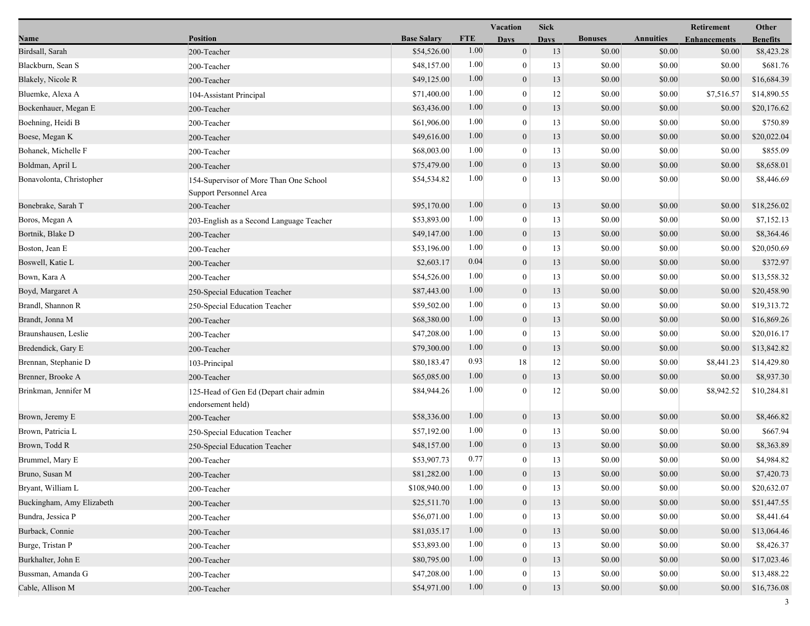|                           |                                                                  |                    |            | Vacation         | <b>Sick</b> |                |                  | Retirement          | Other           |
|---------------------------|------------------------------------------------------------------|--------------------|------------|------------------|-------------|----------------|------------------|---------------------|-----------------|
| Name                      | <b>Position</b>                                                  | <b>Base Salary</b> | <b>FTE</b> | <b>Days</b>      | <b>Days</b> | <b>Bonuses</b> | <b>Annuities</b> | <b>Enhancements</b> | <b>Benefits</b> |
| Birdsall, Sarah           | 200-Teacher                                                      | \$54,526.00        | 1.00       | $\mathbf{0}$     | 13          | \$0.00         | \$0.00           | \$0.00              | \$8,423.28      |
| Blackburn, Sean S         | 200-Teacher                                                      | \$48,157.00        | 1.00       | $\overline{0}$   | 13          | \$0.00         | \$0.00           | \$0.00              | \$681.76        |
| Blakely, Nicole R         | 200-Teacher                                                      | \$49,125.00        | 1.00       | $\boldsymbol{0}$ | 13          | \$0.00         | \$0.00           | \$0.00              | \$16,684.39     |
| Bluemke, Alexa A          | 104-Assistant Principal                                          | \$71,400.00        | 1.00       | $\theta$         | 12          | \$0.00         | \$0.00           | \$7,516.57          | \$14,890.55     |
| Bockenhauer, Megan E      | 200-Teacher                                                      | \$63,436.00        | 1.00       | $\boldsymbol{0}$ | 13          | \$0.00         | \$0.00           | \$0.00              | \$20,176.62     |
| Boehning, Heidi B         | 200-Teacher                                                      | \$61,906.00        | 1.00       | $\mathbf{0}$     | 13          | \$0.00         | \$0.00           | \$0.00              | \$750.89        |
| Boese, Megan K            | 200-Teacher                                                      | \$49,616.00        | 1.00       | $\mathbf{0}$     | 13          | \$0.00         | \$0.00           | \$0.00              | \$20,022.04     |
| Bohanek, Michelle F       | 200-Teacher                                                      | \$68,003.00        | 1.00       | $\mathbf{0}$     | 13          | \$0.00         | \$0.00           | \$0.00              | \$855.09        |
| Boldman, April L          | 200-Teacher                                                      | \$75,479.00        | 1.00       | $\boldsymbol{0}$ | 13          | \$0.00         | \$0.00           | \$0.00              | \$8,658.01      |
| Bonavolonta, Christopher  | 154-Supervisor of More Than One School<br>Support Personnel Area | \$54,534.82        | 1.00       | $\Omega$         | 13          | \$0.00         | \$0.00           | \$0.00              | \$8,446.69      |
| Bonebrake, Sarah T        | 200-Teacher                                                      | \$95,170.00        | 1.00       | $\boldsymbol{0}$ | 13          | \$0.00         | \$0.00           | \$0.00              | \$18,256.02     |
| Boros, Megan A            | 203-English as a Second Language Teacher                         | \$53,893.00        | 1.00       | $\overline{0}$   | 13          | \$0.00         | \$0.00           | \$0.00              | \$7,152.13      |
| Bortnik, Blake D          | 200-Teacher                                                      | \$49,147.00        | 1.00       | $\mathbf{0}$     | 13          | \$0.00         | \$0.00           | \$0.00              | \$8,364.46      |
| Boston, Jean E            | 200-Teacher                                                      | \$53,196.00        | 1.00       | $\overline{0}$   | 13          | \$0.00         | \$0.00           | \$0.00              | \$20,050.69     |
| Boswell, Katie L          | 200-Teacher                                                      | \$2,603.17         | 0.04       | $\overline{0}$   | 13          | \$0.00         | \$0.00           | \$0.00              | \$372.97        |
| Bown, Kara A              | 200-Teacher                                                      | \$54,526.00        | 1.00       | $\overline{0}$   | 13          | \$0.00         | \$0.00           | \$0.00              | \$13,558.32     |
| Boyd, Margaret A          | 250-Special Education Teacher                                    | \$87,443.00        | 1.00       | $\boldsymbol{0}$ | 13          | \$0.00         | \$0.00           | \$0.00              | \$20,458.90     |
| Brandl, Shannon R         | 250-Special Education Teacher                                    | \$59,502.00        | 1.00       | $\overline{0}$   | 13          | \$0.00         | \$0.00           | \$0.00              | \$19,313.72     |
| Brandt, Jonna M           | 200-Teacher                                                      | \$68,380.00        | 1.00       | $\mathbf{0}$     | 13          | \$0.00         | \$0.00           | \$0.00              | \$16,869.26     |
| Braunshausen, Leslie      | 200-Teacher                                                      | \$47,208.00        | 1.00       | $\overline{0}$   | 13          | \$0.00         | \$0.00           | \$0.00              | \$20,016.17     |
| Bredendick, Gary E        | 200-Teacher                                                      | \$79,300.00        | 1.00       | $\overline{0}$   | 13          | \$0.00         | \$0.00           | \$0.00              | \$13,842.82     |
| Brennan, Stephanie D      | 103-Principal                                                    | \$80,183.47        | 0.93       | 18               | 12          | \$0.00         | \$0.00           | \$8,441.23          | \$14,429.80     |
| Brenner, Brooke A         | 200-Teacher                                                      | \$65,085.00        | 1.00       | $\mathbf{0}$     | 13          | \$0.00         | \$0.00           | \$0.00              | \$8,937.30      |
| Brinkman, Jennifer M      | 125-Head of Gen Ed (Depart chair admin<br>endorsement held)      | \$84,944.26        | 1.00       | $\theta$         | 12          | \$0.00         | \$0.00           | \$8,942.52          | \$10,284.81     |
| Brown, Jeremy E           | 200-Teacher                                                      | \$58,336.00        | 1.00       | $\boldsymbol{0}$ | 13          | \$0.00         | \$0.00           | \$0.00              | \$8,466.82      |
| Brown, Patricia L         | 250-Special Education Teacher                                    | \$57,192.00        | 1.00       | $\theta$         | 13          | \$0.00         | \$0.00           | \$0.00              | \$667.94        |
| Brown, Todd R             | 250-Special Education Teacher                                    | \$48,157.00        | 1.00       | $\overline{0}$   | 13          | \$0.00         | \$0.00           | \$0.00              | \$8,363.89      |
| Brummel, Mary E           | 200-Teacher                                                      | \$53,907.73        | 0.77       | $\overline{0}$   | 13          | \$0.00         | \$0.00           | \$0.00              | \$4,984.82      |
| Bruno, Susan M            | 200-Teacher                                                      | \$81,282.00        | 1.00       | $\theta$         | 13          | \$0.00         | \$0.00           | \$0.00              | \$7,420.73      |
| Bryant, William L         | 200-Teacher                                                      | \$108,940.00       | 1.00       | $\mathbf{0}$     | 13          | \$0.00         | \$0.00           | \$0.00              | \$20,632.07     |
| Buckingham, Amy Elizabeth | 200-Teacher                                                      | \$25,511.70        | 1.00       | $\boldsymbol{0}$ | 13          | \$0.00         | \$0.00           | \$0.00              | \$51,447.55     |
| Bundra, Jessica P         | 200-Teacher                                                      | \$56,071.00        | 1.00       | $\overline{0}$   | 13          | \$0.00         | \$0.00           | \$0.00              | \$8,441.64      |
| Burback, Connie           | 200-Teacher                                                      | \$81,035.17        | 1.00       | $\boldsymbol{0}$ | 13          | \$0.00         | \$0.00           | \$0.00              | \$13,064.46     |
| Burge, Tristan P          | 200-Teacher                                                      | \$53,893.00        | 1.00       | $\mathbf{0}$     | 13          | \$0.00         | \$0.00           | \$0.00              | \$8,426.37      |
| Burkhalter, John E        | 200-Teacher                                                      | \$80,795.00        | 1.00       | $\mathbf{0}$     | 13          | \$0.00         | \$0.00           | \$0.00              | \$17,023.46     |
| Bussman, Amanda G         | 200-Teacher                                                      | \$47,208.00        | 1.00       | $\mathbf{0}$     | 13          | \$0.00         | \$0.00           | \$0.00              | \$13,488.22     |
| Cable, Allison M          | 200-Teacher                                                      | \$54,971.00        | 1.00       | $\boldsymbol{0}$ | 13          | \$0.00         | \$0.00           | \$0.00              | \$16,736.08     |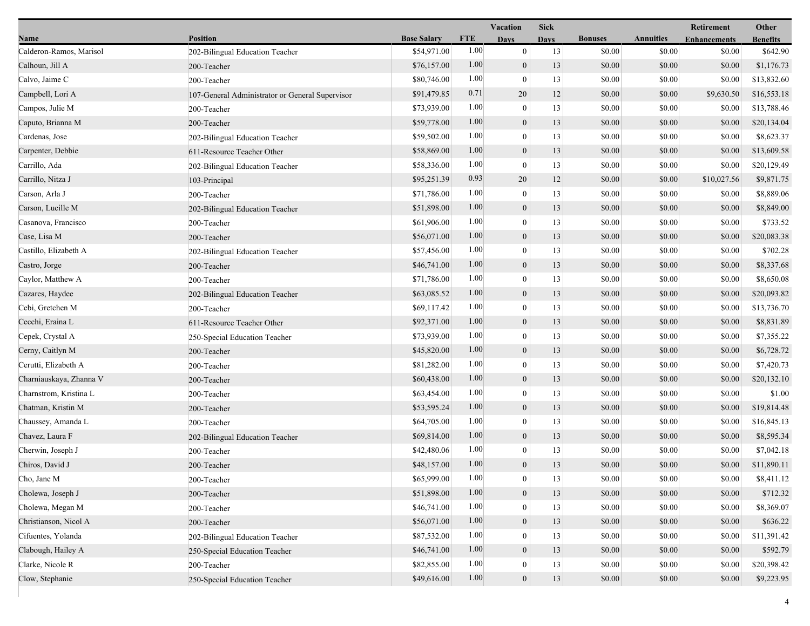|                         |                                                 |                    |            | Vacation         | <b>Sick</b> |                |                  | Retirement          | Other           |
|-------------------------|-------------------------------------------------|--------------------|------------|------------------|-------------|----------------|------------------|---------------------|-----------------|
| Name                    | <b>Position</b>                                 | <b>Base Salary</b> | <b>FTE</b> | <b>Days</b>      | <b>Days</b> | <b>Bonuses</b> | <b>Annuities</b> | <b>Enhancements</b> | <b>Benefits</b> |
| Calderon-Ramos, Marisol | 202-Bilingual Education Teacher                 | \$54,971.00        | 1.00       | $\mathbf{0}$     | 13          | \$0.00         | \$0.00           | \$0.00              | \$642.90        |
| Calhoun, Jill A         | 200-Teacher                                     | \$76,157.00        | 1.00       | $\boldsymbol{0}$ | 13          | \$0.00         | \$0.00           | \$0.00              | \$1,176.73      |
| Calvo, Jaime C          | 200-Teacher                                     | \$80,746.00        | 1.00       | $\boldsymbol{0}$ | 13          | \$0.00         | \$0.00           | \$0.00              | \$13,832.60     |
| Campbell, Lori A        | 107-General Administrator or General Supervisor | \$91,479.85        | 0.71       | 20               | 12          | \$0.00         | \$0.00           | \$9,630.50          | \$16,553.18     |
| Campos, Julie M         | 200-Teacher                                     | \$73,939.00        | 1.00       | $\boldsymbol{0}$ | 13          | \$0.00         | \$0.00           | \$0.00              | \$13,788.46     |
| Caputo, Brianna M       | 200-Teacher                                     | \$59,778.00        | 1.00       | $\mathbf{0}$     | 13          | \$0.00         | \$0.00           | \$0.00              | \$20,134.04     |
| Cardenas, Jose          | 202-Bilingual Education Teacher                 | \$59,502.00        | 1.00       | $\mathbf{0}$     | 13          | \$0.00         | \$0.00           | \$0.00              | \$8,623.37      |
| Carpenter, Debbie       | 611-Resource Teacher Other                      | \$58,869.00        | 1.00       | $\mathbf{0}$     | 13          | \$0.00         | \$0.00           | \$0.00              | \$13,609.58     |
| Carrillo, Ada           | 202-Bilingual Education Teacher                 | \$58,336.00        | 1.00       | $\boldsymbol{0}$ | 13          | \$0.00         | \$0.00           | \$0.00              | \$20,129.49     |
| Carrillo, Nitza J       | 103-Principal                                   | \$95,251.39        | 0.93       | 20               | 12          | \$0.00         | \$0.00           | \$10,027.56         | \$9,871.75      |
| Carson, Arla J          | 200-Teacher                                     | \$71,786.00        | 1.00       | $\boldsymbol{0}$ | 13          | \$0.00         | \$0.00           | \$0.00              | \$8,889.06      |
| Carson, Lucille M       | 202-Bilingual Education Teacher                 | \$51,898.00        | 1.00       | $\boldsymbol{0}$ | 13          | \$0.00         | \$0.00           | \$0.00              | \$8,849.00      |
| Casanova, Francisco     | 200-Teacher                                     | \$61,906.00        | 1.00       | $\mathbf{0}$     | 13          | \$0.00         | \$0.00           | \$0.00              | \$733.52        |
| Case, Lisa M            | 200-Teacher                                     | \$56,071.00        | 1.00       | $\mathbf{0}$     | 13          | \$0.00         | \$0.00           | \$0.00              | \$20,083.38     |
| Castillo, Elizabeth A   | 202-Bilingual Education Teacher                 | \$57,456.00        | 1.00       | $\mathbf{0}$     | 13          | \$0.00         | \$0.00           | \$0.00              | \$702.28        |
| Castro, Jorge           | 200-Teacher                                     | \$46,741.00        | 1.00       | $\mathbf{0}$     | 13          | \$0.00         | \$0.00           | \$0.00              | \$8,337.68      |
| Caylor, Matthew A       | 200-Teacher                                     | \$71,786.00        | 1.00       | $\bf{0}$         | 13          | \$0.00         | \$0.00           | \$0.00              | \$8,650.08      |
| Cazares, Haydee         | 202-Bilingual Education Teacher                 | \$63,085.52        | 1.00       | $\mathbf{0}$     | 13          | \$0.00         | \$0.00           | \$0.00              | \$20,093.82     |
| Cebi, Gretchen M        | 200-Teacher                                     | \$69,117.42        | 1.00       | $\boldsymbol{0}$ | 13          | \$0.00         | \$0.00           | \$0.00              | \$13,736.70     |
| Cecchi, Eraina L        | 611-Resource Teacher Other                      | \$92,371.00        | 1.00       | $\mathbf{0}$     | 13          | \$0.00         | \$0.00           | \$0.00              | \$8,831.89      |
| Cepek, Crystal A        | 250-Special Education Teacher                   | \$73,939.00        | 1.00       | $\boldsymbol{0}$ | 13          | \$0.00         | \$0.00           | \$0.00              | \$7,355.22      |
| Cerny, Caitlyn M        | 200-Teacher                                     | \$45,820.00        | 1.00       | $\overline{0}$   | 13          | \$0.00         | \$0.00           | \$0.00              | \$6,728.72      |
| Cerutti, Elizabeth A    | 200-Teacher                                     | \$81,282.00        | 1.00       | $\bf{0}$         | 13          | \$0.00         | \$0.00           | \$0.00              | \$7,420.73      |
| Charniauskaya, Zhanna V | 200-Teacher                                     | \$60,438.00        | 1.00       | $\mathbf{0}$     | 13          | \$0.00         | \$0.00           | \$0.00              | \$20,132.10     |
| Charnstrom, Kristina L  | 200-Teacher                                     | \$63,454.00        | 1.00       | $\mathbf{0}$     | 13          | \$0.00         | \$0.00           | \$0.00              | \$1.00          |
| Chatman, Kristin M      | 200-Teacher                                     | \$53,595.24        | 1.00       | $\mathbf{0}$     | 13          | \$0.00         | \$0.00           | \$0.00              | \$19,814.48     |
| Chaussey, Amanda L      | 200-Teacher                                     | \$64,705.00        | 1.00       | $\overline{0}$   | 13          | \$0.00         | \$0.00           | \$0.00              | \$16,845.13     |
| Chavez, Laura F         | 202-Bilingual Education Teacher                 | \$69,814.00        | 1.00       | $\boldsymbol{0}$ | 13          | \$0.00         | \$0.00           | \$0.00              | \$8,595.34      |
| Cherwin, Joseph J       | 200-Teacher                                     | \$42,480.06        | 1.00       | $\boldsymbol{0}$ | 13          | \$0.00         | \$0.00           | \$0.00              | \$7,042.18      |
| Chiros, David J         | 200-Teacher                                     | \$48,157.00        | 1.00       | $\overline{0}$   | 13          | \$0.00         | \$0.00           | \$0.00              | \$11,890.11     |
| Cho, Jane M             | 200-Teacher                                     | \$65,999.00        | 1.00       | $\theta$         | 13          | \$0.00         | \$0.00           | \$0.00              | \$8,411.12      |
| Cholewa, Joseph J       | 200-Teacher                                     | \$51,898.00        | 1.00       | $\mathbf{0}$     | 13          | \$0.00         | \$0.00           | \$0.00              | \$712.32        |
| Cholewa, Megan M        | 200-Teacher                                     | \$46,741.00        | 1.00       | $\bf{0}$         | 13          | \$0.00         | \$0.00           | \$0.00              | \$8,369.07      |
| Christianson, Nicol A   | 200-Teacher                                     | \$56,071.00        | 1.00       | $\mathbf{0}$     | 13          | \$0.00         | \$0.00           | \$0.00              | \$636.22        |
| Cifuentes, Yolanda      | 202-Bilingual Education Teacher                 | \$87,532.00        | 1.00       | $\Omega$         | 13          | \$0.00         | \$0.00           | \$0.00              | \$11,391.42     |
| Clabough, Hailey A      | 250-Special Education Teacher                   | \$46,741.00        | 1.00       | $\overline{0}$   | 13          | \$0.00         | \$0.00           | \$0.00              | \$592.79        |
| Clarke, Nicole R        | 200-Teacher                                     | \$82,855.00        | 1.00       | 0                | 13          | \$0.00         | \$0.00           | \$0.00              | \$20,398.42     |
| Clow, Stephanie         | 250-Special Education Teacher                   | \$49,616.00        | 1.00       | $\boldsymbol{0}$ | 13          | \$0.00         | \$0.00           | \$0.00              | \$9,223.95      |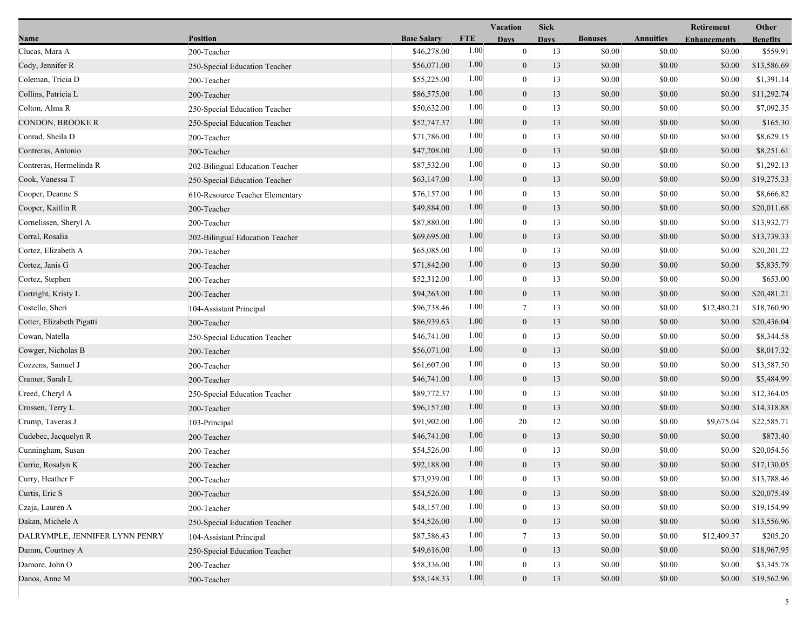|                                |                                 |                    |            | Vacation         | <b>Sick</b> |                |                  | <b>Retirement</b>   | Other           |
|--------------------------------|---------------------------------|--------------------|------------|------------------|-------------|----------------|------------------|---------------------|-----------------|
| Name                           | <b>Position</b>                 | <b>Base Salary</b> | <b>FTE</b> | <b>Days</b>      | <b>Days</b> | <b>Bonuses</b> | <b>Annuities</b> | <b>Enhancements</b> | <b>Benefits</b> |
| Clucas, Mara A                 | 200-Teacher                     | \$46,278.00        | 1.00       | $\mathbf{0}$     | 13          | \$0.00         | \$0.00           | \$0.00              | \$559.91        |
| Cody, Jennifer R               | 250-Special Education Teacher   | \$56,071.00        | 1.00       | $\mathbf{0}$     | 13          | \$0.00         | \$0.00           | \$0.00              | \$13,586.69     |
| Coleman, Tricia D              | 200-Teacher                     | \$55,225.00        | 1.00       | $\overline{0}$   | 13          | \$0.00         | \$0.00           | \$0.00              | \$1,391.14      |
| Collins, Patricia L            | 200-Teacher                     | \$86,575.00        | 1.00       | $\mathbf{0}$     | 13          | \$0.00         | \$0.00           | \$0.00              | \$11,292.74     |
| Colton, Alma R                 | 250-Special Education Teacher   | \$50,632.00        | 1.00       | $\mathbf{0}$     | 13          | \$0.00         | \$0.00           | \$0.00              | \$7,092.35      |
| CONDON, BROOKE R               | 250-Special Education Teacher   | \$52,747.37        | 1.00       | $\boldsymbol{0}$ | 13          | \$0.00         | \$0.00           | \$0.00              | \$165.30        |
| Conrad, Sheila D               | 200-Teacher                     | \$71,786.00        | 1.00       | $\overline{0}$   | 13          | \$0.00         | \$0.00           | \$0.00              | \$8,629.15      |
| Contreras, Antonio             | 200-Teacher                     | \$47,208.00        | 1.00       | $\mathbf{0}$     | 13          | \$0.00         | \$0.00           | \$0.00              | \$8,251.61      |
| Contreras, Hermelinda R        | 202-Bilingual Education Teacher | \$87,532.00        | 1.00       | $\mathbf{0}$     | 13          | \$0.00         | \$0.00           | \$0.00              | \$1,292.13      |
| Cook, Vanessa T                | 250-Special Education Teacher   | \$63,147.00        | 1.00       | $\mathbf{0}$     | 13          | \$0.00         | \$0.00           | \$0.00              | \$19,275.33     |
| Cooper, Deanne S               | 610-Resource Teacher Elementary | \$76,157.00        | 1.00       | $\overline{0}$   | 13          | \$0.00         | \$0.00           | \$0.00              | \$8,666.82      |
| Cooper, Kaitlin R              | 200-Teacher                     | \$49,884.00        | 1.00       | $\boldsymbol{0}$ | 13          | \$0.00         | \$0.00           | \$0.00              | \$20,011.68     |
| Cornelissen, Sheryl A          | 200-Teacher                     | \$87,880.00        | 1.00       | $\overline{0}$   | 13          | \$0.00         | \$0.00           | \$0.00              | \$13,932.77     |
| Corral, Rosalia                | 202-Bilingual Education Teacher | \$69,695.00        | 1.00       | $\boldsymbol{0}$ | 13          | \$0.00         | \$0.00           | \$0.00              | \$13,739.33     |
| Cortez, Elizabeth A            | 200-Teacher                     | \$65,085.00        | 1.00       | $\mathbf{0}$     | 13          | \$0.00         | \$0.00           | \$0.00              | \$20,201.22     |
| Cortez, Janis G                | 200-Teacher                     | \$71,842.00        | 1.00       | $\mathbf{0}$     | 13          | \$0.00         | \$0.00           | \$0.00              | \$5,835.79      |
| Cortez, Stephen                | 200-Teacher                     | \$52,312.00        | 1.00       | $\bf{0}$         | 13          | \$0.00         | \$0.00           | \$0.00              | \$653.00        |
| Cortright, Kristy L            | 200-Teacher                     | \$94,263.00        | 1.00       | $\boldsymbol{0}$ | 13          | \$0.00         | \$0.00           | \$0.00              | \$20,481.21     |
| Costello, Sheri                | 104-Assistant Principal         | \$96,738.46        | 1.00       | $7\phantom{.0}$  | 13          | \$0.00         | \$0.00           | \$12,480.21         | \$18,760.90     |
| Cotter, Elizabeth Pigatti      | 200-Teacher                     | \$86,939.63        | 1.00       | $\boldsymbol{0}$ | 13          | \$0.00         | \$0.00           | \$0.00              | \$20,436.04     |
| Cowan, Natella                 | 250-Special Education Teacher   | \$46,741.00        | 1.00       | $\mathbf{0}$     | 13          | \$0.00         | \$0.00           | \$0.00              | \$8,344.58      |
| Cowger, Nicholas B             | 200-Teacher                     | \$56,071.00        | 1.00       | $\mathbf{0}$     | 13          | \$0.00         | \$0.00           | \$0.00              | \$8,017.32      |
| Cozzens, Samuel J              | 200-Teacher                     | \$61,607.00        | 1.00       | $\bf{0}$         | 13          | \$0.00         | \$0.00           | \$0.00              | \$13,587.50     |
| Cramer, Sarah L                | 200-Teacher                     | \$46,741.00        | 1.00       | $\mathbf{0}$     | 13          | \$0.00         | \$0.00           | \$0.00              | \$5,484.99      |
| Creed, Cheryl A                | 250-Special Education Teacher   | \$89,772.37        | 1.00       | $\overline{0}$   | 13          | \$0.00         | \$0.00           | \$0.00              | \$12,364.05     |
| Crossen, Terry L               | 200-Teacher                     | \$96,157.00        | 1.00       | $\mathbf{0}$     | 13          | \$0.00         | \$0.00           | \$0.00              | \$14,318.88     |
| Crump, Taveras J               | 103-Principal                   | \$91,902.00        | 1.00       | 20               | 12          | \$0.00         | \$0.00           | \$9,675.04          | \$22,585.71     |
| Cudebec, Jacquelyn R           | 200-Teacher                     | \$46,741.00        | 1.00       | $\boldsymbol{0}$ | 13          | \$0.00         | \$0.00           | \$0.00              | \$873.40        |
| Cunningham, Susan              | 200-Teacher                     | \$54,526.00        | 1.00       | $\mathbf{0}$     | 13          | \$0.00         | \$0.00           | \$0.00              | \$20,054.56     |
| Currie, Rosalyn K              | 200-Teacher                     | \$92,188.00        | 1.00       | $\overline{0}$   | 13          | \$0.00         | \$0.00           | \$0.00              | \$17,130.05     |
| Curry, Heather F               | 200-Teacher                     | \$73,939.00        | 1.00       | $\bf{0}$         | 13          | \$0.00         | \$0.00           | \$0.00              | \$13,788.46     |
| Curtis, Eric S                 | 200-Teacher                     | \$54,526.00        | 1.00       | $\boldsymbol{0}$ | 13          | \$0.00         | \$0.00           | \$0.00              | \$20,075.49     |
| Czaja, Lauren A                | 200-Teacher                     | \$48,157.00        | 1.00       | $\overline{0}$   | 13          | \$0.00         | \$0.00           | \$0.00              | \$19,154.99     |
| Dakan, Michele A               | 250-Special Education Teacher   | \$54,526.00        | 1.00       | $\boldsymbol{0}$ | 13          | \$0.00         | \$0.00           | \$0.00              | \$13,556.96     |
| DALRYMPLE, JENNIFER LYNN PENRY | 104-Assistant Principal         | \$87,586.43        | 1.00       | $\tau$           | 13          | \$0.00         | \$0.00           | \$12,409.37         | \$205.20        |
| Damm, Courtney A               | 250-Special Education Teacher   | \$49,616.00        | 1.00       | $\mathbf{0}$     | 13          | \$0.00         | \$0.00           | \$0.00              | \$18,967.95     |
| Damore, John O                 | 200-Teacher                     | \$58,336.00        | 1.00       | $\mathbf{0}$     | 13          | \$0.00         | \$0.00           | \$0.00              | \$3,345.78      |
| Danos, Anne M                  | 200-Teacher                     | \$58,148.33        | 1.00       | $\mathbf{0}$     | 13          | \$0.00         | \$0.00           | \$0.00              | \$19,562.96     |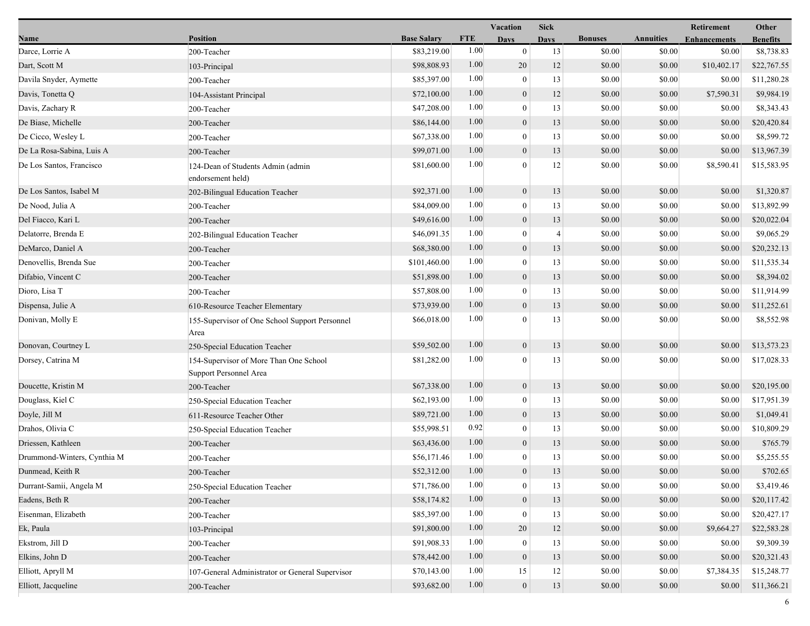|                             |                                                                  |                    | <b>Vacation</b> |                  | <b>Sick</b>    |                |                  | Retirement          | Other           |
|-----------------------------|------------------------------------------------------------------|--------------------|-----------------|------------------|----------------|----------------|------------------|---------------------|-----------------|
| Name                        | <b>Position</b>                                                  | <b>Base Salary</b> | <b>FTE</b>      | <b>Days</b>      | <b>Days</b>    | <b>Bonuses</b> | <b>Annuities</b> | <b>Enhancements</b> | <b>Benefits</b> |
| Darce, Lorrie A             | 200-Teacher                                                      | \$83,219.00        | 1.00            | $\mathbf{0}$     | 13             | \$0.00         | \$0.00           | \$0.00              | \$8,738.83      |
| Dart, Scott M               | 103-Principal                                                    | \$98,808.93        | 1.00            | 20               | 12             | \$0.00         | \$0.00           | \$10,402.17         | \$22,767.55     |
| Davila Snyder, Aymette      | 200-Teacher                                                      | \$85,397.00        | 1.00            | $\boldsymbol{0}$ | 13             | \$0.00         | \$0.00           | \$0.00              | \$11,280.28     |
| Davis, Tonetta Q            | 104-Assistant Principal                                          | \$72,100.00        | 1.00            | $\mathbf{0}$     | 12             | \$0.00         | \$0.00           | \$7,590.31          | \$9,984.19      |
| Davis, Zachary R            | 200-Teacher                                                      | \$47,208.00        | 1.00            | $\boldsymbol{0}$ | 13             | \$0.00         | \$0.00           | \$0.00              | \$8,343.43      |
| De Biase, Michelle          | 200-Teacher                                                      | \$86,144.00        | 1.00            | $\boldsymbol{0}$ | 13             | \$0.00         | \$0.00           | \$0.00              | \$20,420.84     |
| De Cicco, Wesley L          | 200-Teacher                                                      | \$67,338.00        | 1.00            | $\theta$         | 13             | \$0.00         | \$0.00           | \$0.00              | \$8,599.72      |
| De La Rosa-Sabina, Luis A   | 200-Teacher                                                      | \$99,071.00        | 1.00            | $\boldsymbol{0}$ | 13             | \$0.00         | \$0.00           | \$0.00              | \$13,967.39     |
| De Los Santos, Francisco    | 124-Dean of Students Admin (admin<br>endorsement held)           | \$81,600.00        | 1.00            | $\theta$         | 12             | \$0.00         | \$0.00           | \$8,590.41          | \$15,583.95     |
| De Los Santos, Isabel M     | 202-Bilingual Education Teacher                                  | \$92,371.00        | 1.00            | $\mathbf{0}$     | 13             | \$0.00         | \$0.00           | \$0.00              | \$1,320.87      |
| De Nood, Julia A            | 200-Teacher                                                      | \$84,009.00        | 1.00            | $\boldsymbol{0}$ | 13             | \$0.00         | \$0.00           | \$0.00              | \$13,892.99     |
| Del Fiacco, Kari L          | 200-Teacher                                                      | \$49,616.00        | 1.00            | $\mathbf{0}$     | 13             | \$0.00         | \$0.00           | \$0.00              | \$20,022.04     |
| Delatorre, Brenda E         | 202-Bilingual Education Teacher                                  | \$46,091.35        | 1.00            | $\mathbf{0}$     | $\overline{4}$ | \$0.00         | \$0.00           | \$0.00              | \$9,065.29      |
| DeMarco, Daniel A           | 200-Teacher                                                      | \$68,380.00        | 1.00            | $\overline{0}$   | 13             | \$0.00         | \$0.00           | \$0.00              | \$20,232.13     |
| Denovellis, Brenda Sue      | 200-Teacher                                                      | \$101,460.00       | 1.00            | $\overline{0}$   | 13             | \$0.00         | \$0.00           | \$0.00              | \$11,535.34     |
| Difabio, Vincent C          | 200-Teacher                                                      | \$51,898.00        | 1.00            | $\mathbf{0}$     | 13             | \$0.00         | \$0.00           | \$0.00              | \$8,394.02      |
| Dioro, Lisa T               | 200-Teacher                                                      | \$57,808.00        | 1.00            | $\mathbf{0}$     | 13             | \$0.00         | \$0.00           | \$0.00              | \$11,914.99     |
| Dispensa, Julie A           | 610-Resource Teacher Elementary                                  | \$73,939.00        | 1.00            | $\overline{0}$   | 13             | \$0.00         | \$0.00           | \$0.00              | \$11,252.61     |
| Donivan, Molly E            | 155-Supervisor of One School Support Personnel<br>Area           | \$66,018.00        | 1.00            | $\Omega$         | 13             | \$0.00         | \$0.00           | \$0.00              | \$8,552.98      |
| Donovan, Courtney L         | 250-Special Education Teacher                                    | \$59,502.00        | 1.00            | $\overline{0}$   | 13             | \$0.00         | \$0.00           | \$0.00              | \$13,573.23     |
| Dorsey, Catrina M           | 154-Supervisor of More Than One School<br>Support Personnel Area | \$81,282.00        | 1.00            | $\mathbf{0}$     | 13             | \$0.00         | \$0.00           | \$0.00              | \$17,028.33     |
| Doucette, Kristin M         | 200-Teacher                                                      | \$67,338.00        | 1.00            | $\boldsymbol{0}$ | 13             | \$0.00         | \$0.00           | \$0.00              | \$20,195.00     |
| Douglass, Kiel C            | 250-Special Education Teacher                                    | \$62,193.00        | 1.00            | $\theta$         | 13             | \$0.00         | \$0.00           | \$0.00              | \$17,951.39     |
| Doyle, Jill M               | 611-Resource Teacher Other                                       | \$89,721.00        | 1.00            | $\overline{0}$   | 13             | \$0.00         | \$0.00           | \$0.00              | \$1,049.41      |
| Drahos, Olivia C            | 250-Special Education Teacher                                    | \$55,998.51        | 0.92            | $\boldsymbol{0}$ | 13             | \$0.00         | \$0.00           | \$0.00              | \$10,809.29     |
| Driessen, Kathleen          | 200-Teacher                                                      | \$63,436.00        | 1.00            | $\mathbf{0}$     | 13             | \$0.00         | \$0.00           | \$0.00              | \$765.79        |
| Drummond-Winters, Cynthia M | 200-Teacher                                                      | \$56,171.46        | 1.00            | $\theta$         | 13             | \$0.00         | \$0.00           | \$0.00              | \$5,255.55      |
| Dunmead, Keith R            | 200-Teacher                                                      | \$52,312.00        | 1.00            | $\overline{0}$   | 13             | \$0.00         | \$0.00           | \$0.00              | \$702.65        |
| Durrant-Samii, Angela M     | 250-Special Education Teacher                                    | \$71,786.00        | 1.00            | $\boldsymbol{0}$ | 13             | \$0.00         | \$0.00           | \$0.00              | \$3,419.46      |
| Eadens, Beth R              | 200-Teacher                                                      | \$58,174.82        | 1.00            | $\overline{0}$   | 13             | \$0.00         | \$0.00           | \$0.00              | \$20,117.42     |
| Eisenman, Elizabeth         | 200-Teacher                                                      | \$85,397.00        | 1.00            | $\theta$         | 13             | \$0.00         | \$0.00           | \$0.00              | \$20,427.17     |
| Ek, Paula                   | 103-Principal                                                    | \$91,800.00        | 1.00            | 20               | 12             | \$0.00         | \$0.00           | \$9,664.27          | \$22,583.28     |
| Ekstrom, Jill D             | 200-Teacher                                                      | \$91,908.33        | 1.00            | $\mathbf{0}$     | 13             | \$0.00         | \$0.00           | \$0.00              | \$9,309.39      |
| Elkins, John D              | 200-Teacher                                                      | \$78,442.00        | 1.00            | $\mathbf{0}$     | 13             | \$0.00         | \$0.00           | \$0.00              | \$20,321.43     |
| Elliott, Apryll M           | 107-General Administrator or General Supervisor                  | \$70,143.00        | 1.00            | 15               | 12             | \$0.00         | \$0.00           | \$7,384.35          | \$15,248.77     |
| Elliott, Jacqueline         | 200-Teacher                                                      | \$93,682.00        | 1.00            | $\mathbf{0}$     | 13             | \$0.00         | \$0.00           | \$0.00              | \$11,366.21     |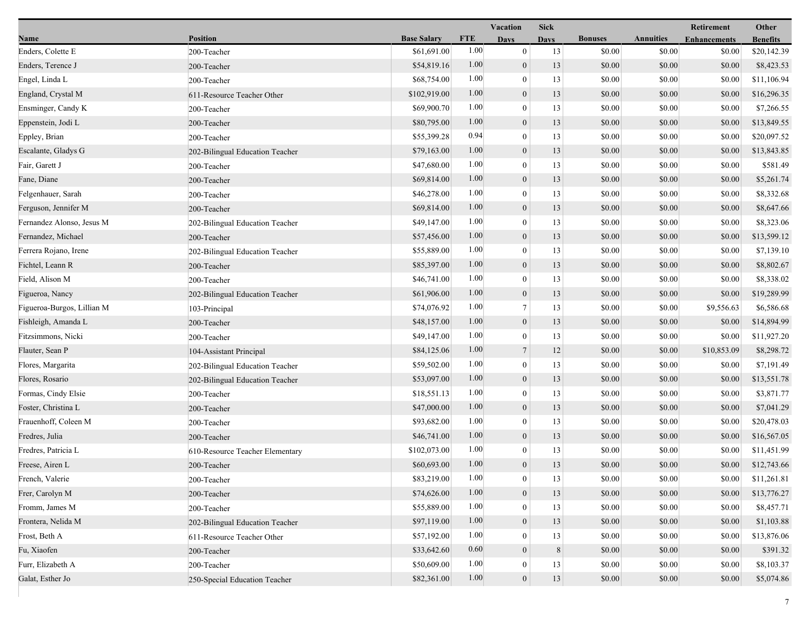|                            |                                 |                    |            | Vacation         | <b>Sick</b> |                |                  | Retirement          | Other           |
|----------------------------|---------------------------------|--------------------|------------|------------------|-------------|----------------|------------------|---------------------|-----------------|
| Name                       | <b>Position</b>                 | <b>Base Salary</b> | <b>FTE</b> | <b>Days</b>      | <b>Days</b> | <b>Bonuses</b> | <b>Annuities</b> | <b>Enhancements</b> | <b>Benefits</b> |
| Enders, Colette E          | 200-Teacher                     | \$61,691.00        | 1.00       | $\mathbf{0}$     | 13          | \$0.00         | \$0.00           | \$0.00              | \$20,142.39     |
| Enders, Terence J          | 200-Teacher                     | \$54,819.16        | 1.00       | $\boldsymbol{0}$ | 13          | \$0.00         | \$0.00           | \$0.00              | \$8,423.53      |
| Engel, Linda L             | 200-Teacher                     | \$68,754.00        | 1.00       | $\boldsymbol{0}$ | 13          | \$0.00         | \$0.00           | \$0.00              | \$11,106.94     |
| England, Crystal M         | 611-Resource Teacher Other      | \$102,919.00       | 1.00       | $\boldsymbol{0}$ | 13          | \$0.00         | \$0.00           | \$0.00              | \$16,296.35     |
| Ensminger, Candy K         | 200-Teacher                     | \$69,900.70        | 1.00       | $\bf{0}$         | 13          | \$0.00         | \$0.00           | \$0.00              | \$7,266.55      |
| Eppenstein, Jodi L         | 200-Teacher                     | \$80,795.00        | 1.00       | $\mathbf{0}$     | 13          | \$0.00         | \$0.00           | \$0.00              | \$13,849.55     |
| Eppley, Brian              | 200-Teacher                     | \$55,399.28        | 0.94       | $\mathbf{0}$     | 13          | \$0.00         | \$0.00           | \$0.00              | \$20,097.52     |
| Escalante, Gladys G        | 202-Bilingual Education Teacher | \$79,163.00        | 1.00       | $\boldsymbol{0}$ | 13          | \$0.00         | \$0.00           | \$0.00              | \$13,843.85     |
| Fair, Garett J             | 200-Teacher                     | \$47,680.00        | 1.00       | $\boldsymbol{0}$ | 13          | \$0.00         | \$0.00           | \$0.00              | \$581.49        |
| Fane, Diane                | 200-Teacher                     | \$69,814.00        | 1.00       | $\mathbf{0}$     | 13          | \$0.00         | \$0.00           | \$0.00              | \$5,261.74      |
| Felgenhauer, Sarah         | 200-Teacher                     | \$46,278.00        | 1.00       | $\bf{0}$         | 13          | \$0.00         | \$0.00           | \$0.00              | \$8,332.68      |
| Ferguson, Jennifer M       | 200-Teacher                     | \$69,814.00        | 1.00       | $\boldsymbol{0}$ | 13          | \$0.00         | \$0.00           | \$0.00              | \$8,647.66      |
| Fernandez Alonso, Jesus M  | 202-Bilingual Education Teacher | \$49,147.00        | 1.00       | $\mathbf{0}$     | 13          | \$0.00         | \$0.00           | \$0.00              | \$8,323.06      |
| Fernandez, Michael         | 200-Teacher                     | \$57,456.00        | 1.00       | $\mathbf{0}$     | 13          | \$0.00         | \$0.00           | \$0.00              | \$13,599.12     |
| Ferrera Rojano, Irene      | 202-Bilingual Education Teacher | \$55,889.00        | 1.00       | $\boldsymbol{0}$ | 13          | \$0.00         | \$0.00           | \$0.00              | \$7,139.10      |
| Fichtel, Leann R           | 200-Teacher                     | \$85,397.00        | 1.00       | $\mathbf{0}$     | 13          | \$0.00         | \$0.00           | \$0.00              | \$8,802.67      |
| Field, Alison M            | 200-Teacher                     | \$46,741.00        | 1.00       | $\bf{0}$         | 13          | \$0.00         | \$0.00           | \$0.00              | \$8,338.02      |
| Figueroa, Nancy            | 202-Bilingual Education Teacher | \$61,906.00        | 1.00       | $\boldsymbol{0}$ | 13          | \$0.00         | \$0.00           | \$0.00              | \$19,289.99     |
| Figueroa-Burgos, Lillian M | 103-Principal                   | \$74,076.92        | 1.00       | $\tau$           | 13          | \$0.00         | \$0.00           | \$9,556.63          | \$6,586.68      |
| Fishleigh, Amanda L        | 200-Teacher                     | \$48,157.00        | 1.00       | $\mathbf{0}$     | 13          | \$0.00         | \$0.00           | \$0.00              | \$14,894.99     |
| Fitzsimmons, Nicki         | 200-Teacher                     | \$49,147.00        | 1.00       | $\boldsymbol{0}$ | 13          | \$0.00         | \$0.00           | \$0.00              | \$11,927.20     |
| Flauter, Sean P            | 104-Assistant Principal         | \$84,125.06        | 1.00       | $\overline{7}$   | 12          | \$0.00         | \$0.00           | \$10,853.09         | \$8,298.72      |
| Flores, Margarita          | 202-Bilingual Education Teacher | \$59,502.00        | 1.00       | $\bf{0}$         | 13          | \$0.00         | \$0.00           | \$0.00              | \$7,191.49      |
| Flores, Rosario            | 202-Bilingual Education Teacher | \$53,097.00        | 1.00       | $\mathbf{0}$     | 13          | \$0.00         | \$0.00           | \$0.00              | \$13,551.78     |
| Formas, Cindy Elsie        | 200-Teacher                     | \$18,551.13        | 1.00       | $\boldsymbol{0}$ | 13          | \$0.00         | \$0.00           | \$0.00              | \$3,871.77      |
| Foster, Christina L        | 200-Teacher                     | \$47,000.00        | 1.00       | $\mathbf{0}$     | 13          | \$0.00         | \$0.00           | \$0.00              | \$7,041.29      |
| Frauenhoff, Coleen M       | 200-Teacher                     | \$93,682.00        | 1.00       | $\boldsymbol{0}$ | 13          | \$0.00         | \$0.00           | \$0.00              | \$20,478.03     |
| Fredres, Julia             | 200-Teacher                     | \$46,741.00        | 1.00       | $\boldsymbol{0}$ | 13          | \$0.00         | \$0.00           | \$0.00              | \$16,567.05     |
| Fredres, Patricia L        | 610-Resource Teacher Elementary | \$102,073.00       | 1.00       | $\boldsymbol{0}$ | 13          | \$0.00         | \$0.00           | \$0.00              | \$11,451.99     |
| Freese, Airen L            | 200-Teacher                     | \$60,693.00        | 1.00       | $\overline{0}$   | 13          | \$0.00         | \$0.00           | \$0.00              | \$12,743.66     |
| French, Valerie            | 200-Teacher                     | \$83,219.00        | 1.00       | $\theta$         | 13          | \$0.00         | \$0.00           | \$0.00              | \$11,261.81     |
| Frer, Carolyn M            | 200-Teacher                     | \$74,626.00        | 1.00       | $\mathbf{0}$     | 13          | \$0.00         | \$0.00           | \$0.00              | \$13,776.27     |
| Fromm, James M             | 200-Teacher                     | \$55,889.00        | 1.00       | $\theta$         | 13          | \$0.00         | \$0.00           | \$0.00              | \$8,457.71      |
| Frontera, Nelida M         | 202-Bilingual Education Teacher | \$97,119.00        | 1.00       | $\mathbf{0}$     | 13          | \$0.00         | \$0.00           | \$0.00              | \$1,103.88      |
| Frost, Beth A              | 611-Resource Teacher Other      | \$57,192.00        | 1.00       | $\theta$         | 13          | \$0.00         | \$0.00           | \$0.00              | \$13,876.06     |
| Fu, Xiaofen                | 200-Teacher                     | \$33,642.60        | 0.60       | $\overline{0}$   | 8           | \$0.00         | \$0.00           | \$0.00              | \$391.32        |
| Furr, Elizabeth A          | 200-Teacher                     | \$50,609.00        | 1.00       | 0                | 13          | \$0.00         | \$0.00           | \$0.00              | \$8,103.37      |
| Galat, Esther Jo           | 250-Special Education Teacher   | \$82,361.00        | 1.00       | $\boldsymbol{0}$ | 13          | \$0.00         | \$0.00           | \$0.00              | \$5,074.86      |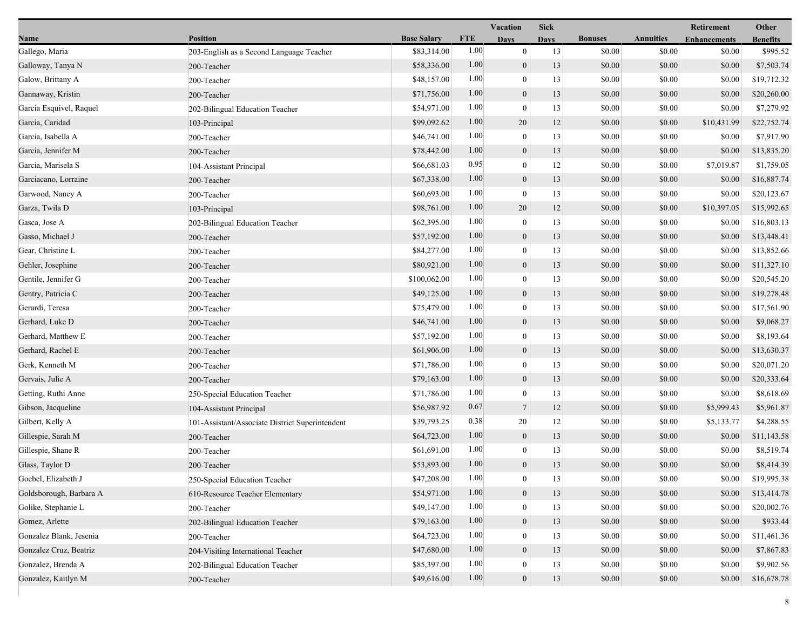|                         |                                                 |                    |            | <b>Vacation</b>  | <b>Sick</b> |                |                  | Retirement          | Other           |
|-------------------------|-------------------------------------------------|--------------------|------------|------------------|-------------|----------------|------------------|---------------------|-----------------|
| Name                    | Position                                        | <b>Base Salary</b> | <b>FTE</b> | <b>Days</b>      | <b>Days</b> | <b>Bonuses</b> | <b>Annuities</b> | <b>Enhancements</b> | <b>Benefits</b> |
| Gallego, Maria          | 203-English as a Second Language Teacher        | \$83,314.00        | 1.00       | $\overline{0}$   | 13          | \$0.00         | \$0.00           | \$0.00              | \$995.52        |
| Galloway, Tanya N       | 200-Teacher                                     | \$58,336.00        | 1.00       | $\mathbf{0}$     | 13          | \$0.00         | \$0.00           | \$0.00              | \$7,503.74      |
| Galow, Brittany A       | 200-Teacher                                     | \$48,157.00        | 1.00       | $\boldsymbol{0}$ | 13          | \$0.00         | \$0.00           | \$0.00              | \$19,712.32     |
| Gannaway, Kristin       | 200-Teacher                                     | \$71,756.00        | 1.00       | $\boldsymbol{0}$ | 13          | \$0.00         | \$0.00           | \$0.00              | \$20,260.00     |
| Garcia Esquivel, Raquel | 202-Bilingual Education Teacher                 | \$54,971.00        | 1.00       | $\mathbf{0}$     | 13          | \$0.00         | \$0.00           | \$0.00              | \$7,279.92      |
| Garcia, Caridad         | 103-Principal                                   | \$99,092.62        | 1.00       | 20               | 12          | \$0.00         | \$0.00           | \$10,431.99         | \$22,752.74     |
| Garcia, Isabella A      | 200-Teacher                                     | \$46,741.00        | 1.00       | $\mathbf{0}$     | 13          | \$0.00         | \$0.00           | \$0.00              | \$7,917.90      |
| Garcia, Jennifer M      | 200-Teacher                                     | \$78,442.00        | 1.00       | $\boldsymbol{0}$ | 13          | \$0.00         | \$0.00           | \$0.00              | \$13,835.20     |
| Garcia, Marisela S      | 104-Assistant Principal                         | \$66,681.03        | 0.95       | $\boldsymbol{0}$ | 12          | \$0.00         | \$0.00           | \$7,019.87          | \$1,759.05      |
| Garciacano, Lorraine    | 200-Teacher                                     | \$67,338.00        | 1.00       | $\boldsymbol{0}$ | 13          | \$0.00         | \$0.00           | \$0.00              | \$16,887.74     |
| Garwood, Nancy A        | 200-Teacher                                     | \$60,693.00        | 1.00       | $\theta$         | 13          | \$0.00         | \$0.00           | \$0.00              | \$20,123.67     |
| Garza, Twila D          | 103-Principal                                   | \$98,761.00        | 1.00       | 20               | 12          | \$0.00         | \$0.00           | \$10,397.05         | \$15,992.65     |
| Gasca, Jose A           | 202-Bilingual Education Teacher                 | \$62,395.00        | 1.00       | $\mathbf{0}$     | 13          | \$0.00         | \$0.00           | \$0.00              | \$16,803.13     |
| Gasso, Michael J        | 200-Teacher                                     | \$57,192.00        | 1.00       | $\overline{0}$   | 13          | \$0.00         | \$0.00           | \$0.00              | \$13,448.41     |
| Gear, Christine L       | 200-Teacher                                     | \$84,277.00        | 1.00       | $\boldsymbol{0}$ | 13          | \$0.00         | \$0.00           | \$0.00              | \$13,852.66     |
| Gehler, Josephine       | 200-Teacher                                     | \$80,921.00        | 1.00       | $\mathbf{0}$     | 13          | \$0.00         | \$0.00           | \$0.00              | \$11,327.10     |
| Gentile, Jennifer G     | 200-Teacher                                     | \$100,062.00       | 1.00       | $\mathbf{0}$     | 13          | \$0.00         | \$0.00           | \$0.00              | \$20,545.20     |
| Gentry, Patricia C      | 200-Teacher                                     | \$49,125.00        | 1.00       | $\boldsymbol{0}$ | 13          | \$0.00         | \$0.00           | \$0.00              | \$19,278.48     |
| Gerardi, Teresa         | 200-Teacher                                     | \$75,479.00        | 1.00       | $\mathbf{0}$     | 13          | \$0.00         | \$0.00           | \$0.00              | \$17,561.90     |
| Gerhard, Luke D         | 200-Teacher                                     | \$46,741.00        | 1.00       | $\boldsymbol{0}$ | 13          | \$0.00         | \$0.00           | \$0.00              | \$9,068.27      |
| Gerhard, Matthew E      | 200-Teacher                                     | \$57,192.00        | 1.00       | $\boldsymbol{0}$ | 13          | \$0.00         | \$0.00           | \$0.00              | \$8,193.64      |
| Gerhard, Rachel E       | 200-Teacher                                     | \$61,906.00        | 1.00       | $\mathbf{0}$     | 13          | \$0.00         | \$0.00           | \$0.00              | \$13,630.37     |
| Gerk, Kenneth M         | 200-Teacher                                     | \$71,786.00        | 1.00       | $\mathbf{0}$     | 13          | \$0.00         | \$0.00           | \$0.00              | \$20,071.20     |
| Gervais, Julie A        | 200-Teacher                                     | \$79,163.00        | 1.00       | $\mathbf{0}$     | 13          | \$0.00         | \$0.00           | \$0.00              | \$20,333.64     |
| Getting, Ruthi Anne     | 250-Special Education Teacher                   | \$71,786.00        | 1.00       | $\theta$         | 13          | \$0.00         | \$0.00           | \$0.00              | \$8,618.69      |
| Gibson, Jacqueline      | 104-Assistant Principal                         | \$56,987.92        | 0.67       | $\tau$           | 12          | \$0.00         | \$0.00           | \$5,999.43          | \$5,961.87      |
| Gilbert, Kelly A        | 101-Assistant/Associate District Superintendent | \$39,793.25        | 0.38       | 20               | 12          | \$0.00         | \$0.00           | \$5,133.77          | \$4,288.55      |
| Gillespie, Sarah M      | 200-Teacher                                     | \$64,723.00        | 1.00       | $\mathbf{0}$     | 13          | \$0.00         | \$0.00           | \$0.00              | \$11,143.58     |
| Gillespie, Shane R      | 200-Teacher                                     | \$61,691.00        | 1.00       | $\mathbf{0}$     | 13          | \$0.00         | \$0.00           | \$0.00              | \$8,519.74      |
| Glass, Taylor D         | 200-Teacher                                     | \$53,893.00        | 1.00       | $\overline{0}$   | 13          | \$0.00         | \$0.00           | \$0.00              | \$8,414.39      |
| Goebel, Elizabeth J     | 250-Special Education Teacher                   | \$47,208.00        | 1.00       | $\bf{0}$         | 13          | \$0.00         | \$0.00           | \$0.00              | \$19,995.38     |
| Goldsborough, Barbara A | 610-Resource Teacher Elementary                 | \$54,971.00        | 1.00       | $\overline{0}$   | 13          | \$0.00         | \$0.00           | \$0.00              | \$13,414.78     |
| Golike, Stephanie L     | 200-Teacher                                     | \$49,147.00        | 1.00       | $\theta$         | 13          | \$0.00         | \$0.00           | \$0.00              | \$20,002.76     |
| Gomez, Arlette          | 202-Bilingual Education Teacher                 | \$79,163.00        | 1.00       | $\mathbf{0}$     | 13          | \$0.00         | \$0.00           | \$0.00              | \$933.44        |
| Gonzalez Blank, Jesenia | 200-Teacher                                     | \$64,723.00        | 1.00       | $\theta$         | 13          | \$0.00         | \$0.00           | \$0.00              | \$11,461.36     |
| Gonzalez Cruz, Beatriz  | 204-Visiting International Teacher              | \$47,680.00        | 1.00       | $\boldsymbol{0}$ | 13          | \$0.00         | \$0.00           | \$0.00              | \$7,867.83      |
| Gonzalez, Brenda A      | 202-Bilingual Education Teacher                 | \$85,397.00        | 1.00       | $\bf{0}$         | 13          | \$0.00         | \$0.00           | \$0.00              | \$9,902.56      |
| Gonzalez, Kaitlyn M     | 200-Teacher                                     | \$49,616.00        | 1.00       | $\boldsymbol{0}$ | 13          | \$0.00         | \$0.00           | \$0.00              | \$16,678.78     |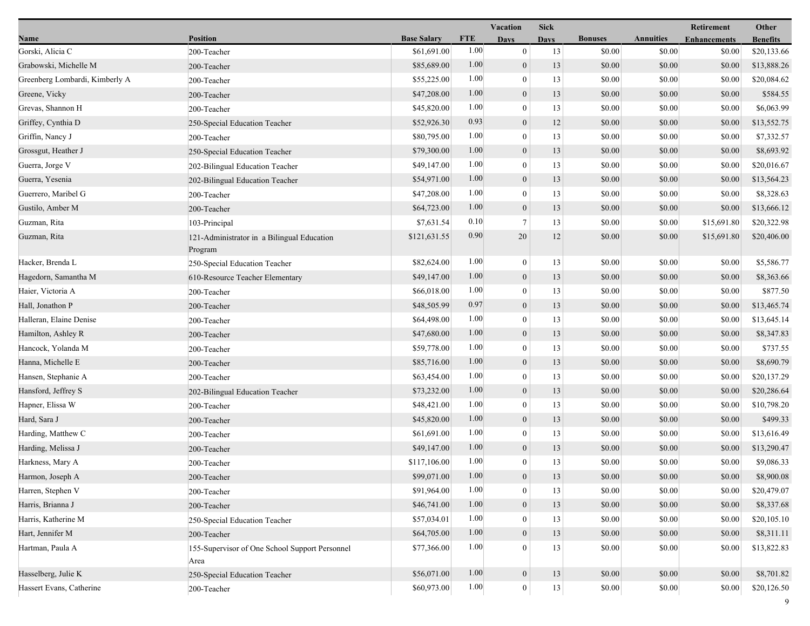|                                |                                                        |                    |            | Vacation         | <b>Sick</b> |                |                  | Retirement          | Other           |
|--------------------------------|--------------------------------------------------------|--------------------|------------|------------------|-------------|----------------|------------------|---------------------|-----------------|
| Name                           | <b>Position</b>                                        | <b>Base Salary</b> | <b>FTE</b> | <b>Days</b>      | <b>Days</b> | <b>Bonuses</b> | <b>Annuities</b> | <b>Enhancements</b> | <b>Benefits</b> |
| Gorski, Alicia C               | 200-Teacher                                            | \$61,691.00        | 1.00       | $\mathbf{0}$     | 13          | \$0.00         | \$0.00           | \$0.00              | \$20,133.66     |
| Grabowski, Michelle M          | 200-Teacher                                            | \$85,689.00        | 1.00       | $\boldsymbol{0}$ | 13          | \$0.00         | \$0.00           | \$0.00              | \$13,888.26     |
| Greenberg Lombardi, Kimberly A | 200-Teacher                                            | \$55,225.00        | 1.00       | $\boldsymbol{0}$ | 13          | \$0.00         | \$0.00           | \$0.00              | \$20,084.62     |
| Greene, Vicky                  | 200-Teacher                                            | \$47,208.00        | 1.00       | $\mathbf{0}$     | 13          | \$0.00         | \$0.00           | \$0.00              | \$584.55        |
| Grevas, Shannon H              | 200-Teacher                                            | \$45,820.00        | 1.00       | $\bf{0}$         | 13          | \$0.00         | \$0.00           | \$0.00              | \$6,063.99      |
| Griffey, Cynthia D             | 250-Special Education Teacher                          | \$52,926.30        | 0.93       | $\mathbf{0}$     | 12          | \$0.00         | \$0.00           | \$0.00              | \$13,552.75     |
| Griffin, Nancy J               | 200-Teacher                                            | \$80,795.00        | 1.00       | $\mathbf{0}$     | 13          | \$0.00         | \$0.00           | \$0.00              | \$7,332.57      |
| Grossgut, Heather J            | 250-Special Education Teacher                          | \$79,300.00        | 1.00       | $\boldsymbol{0}$ | 13          | \$0.00         | \$0.00           | \$0.00              | \$8,693.92      |
| Guerra, Jorge V                | 202-Bilingual Education Teacher                        | \$49,147.00        | 1.00       | $\boldsymbol{0}$ | 13          | \$0.00         | \$0.00           | \$0.00              | \$20,016.67     |
| Guerra, Yesenia                | 202-Bilingual Education Teacher                        | \$54,971.00        | 1.00       | $\mathbf{0}$     | 13          | \$0.00         | \$0.00           | \$0.00              | \$13,564.23     |
| Guerrero, Maribel G            | 200-Teacher                                            | \$47,208.00        | 1.00       | $\bf{0}$         | 13          | \$0.00         | \$0.00           | \$0.00              | \$8,328.63      |
| Gustilo, Amber M               | 200-Teacher                                            | \$64,723.00        | 1.00       | $\boldsymbol{0}$ | 13          | \$0.00         | \$0.00           | \$0.00              | \$13,666.12     |
| Guzman, Rita                   | 103-Principal                                          | \$7,631.54         | 0.10       | $\tau$           | 13          | \$0.00         | \$0.00           | \$15,691.80         | \$20,322.98     |
| Guzman, Rita                   | 121-Administrator in a Bilingual Education<br>Program  | \$121,631.55       | 0.90       | 20               | 12          | \$0.00         | \$0.00           | \$15,691.80         | \$20,406.00     |
| Hacker, Brenda L               | 250-Special Education Teacher                          | \$82,624.00        | 1.00       | $\boldsymbol{0}$ | 13          | \$0.00         | \$0.00           | \$0.00              | \$5,586.77      |
| Hagedorn, Samantha M           | 610-Resource Teacher Elementary                        | \$49,147.00        | 1.00       | $\boldsymbol{0}$ | 13          | \$0.00         | \$0.00           | \$0.00              | \$8,363.66      |
| Haier, Victoria A              | 200-Teacher                                            | \$66,018.00        | 1.00       | $\bf{0}$         | 13          | \$0.00         | \$0.00           | \$0.00              | \$877.50        |
| Hall, Jonathon P               | 200-Teacher                                            | \$48,505.99        | 0.97       | $\boldsymbol{0}$ | 13          | \$0.00         | \$0.00           | \$0.00              | \$13,465.74     |
| Halleran, Elaine Denise        | 200-Teacher                                            | \$64,498.00        | 1.00       | $\boldsymbol{0}$ | 13          | \$0.00         | \$0.00           | \$0.00              | \$13,645.14     |
| Hamilton, Ashley R             | 200-Teacher                                            | \$47,680.00        | 1.00       | $\mathbf{0}$     | 13          | \$0.00         | \$0.00           | \$0.00              | \$8,347.83      |
| Hancock, Yolanda M             | 200-Teacher                                            | \$59,778.00        | 1.00       | $\boldsymbol{0}$ | 13          | \$0.00         | \$0.00           | \$0.00              | \$737.55        |
| Hanna, Michelle E              | 200-Teacher                                            | \$85,716.00        | 1.00       | $\boldsymbol{0}$ | 13          | \$0.00         | \$0.00           | \$0.00              | \$8,690.79      |
| Hansen, Stephanie A            | 200-Teacher                                            | \$63,454.00        | 1.00       | $\bf{0}$         | 13          | \$0.00         | \$0.00           | \$0.00              | \$20,137.29     |
| Hansford, Jeffrey S            | 202-Bilingual Education Teacher                        | \$73,232.00        | 1.00       | $\boldsymbol{0}$ | 13          | \$0.00         | \$0.00           | \$0.00              | \$20,286.64     |
| Hapner, Elissa W               | 200-Teacher                                            | \$48,421.00        | 1.00       | $\boldsymbol{0}$ | 13          | \$0.00         | \$0.00           | \$0.00              | \$10,798.20     |
| Hard, Sara J                   | 200-Teacher                                            | \$45,820.00        | 1.00       | $\boldsymbol{0}$ | 13          | \$0.00         | \$0.00           | \$0.00              | \$499.33        |
| Harding, Matthew C             | 200-Teacher                                            | \$61,691.00        | 1.00       | $\bf{0}$         | 13          | \$0.00         | \$0.00           | \$0.00              | \$13,616.49     |
| Harding, Melissa J             | 200-Teacher                                            | \$49,147.00        | 1.00       | $\boldsymbol{0}$ | 13          | \$0.00         | \$0.00           | \$0.00              | \$13,290.47     |
| Harkness, Mary A               | 200-Teacher                                            | \$117,106.00       | 1.00       | $\boldsymbol{0}$ | 13          | \$0.00         | \$0.00           | \$0.00              | \$9,086.33      |
| Harmon, Joseph A               | 200-Teacher                                            | \$99,071.00        | 1.00       | $\mathbf{0}$     | 13          | \$0.00         | $\$0.00$         | \$0.00              | \$8,900.08      |
| Harren, Stephen V              | 200-Teacher                                            | \$91,964.00        | 1.00       | $\bf{0}$         | 13          | \$0.00         | \$0.00           | \$0.00              | \$20,479.07     |
| Harris, Brianna J              | 200-Teacher                                            | \$46,741.00        | 1.00       | $\mathbf{0}$     | 13          | \$0.00         | \$0.00           | \$0.00              | \$8,337.68      |
| Harris, Katherine M            | 250-Special Education Teacher                          | \$57,034.01        | 1.00       | 0                | 13          | \$0.00         | \$0.00           | \$0.00              | \$20,105.10     |
| Hart, Jennifer M               | 200-Teacher                                            | \$64,705.00        | 1.00       | $\overline{0}$   | 13          | \$0.00         | \$0.00           | \$0.00              | \$8,311.11      |
| Hartman, Paula A               | 155-Supervisor of One School Support Personnel<br>Area | \$77,366.00        | 1.00       | $\theta$         | 13          | \$0.00         | \$0.00           | \$0.00              | \$13,822.83     |
| Hasselberg, Julie K            | 250-Special Education Teacher                          | \$56,071.00        | 1.00       | $\boldsymbol{0}$ | 13          | \$0.00         | \$0.00           | \$0.00              | \$8,701.82      |
| Hassert Evans, Catherine       | 200-Teacher                                            | \$60,973.00        | 1.00       | $\boldsymbol{0}$ | $13\,$      | \$0.00         | \$0.00           | \$0.00              | \$20,126.50     |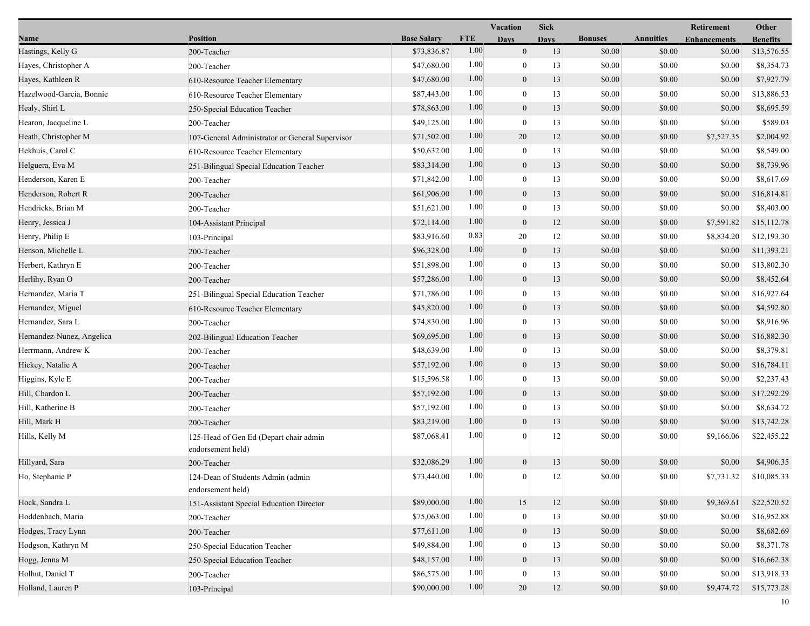|                           |                                                             |                    | Vacation   |                  | <b>Sick</b> |                |                  | Retirement          | Other           |  |
|---------------------------|-------------------------------------------------------------|--------------------|------------|------------------|-------------|----------------|------------------|---------------------|-----------------|--|
| Name                      | <b>Position</b>                                             | <b>Base Salary</b> | <b>FTE</b> | <b>Days</b>      | <b>Days</b> | <b>Bonuses</b> | <b>Annuities</b> | <b>Enhancements</b> | <b>Benefits</b> |  |
| Hastings, Kelly G         | 200-Teacher                                                 | \$73,836.87        | 1.00       | $\mathbf{0}$     | 13          | \$0.00         | \$0.00           | \$0.00              | \$13,576.55     |  |
| Hayes, Christopher A      | 200-Teacher                                                 | \$47,680.00        | 1.00       | $\bf{0}$         | 13          | \$0.00         | \$0.00           | \$0.00              | \$8,354.73      |  |
| Hayes, Kathleen R         | 610-Resource Teacher Elementary                             | \$47,680.00        | 1.00       | $\boldsymbol{0}$ | 13          | \$0.00         | \$0.00           | \$0.00              | \$7,927.79      |  |
| Hazelwood-Garcia, Bonnie  | 610-Resource Teacher Elementary                             | \$87,443.00        | 1.00       | $\mathbf{0}$     | 13          | \$0.00         | \$0.00           | \$0.00              | \$13,886.53     |  |
| Healy, Shirl L            | 250-Special Education Teacher                               | \$78,863.00        | 1.00       | $\boldsymbol{0}$ | 13          | \$0.00         | \$0.00           | \$0.00              | \$8,695.59      |  |
| Hearon, Jacqueline L      | 200-Teacher                                                 | \$49,125.00        | 1.00       | $\boldsymbol{0}$ | 13          | \$0.00         | \$0.00           | \$0.00              | \$589.03        |  |
| Heath, Christopher M      | 107-General Administrator or General Supervisor             | \$71,502.00        | 1.00       | 20               | 12          | \$0.00         | \$0.00           | \$7,527.35          | \$2,004.92      |  |
| Hekhuis, Carol C          | 610-Resource Teacher Elementary                             | \$50,632.00        | 1.00       | $\bf{0}$         | 13          | \$0.00         | \$0.00           | \$0.00              | \$8,549.00      |  |
| Helguera, Eva M           | 251-Bilingual Special Education Teacher                     | \$83,314.00        | 1.00       | $\boldsymbol{0}$ | 13          | \$0.00         | \$0.00           | \$0.00              | \$8,739.96      |  |
| Henderson, Karen E        | 200-Teacher                                                 | \$71,842.00        | 1.00       | $\mathbf{0}$     | 13          | \$0.00         | \$0.00           | \$0.00              | \$8,617.69      |  |
| Henderson, Robert R       | 200-Teacher                                                 | \$61,906.00        | 1.00       | $\boldsymbol{0}$ | 13          | \$0.00         | \$0.00           | \$0.00              | \$16,814.81     |  |
| Hendricks, Brian M        | 200-Teacher                                                 | \$51,621.00        | 1.00       | $\boldsymbol{0}$ | 13          | \$0.00         | \$0.00           | \$0.00              | \$8,403.00      |  |
| Henry, Jessica J          | 104-Assistant Principal                                     | \$72,114.00        | 1.00       | $\mathbf{0}$     | 12          | \$0.00         | \$0.00           | \$7,591.82          | \$15,112.78     |  |
| Henry, Philip E           | 103-Principal                                               | \$83,916.60        | 0.83       | 20               | 12          | \$0.00         | \$0.00           | \$8,834.20          | \$12,193.30     |  |
| Henson, Michelle L        | 200-Teacher                                                 | \$96,328.00        | 1.00       | $\boldsymbol{0}$ | 13          | \$0.00         | \$0.00           | \$0.00              | \$11,393.21     |  |
| Herbert, Kathryn E        | 200-Teacher                                                 | \$51,898.00        | 1.00       | $\mathbf{0}$     | 13          | \$0.00         | \$0.00           | \$0.00              | \$13,802.30     |  |
| Herlihy, Ryan O           | 200-Teacher                                                 | \$57,286.00        | 1.00       | $\boldsymbol{0}$ | 13          | \$0.00         | \$0.00           | \$0.00              | \$8,452.64      |  |
| Hernandez, Maria T        | 251-Bilingual Special Education Teacher                     | \$71,786.00        | 1.00       | $\boldsymbol{0}$ | 13          | \$0.00         | \$0.00           | \$0.00              | \$16,927.64     |  |
| Hernandez, Miguel         | 610-Resource Teacher Elementary                             | \$45,820.00        | 1.00       | $\mathbf{0}$     | 13          | \$0.00         | \$0.00           | \$0.00              | \$4,592.80      |  |
| Hernandez, Sara L         | 200-Teacher                                                 | \$74,830.00        | 1.00       | $\bf{0}$         | 13          | \$0.00         | \$0.00           | \$0.00              | \$8,916.96      |  |
| Hernandez-Nunez, Angelica | 202-Bilingual Education Teacher                             | \$69,695.00        | 1.00       | $\boldsymbol{0}$ | 13          | \$0.00         | \$0.00           | \$0.00              | \$16,882.30     |  |
| Herrmann, Andrew K        | 200-Teacher                                                 | \$48,639.00        | 1.00       | $\boldsymbol{0}$ | 13          | \$0.00         | \$0.00           | \$0.00              | \$8,379.81      |  |
| Hickey, Natalie A         | 200-Teacher                                                 | \$57,192.00        | 1.00       | $\mathbf{0}$     | 13          | \$0.00         | \$0.00           | \$0.00              | \$16,784.11     |  |
| Higgins, Kyle E           | 200-Teacher                                                 | \$15,596.58        | 1.00       | $\boldsymbol{0}$ | 13          | \$0.00         | \$0.00           | \$0.00              | \$2,237.43      |  |
| Hill, Chardon L           | 200-Teacher                                                 | \$57,192.00        | 1.00       | $\overline{0}$   | 13          | \$0.00         | \$0.00           | \$0.00              | \$17,292.29     |  |
| Hill, Katherine B         | 200-Teacher                                                 | \$57,192.00        | 1.00       | $\bf{0}$         | 13          | \$0.00         | \$0.00           | \$0.00              | \$8,634.72      |  |
| Hill, Mark H              | 200-Teacher                                                 | \$83,219.00        | 1.00       | $\mathbf{0}$     | 13          | \$0.00         | \$0.00           | \$0.00              | \$13,742.28     |  |
| Hills, Kelly M            | 125-Head of Gen Ed (Depart chair admin<br>endorsement held) | \$87,068.41        | 1.00       | $\theta$         | 12          | \$0.00         | \$0.00           | \$9,166.06          | \$22,455.22     |  |
| Hillyard, Sara            | 200-Teacher                                                 | \$32,086.29        | 1.00       | $\boldsymbol{0}$ | 13          | \$0.00         | \$0.00           | \$0.00              | \$4,906.35      |  |
| Ho, Stephanie P           | 124-Dean of Students Admin (admin<br>endorsement held)      | \$73,440.00        | 1.00       | $\boldsymbol{0}$ | 12          | \$0.00         | \$0.00           | \$7,731.32          | \$10,085.33     |  |
| Hock, Sandra L            | 151-Assistant Special Education Director                    | \$89,000.00        | 1.00       | $15\,$           | 12          | \$0.00         | \$0.00           | \$9,369.61          | \$22,520.52     |  |
| Hoddenbach, Maria         | 200-Teacher                                                 | \$75,063.00        | 1.00       | $\bf{0}$         | 13          | \$0.00         | \$0.00           | \$0.00              | \$16,952.88     |  |
| Hodges, Tracy Lynn        | 200-Teacher                                                 | \$77,611.00        | 1.00       | $\mathbf{0}$     | 13          | \$0.00         | \$0.00           | \$0.00              | \$8,682.69      |  |
| Hodgson, Kathryn M        | 250-Special Education Teacher                               | \$49,884.00        | 1.00       | $\theta$         | 13          | \$0.00         | \$0.00           | \$0.00              | \$8,371.78      |  |
| Hogg, Jenna M             | 250-Special Education Teacher                               | \$48,157.00        | 1.00       | $\mathbf{0}$     | 13          | \$0.00         | \$0.00           | \$0.00              | \$16,662.38     |  |
| Holhut, Daniel T          | 200-Teacher                                                 | \$86,575.00        | 1.00       | 0                | 13          | \$0.00         | \$0.00           | \$0.00              | \$13,918.33     |  |
| Holland, Lauren P         | 103-Principal                                               | \$90,000.00        | 1.00       | $20\,$           | $12\,$      | \$0.00         | \$0.00           | \$9,474.72          | \$15,773.28     |  |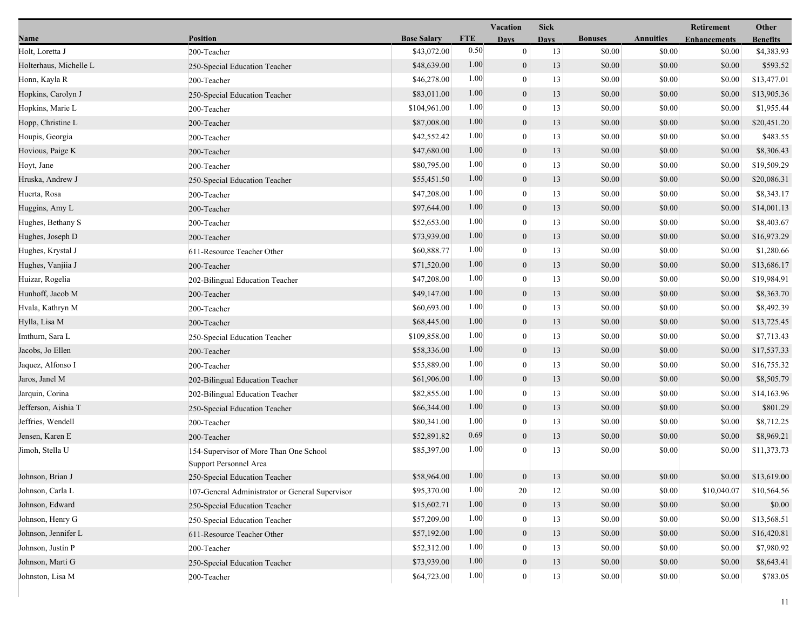|                        |                                                                  |                    | <b>Vacation</b> |                  | <b>Sick</b> |                |                  | Retirement          | Other           |
|------------------------|------------------------------------------------------------------|--------------------|-----------------|------------------|-------------|----------------|------------------|---------------------|-----------------|
| Name                   | <b>Position</b>                                                  | <b>Base Salary</b> | <b>FTE</b>      | <b>Days</b>      | <b>Days</b> | <b>Bonuses</b> | <b>Annuities</b> | <b>Enhancements</b> | <b>Benefits</b> |
| Holt, Loretta J        | 200-Teacher                                                      | \$43,072.00        | 0.50            | $\mathbf{0}$     | 13          | \$0.00         | \$0.00           | \$0.00              | \$4,383.93      |
| Holterhaus, Michelle L | 250-Special Education Teacher                                    | \$48,639.00        | 1.00            | $\boldsymbol{0}$ | 13          | \$0.00         | \$0.00           | \$0.00              | \$593.52        |
| Honn, Kayla R          | 200-Teacher                                                      | \$46,278.00        | 1.00            | $\boldsymbol{0}$ | 13          | \$0.00         | \$0.00           | \$0.00              | \$13,477.01     |
| Hopkins, Carolyn J     | 250-Special Education Teacher                                    | \$83,011.00        | 1.00            | $\mathbf{0}$     | 13          | \$0.00         | \$0.00           | \$0.00              | \$13,905.36     |
| Hopkins, Marie L       | 200-Teacher                                                      | \$104,961.00       | 1.00            | $\boldsymbol{0}$ | 13          | \$0.00         | \$0.00           | \$0.00              | \$1,955.44      |
| Hopp, Christine L      | 200-Teacher                                                      | \$87,008.00        | 1.00            | $\mathbf{0}$     | 13          | \$0.00         | \$0.00           | \$0.00              | \$20,451.20     |
| Houpis, Georgia        | 200-Teacher                                                      | \$42,552.42        | 1.00            | $\theta$         | 13          | \$0.00         | \$0.00           | \$0.00              | \$483.55        |
| Hovious, Paige K       | 200-Teacher                                                      | \$47,680.00        | 1.00            | $\overline{0}$   | 13          | \$0.00         | \$0.00           | \$0.00              | \$8,306.43      |
| Hoyt, Jane             | 200-Teacher                                                      | \$80,795.00        | 1.00            | $\boldsymbol{0}$ | 13          | \$0.00         | \$0.00           | \$0.00              | \$19,509.29     |
| Hruska, Andrew J       | 250-Special Education Teacher                                    | \$55,451.50        | 1.00            | $\mathbf{0}$     | 13          | \$0.00         | \$0.00           | \$0.00              | \$20,086.31     |
| Huerta, Rosa           | 200-Teacher                                                      | \$47,208.00        | 1.00            | $\boldsymbol{0}$ | 13          | \$0.00         | \$0.00           | \$0.00              | \$8,343.17      |
| Huggins, Amy L         | 200-Teacher                                                      | \$97,644.00        | 1.00            | $\boldsymbol{0}$ | 13          | \$0.00         | \$0.00           | \$0.00              | \$14,001.13     |
| Hughes, Bethany S      | 200-Teacher                                                      | \$52,653.00        | 1.00            | $\theta$         | 13          | \$0.00         | \$0.00           | \$0.00              | \$8,403.67      |
| Hughes, Joseph D       | 200-Teacher                                                      | \$73,939.00        | 1.00            | $\overline{0}$   | 13          | \$0.00         | \$0.00           | \$0.00              | \$16,973.29     |
| Hughes, Krystal J      | 611-Resource Teacher Other                                       | \$60,888.77        | 1.00            | $\boldsymbol{0}$ | 13          | \$0.00         | \$0.00           | \$0.00              | \$1,280.66      |
| Hughes, Vanjiia J      | 200-Teacher                                                      | \$71,520.00        | 1.00            | $\mathbf{0}$     | 13          | \$0.00         | \$0.00           | \$0.00              | \$13,686.17     |
| Huizar, Rogelia        | 202-Bilingual Education Teacher                                  | \$47,208.00        | 1.00            | $\theta$         | 13          | \$0.00         | \$0.00           | \$0.00              | \$19,984.91     |
| Hunhoff, Jacob M       | 200-Teacher                                                      | \$49,147.00        | 1.00            | $\mathbf{0}$     | 13          | \$0.00         | \$0.00           | \$0.00              | \$8,363.70      |
| Hvala, Kathryn M       | 200-Teacher                                                      | \$60,693.00        | 1.00            | $\mathbf{0}$     | 13          | \$0.00         | \$0.00           | \$0.00              | \$8,492.39      |
| Hylla, Lisa M          | 200-Teacher                                                      | \$68,445.00        | 1.00            | $\overline{0}$   | 13          | \$0.00         | \$0.00           | \$0.00              | \$13,725.45     |
| Imthurn, Sara L        | 250-Special Education Teacher                                    | \$109,858.00       | 1.00            | $\overline{0}$   | 13          | \$0.00         | \$0.00           | \$0.00              | \$7,713.43      |
| Jacobs, Jo Ellen       | 200-Teacher                                                      | \$58,336.00        | 1.00            | $\mathbf{0}$     | 13          | \$0.00         | \$0.00           | \$0.00              | \$17,537.33     |
| Jaquez, Alfonso I      | 200-Teacher                                                      | \$55,889.00        | 1.00            | $\mathbf{0}$     | 13          | \$0.00         | \$0.00           | \$0.00              | \$16,755.32     |
| Jaros, Janel M         | 202-Bilingual Education Teacher                                  | \$61,906.00        | 1.00            | $\overline{0}$   | 13          | \$0.00         | \$0.00           | \$0.00              | \$8,505.79      |
| Jarquin, Corina        | 202-Bilingual Education Teacher                                  | \$82,855.00        | 1.00            | $\mathbf{0}$     | 13          | \$0.00         | \$0.00           | \$0.00              | \$14,163.96     |
| Jefferson, Aishia T    | 250-Special Education Teacher                                    | \$66,344.00        | 1.00            | $\overline{0}$   | 13          | \$0.00         | \$0.00           | \$0.00              | \$801.29        |
| Jeffries, Wendell      | 200-Teacher                                                      | \$80,341.00        | 1.00            | $\overline{0}$   | 13          | \$0.00         | \$0.00           | \$0.00              | \$8,712.25      |
| Jensen, Karen E        | 200-Teacher                                                      | \$52,891.82        | 0.69            | $\mathbf{0}$     | 13          | \$0.00         | \$0.00           | \$0.00              | \$8,969.21      |
| Jimoh, Stella U        | 154-Supervisor of More Than One School<br>Support Personnel Area | \$85,397.00        | 1.00            | $\Omega$         | 13          | \$0.00         | \$0.00           | \$0.00              | \$11,373.73     |
| Johnson, Brian J       | 250-Special Education Teacher                                    | \$58,964.00        | 1.00            | $\mathbf{0}$     | 13          | \$0.00         | \$0.00           | \$0.00              | \$13,619.00     |
| Johnson, Carla L       | 107-General Administrator or General Supervisor                  | \$95,370.00        | 1.00            | 20               | 12          | \$0.00         | \$0.00           | \$10,040.07         | \$10,564.56     |
| Johnson, Edward        | 250-Special Education Teacher                                    | \$15,602.71        | 1.00            | $\overline{0}$   | 13          | \$0.00         | \$0.00           | \$0.00              | \$0.00          |
| Johnson, Henry G       | 250-Special Education Teacher                                    | \$57,209.00        | 1.00            | $\theta$         | 13          | \$0.00         | \$0.00           | \$0.00              | \$13,568.51     |
| Johnson, Jennifer L    | 611-Resource Teacher Other                                       | \$57,192.00        | 1.00            | $\overline{0}$   | 13          | \$0.00         | \$0.00           | \$0.00              | \$16,420.81     |
| Johnson, Justin P      | 200-Teacher                                                      | \$52,312.00        | 1.00            | $\Omega$         | 13          | \$0.00         | \$0.00           | \$0.00              | \$7,980.92      |
| Johnson, Marti G       | 250-Special Education Teacher                                    | \$73,939.00        | 1.00            | $\boldsymbol{0}$ | 13          | \$0.00         | \$0.00           | \$0.00              | \$8,643.41      |
| Johnston, Lisa M       | 200-Teacher                                                      | \$64,723.00        | 1.00            | $\boldsymbol{0}$ | 13          | \$0.00         | \$0.00           | \$0.00              | \$783.05        |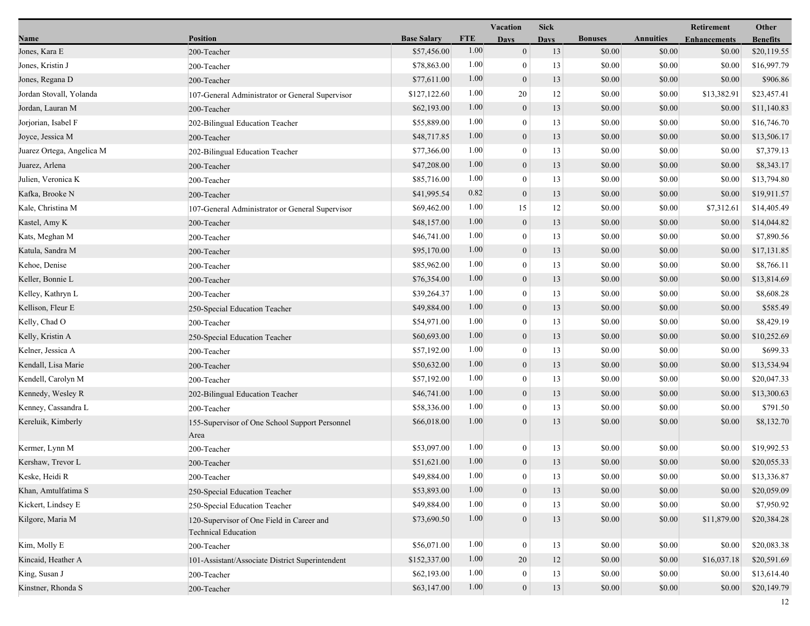|                           |                                                                         |                    |            | Vacation         | <b>Sick</b> |                |                  | Retirement          | Other           |
|---------------------------|-------------------------------------------------------------------------|--------------------|------------|------------------|-------------|----------------|------------------|---------------------|-----------------|
| Name                      | <b>Position</b>                                                         | <b>Base Salary</b> | <b>FTE</b> | <b>Days</b>      | <b>Days</b> | <b>Bonuses</b> | <b>Annuities</b> | <b>Enhancements</b> | <b>Benefits</b> |
| Jones, Kara E             | 200-Teacher                                                             | \$57,456.00        | 1.00       | $\mathbf{0}$     | 13          | \$0.00         | \$0.00           | \$0.00              | \$20,119.55     |
| Jones, Kristin J          | 200-Teacher                                                             | \$78,863.00        | 1.00       | $\overline{0}$   | 13          | \$0.00         | \$0.00           | \$0.00              | \$16,997.79     |
| Jones, Regana D           | 200-Teacher                                                             | \$77,611.00        | 1.00       | $\boldsymbol{0}$ | 13          | \$0.00         | \$0.00           | \$0.00              | \$906.86        |
| Jordan Stovall, Yolanda   | 107-General Administrator or General Supervisor                         | \$127,122.60       | 1.00       | 20               | 12          | \$0.00         | \$0.00           | \$13,382.91         | \$23,457.41     |
| Jordan, Lauran M          | 200-Teacher                                                             | \$62,193.00        | 1.00       | $\boldsymbol{0}$ | 13          | \$0.00         | \$0.00           | \$0.00              | \$11,140.83     |
| Jorjorian, Isabel F       | 202-Bilingual Education Teacher                                         | \$55,889.00        | 1.00       | $\overline{0}$   | 13          | \$0.00         | \$0.00           | \$0.00              | \$16,746.70     |
| Joyce, Jessica M          | 200-Teacher                                                             | \$48,717.85        | 1.00       | $\mathbf{0}$     | 13          | \$0.00         | \$0.00           | \$0.00              | \$13,506.17     |
| Juarez Ortega, Angelica M | 202-Bilingual Education Teacher                                         | \$77,366.00        | 1.00       | $\overline{0}$   | 13          | \$0.00         | \$0.00           | \$0.00              | \$7,379.13      |
| Juarez, Arlena            | 200-Teacher                                                             | \$47,208.00        | 1.00       | $\boldsymbol{0}$ | 13          | \$0.00         | \$0.00           | \$0.00              | \$8,343.17      |
| Julien, Veronica K        | 200-Teacher                                                             | \$85,716.00        | 1.00       | $\theta$         | 13          | \$0.00         | \$0.00           | \$0.00              | \$13,794.80     |
| Kafka, Brooke N           | 200-Teacher                                                             | \$41,995.54        | 0.82       | $\boldsymbol{0}$ | 13          | \$0.00         | \$0.00           | \$0.00              | \$19,911.57     |
| Kale, Christina M         | 107-General Administrator or General Supervisor                         | \$69,462.00        | 1.00       | 15               | 12          | \$0.00         | \$0.00           | \$7,312.61          | \$14,405.49     |
| Kastel, Amy K             | 200-Teacher                                                             | \$48,157.00        | 1.00       | $\mathbf{0}$     | 13          | \$0.00         | \$0.00           | \$0.00              | \$14,044.82     |
| Kats, Meghan M            | 200-Teacher                                                             | \$46,741.00        | 1.00       | $\overline{0}$   | 13          | \$0.00         | \$0.00           | \$0.00              | \$7,890.56      |
| Katula, Sandra M          | 200-Teacher                                                             | \$95,170.00        | 1.00       | $\overline{0}$   | 13          | \$0.00         | \$0.00           | \$0.00              | \$17,131.85     |
| Kehoe, Denise             | 200-Teacher                                                             | \$85,962.00        | 1.00       | $\theta$         | 13          | \$0.00         | \$0.00           | \$0.00              | \$8,766.11      |
| Keller, Bonnie L          | 200-Teacher                                                             | \$76,354.00        | 1.00       | $\boldsymbol{0}$ | 13          | \$0.00         | \$0.00           | \$0.00              | \$13,814.69     |
| Kelley, Kathryn L         | 200-Teacher                                                             | \$39,264.37        | 1.00       | $\overline{0}$   | 13          | \$0.00         | \$0.00           | \$0.00              | \$8,608.28      |
| Kellison, Fleur E         | 250-Special Education Teacher                                           | \$49,884.00        | 1.00       | $\mathbf{0}$     | 13          | \$0.00         | \$0.00           | \$0.00              | \$585.49        |
| Kelly, Chad O             | 200-Teacher                                                             | \$54,971.00        | 1.00       | $\overline{0}$   | 13          | \$0.00         | \$0.00           | \$0.00              | \$8,429.19      |
| Kelly, Kristin A          | 250-Special Education Teacher                                           | \$60,693.00        | 1.00       | $\overline{0}$   | 13          | \$0.00         | \$0.00           | \$0.00              | \$10,252.69     |
| Kelner, Jessica A         | 200-Teacher                                                             | \$57,192.00        | 1.00       | $\overline{0}$   | 13          | \$0.00         | \$0.00           | \$0.00              | \$699.33        |
| Kendall, Lisa Marie       | 200-Teacher                                                             | \$50,632.00        | 1.00       | $\boldsymbol{0}$ | 13          | \$0.00         | \$0.00           | \$0.00              | \$13,534.94     |
| Kendell, Carolyn M        | 200-Teacher                                                             | \$57,192.00        | 1.00       | $\overline{0}$   | 13          | \$0.00         | \$0.00           | \$0.00              | \$20,047.33     |
| Kennedy, Wesley R         | 202-Bilingual Education Teacher                                         | \$46,741.00        | 1.00       | $\theta$         | 13          | \$0.00         | \$0.00           | \$0.00              | \$13,300.63     |
| Kenney, Cassandra L       | 200-Teacher                                                             | \$58,336.00        | 1.00       | $\overline{0}$   | 13          | \$0.00         | \$0.00           | \$0.00              | \$791.50        |
| Kereluik, Kimberly        | 155-Supervisor of One School Support Personnel<br>Area                  | \$66,018.00        | 1.00       | $\overline{0}$   | 13          | \$0.00         | \$0.00           | \$0.00              | \$8,132.70      |
| Kermer, Lynn M            | 200-Teacher                                                             | \$53,097.00        | 1.00       | $\mathbf{0}$     | 13          | \$0.00         | \$0.00           | \$0.00              | \$19,992.53     |
| Kershaw, Trevor L         | 200-Teacher                                                             | \$51,621.00        | 1.00       | $\mathbf{0}$     | 13          | \$0.00         | \$0.00           | \$0.00              | \$20,055.33     |
| Keske, Heidi R            | 200-Teacher                                                             | \$49,884.00        | 1.00       | $\boldsymbol{0}$ | 13          | $\$0.00$       | $\$0.00$         | \$0.00              | \$13,336.87     |
| Khan, Amtulfatima S       | 250-Special Education Teacher                                           | \$53,893.00        | 1.00       | $\mathbf{0}$     | 13          | \$0.00         | \$0.00           | \$0.00              | \$20,059.09     |
| Kickert, Lindsey E        | 250-Special Education Teacher                                           | \$49,884.00        | 1.00       | $\Omega$         | 13          | \$0.00         | \$0.00           | \$0.00              | \$7,950.92      |
| Kilgore, Maria M          | 120-Supervisor of One Field in Career and<br><b>Technical Education</b> | \$73,690.50        | 1.00       | $\theta$         | 13          | \$0.00         | \$0.00           | \$11,879.00         | \$20,384.28     |
| Kim, Molly E              | 200-Teacher                                                             | \$56,071.00        | 1.00       | $\bf{0}$         | 13          | \$0.00         | \$0.00           | \$0.00              | \$20,083.38     |
| Kincaid, Heather A        | 101-Assistant/Associate District Superintendent                         | \$152,337.00       | 1.00       | 20               | 12          | \$0.00         | \$0.00           | \$16,037.18         | \$20,591.69     |
| King, Susan J             | 200-Teacher                                                             | \$62,193.00        | 1.00       | $\mathbf{0}$     | 13          | \$0.00         | \$0.00           | \$0.00              | \$13,614.40     |
| Kinstner, Rhonda S        | 200-Teacher                                                             | \$63,147.00        | 1.00       | $\boldsymbol{0}$ | 13          | \$0.00         | \$0.00           | \$0.00              | \$20,149.79     |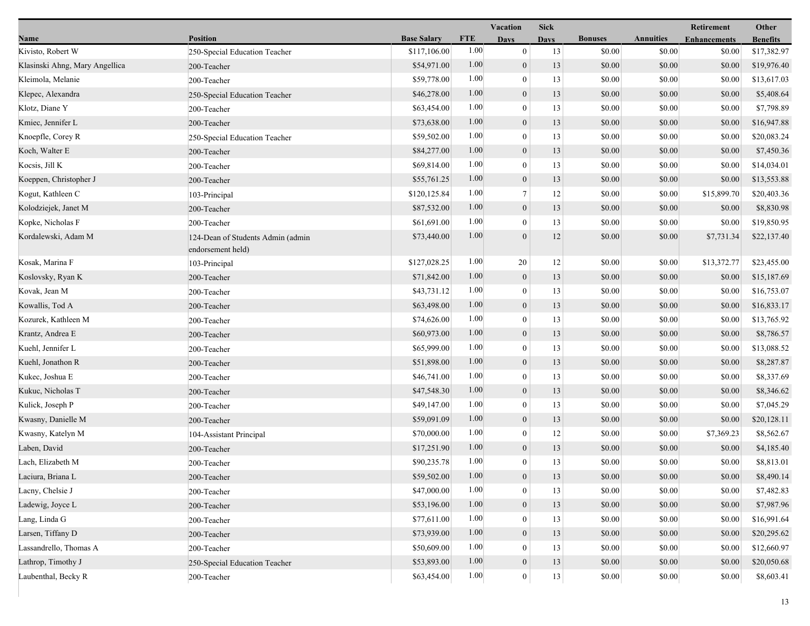|                                |                                                        |                    |            | Vacation         | <b>Sick</b> |                |                  | Retirement          | Other           |
|--------------------------------|--------------------------------------------------------|--------------------|------------|------------------|-------------|----------------|------------------|---------------------|-----------------|
| Name                           | <b>Position</b>                                        | <b>Base Salary</b> | <b>FTE</b> | <b>Days</b>      | <b>Days</b> | <b>Bonuses</b> | <b>Annuities</b> | <b>Enhancements</b> | <b>Benefits</b> |
| Kivisto, Robert W              | 250-Special Education Teacher                          | \$117,106.00       | 1.00       | $\mathbf{0}$     | 13          | \$0.00         | \$0.00           | \$0.00              | \$17,382.97     |
| Klasinski Ahng, Mary Angellica | 200-Teacher                                            | \$54,971.00        | 1.00       | $\mathbf{0}$     | 13          | \$0.00         | \$0.00           | \$0.00              | \$19,976.40     |
| Kleimola, Melanie              | 200-Teacher                                            | \$59,778.00        | 1.00       | $\mathbf{0}$     | 13          | \$0.00         | \$0.00           | \$0.00              | \$13,617.03     |
| Klepec, Alexandra              | 250-Special Education Teacher                          | \$46,278.00        | 1.00       | $\mathbf{0}$     | 13          | \$0.00         | \$0.00           | \$0.00              | \$5,408.64      |
| Klotz, Diane Y                 | 200-Teacher                                            | \$63,454.00        | 1.00       | $\boldsymbol{0}$ | 13          | \$0.00         | \$0.00           | \$0.00              | \$7,798.89      |
| Kmiec, Jennifer L              | 200-Teacher                                            | \$73,638.00        | 1.00       | $\mathbf{0}$     | 13          | \$0.00         | \$0.00           | \$0.00              | \$16,947.88     |
| Knoepfle, Corey R              | 250-Special Education Teacher                          | \$59,502.00        | 1.00       | $\Omega$         | 13          | \$0.00         | \$0.00           | \$0.00              | \$20,083.24     |
| Koch, Walter E                 | 200-Teacher                                            | \$84,277.00        | 1.00       | $\boldsymbol{0}$ | 13          | \$0.00         | \$0.00           | \$0.00              | \$7,450.36      |
| Kocsis, Jill K                 | 200-Teacher                                            | \$69,814.00        | 1.00       | $\boldsymbol{0}$ | 13          | \$0.00         | \$0.00           | \$0.00              | \$14,034.01     |
| Koeppen, Christopher J         | 200-Teacher                                            | \$55,761.25        | 1.00       | $\mathbf{0}$     | 13          | \$0.00         | \$0.00           | \$0.00              | \$13,553.88     |
| Kogut, Kathleen C              | 103-Principal                                          | \$120,125.84       | 1.00       | 7                | 12          | \$0.00         | \$0.00           | \$15,899.70         | \$20,403.36     |
| Kolodziejek, Janet M           | 200-Teacher                                            | \$87,532.00        | 1.00       | $\boldsymbol{0}$ | 13          | \$0.00         | \$0.00           | \$0.00              | \$8,830.98      |
| Kopke, Nicholas F              | 200-Teacher                                            | \$61,691.00        | 1.00       | $\theta$         | 13          | \$0.00         | \$0.00           | \$0.00              | \$19,850.95     |
| Kordalewski, Adam M            | 124-Dean of Students Admin (admin<br>endorsement held) | \$73,440.00        | 1.00       | $\overline{0}$   | 12          | \$0.00         | \$0.00           | \$7,731.34          | \$22,137.40     |
| Kosak, Marina F                | 103-Principal                                          | \$127,028.25       | 1.00       | 20               | 12          | \$0.00         | \$0.00           | \$13,372.77         | \$23,455.00     |
| Koslovsky, Ryan K              | 200-Teacher                                            | \$71,842.00        | 1.00       | $\mathbf{0}$     | 13          | \$0.00         | \$0.00           | \$0.00              | \$15,187.69     |
| Kovak, Jean M                  | 200-Teacher                                            | \$43,731.12        | 1.00       | $\mathbf{0}$     | 13          | \$0.00         | \$0.00           | \$0.00              | \$16,753.07     |
| Kowallis, Tod A                | 200-Teacher                                            | \$63,498.00        | 1.00       | $\overline{0}$   | 13          | \$0.00         | \$0.00           | \$0.00              | \$16,833.17     |
| Kozurek, Kathleen M            | 200-Teacher                                            | \$74,626.00        | 1.00       | $\mathbf{0}$     | 13          | \$0.00         | \$0.00           | \$0.00              | \$13,765.92     |
| Krantz, Andrea E               | 200-Teacher                                            | \$60,973.00        | 1.00       | $\boldsymbol{0}$ | 13          | \$0.00         | \$0.00           | \$0.00              | \$8,786.57      |
| Kuehl, Jennifer L              | 200-Teacher                                            | \$65,999.00        | 1.00       | $\overline{0}$   | 13          | \$0.00         | \$0.00           | \$0.00              | \$13,088.52     |
| Kuehl, Jonathon R              | 200-Teacher                                            | \$51,898.00        | 1.00       | $\mathbf{0}$     | 13          | \$0.00         | \$0.00           | \$0.00              | \$8,287.87      |
| Kukec, Joshua E                | 200-Teacher                                            | \$46,741.00        | 1.00       | $\theta$         | 13          | \$0.00         | \$0.00           | \$0.00              | \$8,337.69      |
| Kukuc, Nicholas T              | 200-Teacher                                            | \$47,548.30        | 1.00       | $\boldsymbol{0}$ | 13          | \$0.00         | \$0.00           | \$0.00              | \$8,346.62      |
| Kulick, Joseph P               | 200-Teacher                                            | \$49,147.00        | 1.00       | $\mathbf{0}$     | 13          | \$0.00         | \$0.00           | \$0.00              | \$7,045.29      |
| Kwasny, Danielle M             | 200-Teacher                                            | \$59,091.09        | 1.00       | $\overline{0}$   | 13          | \$0.00         | \$0.00           | \$0.00              | \$20,128.11     |
| Kwasny, Katelyn M              | 104-Assistant Principal                                | \$70,000.00        | 1.00       | $\boldsymbol{0}$ | 12          | \$0.00         | \$0.00           | \$7,369.23          | \$8,562.67      |
| Laben, David                   | 200-Teacher                                            | \$17,251.90        | 1.00       | $\mathbf{0}$     | 13          | \$0.00         | \$0.00           | \$0.00              | \$4,185.40      |
| Lach, Elizabeth M              | 200-Teacher                                            | \$90,235.78        | 1.00       | $\theta$         | 13          | \$0.00         | \$0.00           | \$0.00              | \$8,813.01      |
| Laciura, Briana L              | 200-Teacher                                            | \$59,502.00        | 1.00       | $\mathbf{0}$     | 13          | \$0.00         | \$0.00           | \$0.00              | \$8,490.14      |
| Lacny, Chelsie J               | 200-Teacher                                            | \$47,000.00        | 1.00       | $\bf{0}$         | 13          | \$0.00         | \$0.00           | \$0.00              | \$7,482.83      |
| Ladewig, Joyce L               | 200-Teacher                                            | \$53,196.00        | 1.00       | $\overline{0}$   | 13          | \$0.00         | \$0.00           | \$0.00              | \$7,987.96      |
| Lang, Linda G                  | 200-Teacher                                            | \$77,611.00        | 1.00       | $\theta$         | 13          | \$0.00         | \$0.00           | \$0.00              | \$16,991.64     |
| Larsen, Tiffany D              | 200-Teacher                                            | \$73,939.00        | 1.00       | $\overline{0}$   | 13          | \$0.00         | \$0.00           | \$0.00              | \$20,295.62     |
| Lassandrello, Thomas A         | 200-Teacher                                            | \$50,609.00        | 1.00       | $\Omega$         | 13          | \$0.00         | \$0.00           | \$0.00              | \$12,660.97     |
| Lathrop, Timothy J             | 250-Special Education Teacher                          | \$53,893.00        | 1.00       | $\boldsymbol{0}$ | 13          | \$0.00         | \$0.00           | \$0.00              | \$20,050.68     |
| Laubenthal, Becky R            | 200-Teacher                                            | \$63,454.00        | 1.00       | $\boldsymbol{0}$ | 13          | \$0.00         | \$0.00           | \$0.00              | \$8,603.41      |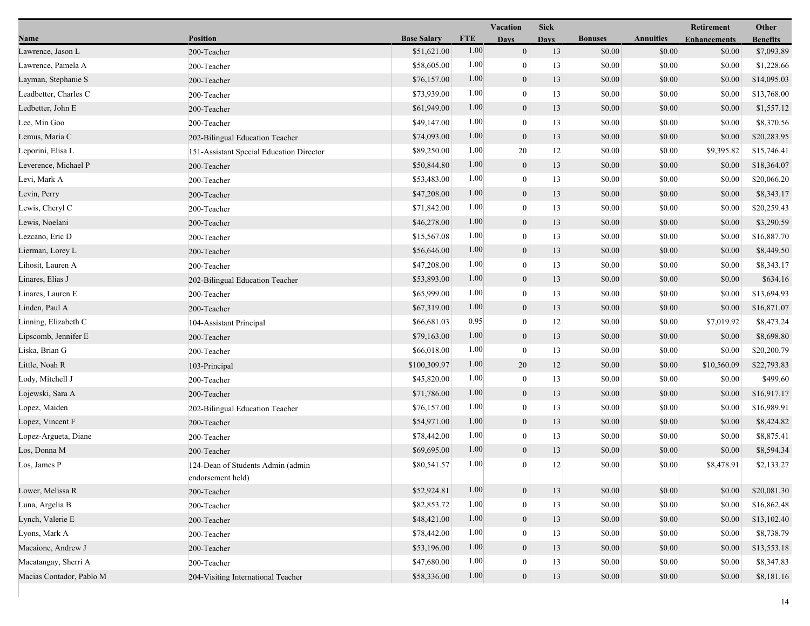|                          |                                                        |                    |            | Vacation         | <b>Sick</b> |                |                  | Retirement          | Other           |
|--------------------------|--------------------------------------------------------|--------------------|------------|------------------|-------------|----------------|------------------|---------------------|-----------------|
| Name                     | <b>Position</b>                                        | <b>Base Salary</b> | <b>FTE</b> | <b>Days</b>      | <b>Days</b> | <b>Bonuses</b> | <b>Annuities</b> | <b>Enhancements</b> | <b>Benefits</b> |
| Lawrence, Jason L        | 200-Teacher                                            | \$51,621.00        | 1.00       | $\boldsymbol{0}$ | 13          | \$0.00         | \$0.00           | \$0.00              | \$7,093.89      |
| Lawrence, Pamela A       | 200-Teacher                                            | \$58,605.00        | 1.00       | $\bf{0}$         | 13          | \$0.00         | \$0.00           | \$0.00              | \$1,228.66      |
| Layman, Stephanie S      | 200-Teacher                                            | \$76,157.00        | 1.00       | $\boldsymbol{0}$ | 13          | \$0.00         | \$0.00           | \$0.00              | \$14,095.03     |
| Leadbetter, Charles C    | 200-Teacher                                            | \$73,939.00        | 1.00       | $\mathbf{0}$     | 13          | \$0.00         | \$0.00           | \$0.00              | \$13,768.00     |
| Ledbetter, John E        | 200-Teacher                                            | \$61,949.00        | 1.00       | $\boldsymbol{0}$ | 13          | \$0.00         | \$0.00           | \$0.00              | \$1,557.12      |
| Lee, Min Goo             | 200-Teacher                                            | \$49,147.00        | 1.00       | $\boldsymbol{0}$ | 13          | \$0.00         | \$0.00           | \$0.00              | \$8,370.56      |
| Lemus, Maria C           | 202-Bilingual Education Teacher                        | \$74,093.00        | 1.00       | $\mathbf{0}$     | 13          | \$0.00         | \$0.00           | \$0.00              | \$20,283.95     |
| Leporini, Elisa L        | 151-Assistant Special Education Director               | \$89,250.00        | 1.00       | 20               | 12          | \$0.00         | \$0.00           | \$9,395.82          | \$15,746.41     |
| Leverence, Michael P     | 200-Teacher                                            | \$50,844.80        | 1.00       | $\boldsymbol{0}$ | 13          | \$0.00         | \$0.00           | \$0.00              | \$18,364.07     |
| Levi, Mark A             | 200-Teacher                                            | \$53,483.00        | 1.00       | $\mathbf{0}$     | 13          | \$0.00         | \$0.00           | \$0.00              | \$20,066.20     |
| Levin, Perry             | 200-Teacher                                            | \$47,208.00        | 1.00       | $\mathbf{0}$     | 13          | \$0.00         | \$0.00           | \$0.00              | \$8,343.17      |
| Lewis, Cheryl C          | 200-Teacher                                            | \$71,842.00        | 1.00       | $\boldsymbol{0}$ | 13          | \$0.00         | \$0.00           | \$0.00              | \$20,259.43     |
| Lewis, Noelani           | 200-Teacher                                            | \$46,278.00        | 1.00       | $\mathbf{0}$     | 13          | \$0.00         | \$0.00           | \$0.00              | \$3,290.59      |
| Lezcano, Eric D          | 200-Teacher                                            | \$15,567.08        | 1.00       | $\bf{0}$         | 13          | \$0.00         | \$0.00           | \$0.00              | \$16,887.70     |
| Lierman, Lorey L         | 200-Teacher                                            | \$56,646.00        | 1.00       | $\boldsymbol{0}$ | 13          | \$0.00         | \$0.00           | \$0.00              | \$8,449.50      |
| Lihosit, Lauren A        | 200-Teacher                                            | \$47,208.00        | 1.00       | $\mathbf{0}$     | 13          | \$0.00         | \$0.00           | \$0.00              | \$8,343.17      |
| Linares, Elias J         | 202-Bilingual Education Teacher                        | \$53,893.00        | 1.00       | $\mathbf{0}$     | 13          | \$0.00         | \$0.00           | \$0.00              | \$634.16        |
| Linares, Lauren E        | 200-Teacher                                            | \$65,999.00        | 1.00       | $\boldsymbol{0}$ | 13          | \$0.00         | \$0.00           | \$0.00              | \$13,694.93     |
| Linden, Paul A           | 200-Teacher                                            | \$67,319.00        | 1.00       | $\overline{0}$   | 13          | \$0.00         | \$0.00           | \$0.00              | \$16,871.07     |
| Linning, Elizabeth C     | 104-Assistant Principal                                | \$66,681.03        | 0.95       | $\bf{0}$         | 12          | \$0.00         | \$0.00           | \$7,019.92          | \$8,473.24      |
| Lipscomb, Jennifer E     | 200-Teacher                                            | \$79,163.00        | 1.00       | $\boldsymbol{0}$ | 13          | \$0.00         | \$0.00           | \$0.00              | \$8,698.80      |
| Liska, Brian G           | 200-Teacher                                            | \$66,018.00        | 1.00       | $\bf{0}$         | 13          | \$0.00         | \$0.00           | \$0.00              | \$20,200.79     |
| Little, Noah R           | 103-Principal                                          | \$100,309.97       | 1.00       | 20               | 12          | \$0.00         | \$0.00           | \$10,560.09         | \$22,793.83     |
| Lody, Mitchell J         | 200-Teacher                                            | \$45,820.00        | 1.00       | $\boldsymbol{0}$ | 13          | \$0.00         | \$0.00           | \$0.00              | \$499.60        |
| Lojewski, Sara A         | 200-Teacher                                            | \$71,786.00        | 1.00       | $\overline{0}$   | 13          | \$0.00         | \$0.00           | \$0.00              | \$16,917.17     |
| Lopez, Maiden            | 202-Bilingual Education Teacher                        | \$76,157.00        | 1.00       | $\theta$         | 13          | \$0.00         | \$0.00           | \$0.00              | \$16,989.91     |
| Lopez, Vincent F         | 200-Teacher                                            | \$54,971.00        | 1.00       | $\mathbf{0}$     | 13          | \$0.00         | \$0.00           | \$0.00              | \$8,424.82      |
| Lopez-Argueta, Diane     | 200-Teacher                                            | \$78,442.00        | 1.00       | $\boldsymbol{0}$ | 13          | \$0.00         | \$0.00           | \$0.00              | \$8,875.41      |
| Los, Donna M             | 200-Teacher                                            | \$69,695.00        | 1.00       | $\boldsymbol{0}$ | 13          | \$0.00         | \$0.00           | \$0.00              | \$8,594.34      |
| Los, James P             | 124-Dean of Students Admin (admin<br>endorsement held) | \$80,541.57        | 1.00       | $\overline{0}$   | 12          | \$0.00         | \$0.00           | \$8,478.91          | \$2,133.27      |
| Lower, Melissa R         | 200-Teacher                                            | \$52,924.81        | 1.00       | $\boldsymbol{0}$ | 13          | \$0.00         | \$0.00           | \$0.00              | \$20,081.30     |
| Luna, Argelia B          | 200-Teacher                                            | \$82,853.72        | 1.00       | $\boldsymbol{0}$ | 13          | \$0.00         | \$0.00           | \$0.00              | \$16,862.48     |
| Lynch, Valerie E         | 200-Teacher                                            | \$48,421.00        | 1.00       | $\boldsymbol{0}$ | 13          | \$0.00         | \$0.00           | \$0.00              | \$13,102.40     |
| Lyons, Mark A            | 200-Teacher                                            | \$78,442.00        | 1.00       | 0                | 13          | \$0.00         | \$0.00           | \$0.00              | \$8,738.79      |
| Macaione, Andrew J       | 200-Teacher                                            | \$53,196.00        | 1.00       | $\mathbf{0}$     | 13          | \$0.00         | \$0.00           | \$0.00              | \$13,553.18     |
| Macatangay, Sherri A     | 200-Teacher                                            | \$47,680.00        | 1.00       | 0                | 13          | \$0.00         | \$0.00           | \$0.00              | \$8,347.83      |
| Macias Contador, Pablo M | 204-Visiting International Teacher                     | \$58,336.00        | 1.00       | $\boldsymbol{0}$ | 13          | \$0.00         | \$0.00           | \$0.00              | \$8,181.16      |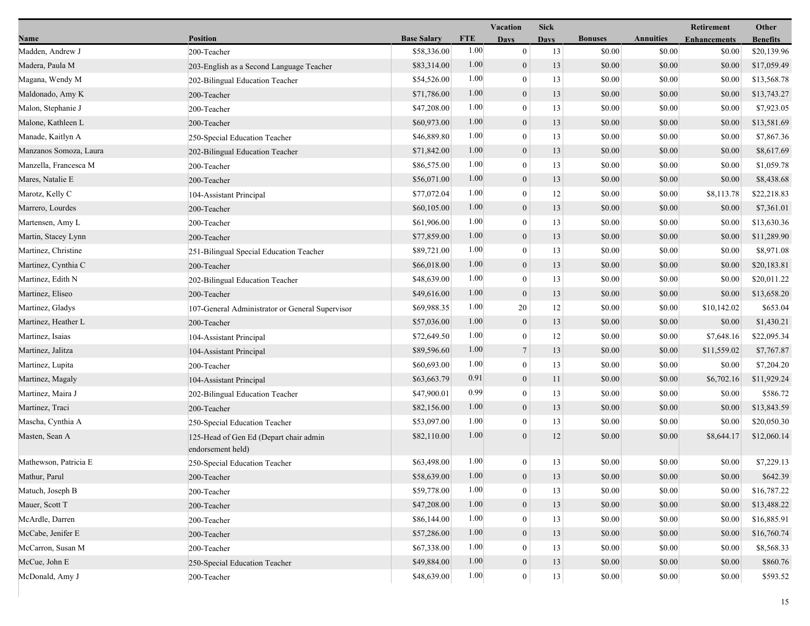|                        |                                                             |                    |            | Vacation         | <b>Sick</b> |                |                  | Retirement          | Other           |
|------------------------|-------------------------------------------------------------|--------------------|------------|------------------|-------------|----------------|------------------|---------------------|-----------------|
| Name                   | <b>Position</b>                                             | <b>Base Salary</b> | <b>FTE</b> | <b>Days</b>      | <b>Days</b> | <b>Bonuses</b> | <b>Annuities</b> | <b>Enhancements</b> | <b>Benefits</b> |
| Madden, Andrew J       | 200-Teacher                                                 | \$58,336.00        | 1.00       | $\mathbf{0}$     | 13          | \$0.00         | \$0.00           | \$0.00              | \$20,139.96     |
| Madera, Paula M        | 203-English as a Second Language Teacher                    | \$83,314.00        | 1.00       | $\boldsymbol{0}$ | 13          | \$0.00         | \$0.00           | \$0.00              | \$17,059.49     |
| Magana, Wendy M        | 202-Bilingual Education Teacher                             | \$54,526.00        | 1.00       | $\boldsymbol{0}$ | 13          | \$0.00         | \$0.00           | \$0.00              | \$13,568.78     |
| Maldonado, Amy K       | 200-Teacher                                                 | \$71,786.00        | 1.00       | $\boldsymbol{0}$ | 13          | \$0.00         | \$0.00           | \$0.00              | \$13,743.27     |
| Malon, Stephanie J     | 200-Teacher                                                 | \$47,208.00        | 1.00       | $\bf{0}$         | 13          | \$0.00         | \$0.00           | \$0.00              | \$7,923.05      |
| Malone, Kathleen L     | 200-Teacher                                                 | \$60,973.00        | 1.00       | $\boldsymbol{0}$ | 13          | \$0.00         | \$0.00           | \$0.00              | \$13,581.69     |
| Manade, Kaitlyn A      | 250-Special Education Teacher                               | \$46,889.80        | 1.00       | $\mathbf{0}$     | 13          | \$0.00         | \$0.00           | \$0.00              | \$7,867.36      |
| Manzanos Somoza, Laura | 202-Bilingual Education Teacher                             | \$71,842.00        | 1.00       | $\boldsymbol{0}$ | 13          | \$0.00         | \$0.00           | \$0.00              | \$8,617.69      |
| Manzella, Francesca M  | 200-Teacher                                                 | \$86,575.00        | 1.00       | $\bf{0}$         | 13          | \$0.00         | \$0.00           | \$0.00              | \$1,059.78      |
| Mares, Natalie E       | 200-Teacher                                                 | \$56,071.00        | 1.00       | $\mathbf{0}$     | 13          | \$0.00         | \$0.00           | \$0.00              | \$8,438.68      |
| Marotz, Kelly C        | 104-Assistant Principal                                     | \$77,072.04        | 1.00       | $\bf{0}$         | 12          | \$0.00         | \$0.00           | \$8,113.78          | \$22,218.83     |
| Marrero, Lourdes       | 200-Teacher                                                 | \$60,105.00        | 1.00       | $\mathbf{0}$     | 13          | \$0.00         | \$0.00           | \$0.00              | \$7,361.01      |
| Martensen, Amy L       | 200-Teacher                                                 | \$61,906.00        | 1.00       | $\mathbf{0}$     | 13          | \$0.00         | \$0.00           | \$0.00              | \$13,630.36     |
| Martin, Stacey Lynn    | 200-Teacher                                                 | \$77,859.00        | 1.00       | $\mathbf{0}$     | 13          | \$0.00         | \$0.00           | \$0.00              | \$11,289.90     |
| Martinez, Christine    | 251-Bilingual Special Education Teacher                     | \$89,721.00        | 1.00       | $\bf{0}$         | 13          | \$0.00         | \$0.00           | \$0.00              | \$8,971.08      |
| Martinez, Cynthia C    | 200-Teacher                                                 | \$66,018.00        | 1.00       | $\mathbf{0}$     | 13          | \$0.00         | \$0.00           | \$0.00              | \$20,183.81     |
| Martinez, Edith N      | 202-Bilingual Education Teacher                             | \$48,639.00        | 1.00       | $\bf{0}$         | 13          | \$0.00         | \$0.00           | \$0.00              | \$20,011.22     |
| Martinez, Eliseo       | 200-Teacher                                                 | \$49,616.00        | 1.00       | $\boldsymbol{0}$ | 13          | \$0.00         | \$0.00           | \$0.00              | \$13,658.20     |
| Martinez, Gladys       | 107-General Administrator or General Supervisor             | \$69,988.35        | 1.00       | 20               | 12          | \$0.00         | \$0.00           | \$10,142.02         | \$653.04        |
| Martinez, Heather L    | 200-Teacher                                                 | \$57,036.00        | 1.00       | $\boldsymbol{0}$ | 13          | \$0.00         | \$0.00           | \$0.00              | \$1,430.21      |
| Martinez, Isaias       | 104-Assistant Principal                                     | \$72,649.50        | 1.00       | $\boldsymbol{0}$ | 12          | \$0.00         | \$0.00           | \$7,648.16          | \$22,095.34     |
| Martinez, Jalitza      | 104-Assistant Principal                                     | \$89,596.60        | 1.00       | $\tau$           | 13          | \$0.00         | \$0.00           | \$11,559.02         | \$7,767.87      |
| Martinez, Lupita       | 200-Teacher                                                 | \$60,693.00        | 1.00       | $\bf{0}$         | 13          | \$0.00         | \$0.00           | \$0.00              | \$7,204.20      |
| Martinez, Magaly       | 104-Assistant Principal                                     | \$63,663.79        | 0.91       | $\boldsymbol{0}$ | 11          | \$0.00         | \$0.00           | \$6,702.16          | \$11,929.24     |
| Martinez, Maira J      | 202-Bilingual Education Teacher                             | \$47,900.01        | 0.99       | $\mathbf{0}$     | 13          | \$0.00         | \$0.00           | \$0.00              | \$586.72        |
| Martinez, Traci        | 200-Teacher                                                 | \$82,156.00        | 1.00       | $\mathbf{0}$     | 13          | \$0.00         | \$0.00           | \$0.00              | \$13,843.59     |
| Mascha, Cynthia A      | 250-Special Education Teacher                               | \$53,097.00        | 1.00       | $\mathbf{0}$     | 13          | \$0.00         | \$0.00           | \$0.00              | \$20,050.30     |
| Masten, Sean A         | 125-Head of Gen Ed (Depart chair admin<br>endorsement held) | \$82,110.00        | 1.00       | $\theta$         | 12          | \$0.00         | \$0.00           | \$8,644.17          | \$12,060.14     |
| Mathewson, Patricia E  | 250-Special Education Teacher                               | \$63,498.00        | 1.00       | $\boldsymbol{0}$ | 13          | \$0.00         | \$0.00           | \$0.00              | \$7,229.13      |
| Mathur, Parul          | 200-Teacher                                                 | \$58,639.00        | 1.00       | $\mathbf{0}$     | 13          | \$0.00         | \$0.00           | \$0.00              | \$642.39        |
| Matuch, Joseph B       | 200-Teacher                                                 | \$59,778.00        | 1.00       | 0                | 13          | \$0.00         | \$0.00           | \$0.00              | \$16,787.22     |
| Mauer, Scott T         | 200-Teacher                                                 | \$47,208.00        | 1.00       | $\mathbf{0}$     | 13          | \$0.00         | \$0.00           | \$0.00              | \$13,488.22     |
| McArdle, Darren        | 200-Teacher                                                 | \$86,144.00        | 1.00       | $\theta$         | 13          | \$0.00         | \$0.00           | \$0.00              | \$16,885.91     |
| McCabe, Jenifer E      | 200-Teacher                                                 | \$57,286.00        | 1.00       | $\mathbf{0}$     | 13          | \$0.00         | \$0.00           | \$0.00              | \$16,760.74     |
| McCarron, Susan M      | 200-Teacher                                                 | \$67,338.00        | 1.00       | $\Omega$         | 13          | \$0.00         | \$0.00           | \$0.00              | \$8,568.33      |
| McCue, John E          | 250-Special Education Teacher                               | \$49,884.00        | 1.00       | $\mathbf{0}$     | 13          | \$0.00         | \$0.00           | \$0.00              | \$860.76        |
| McDonald, Amy J        | 200-Teacher                                                 | \$48,639.00        | $1.00\,$   | $\boldsymbol{0}$ | 13          | \$0.00         | \$0.00           | \$0.00              | \$593.52        |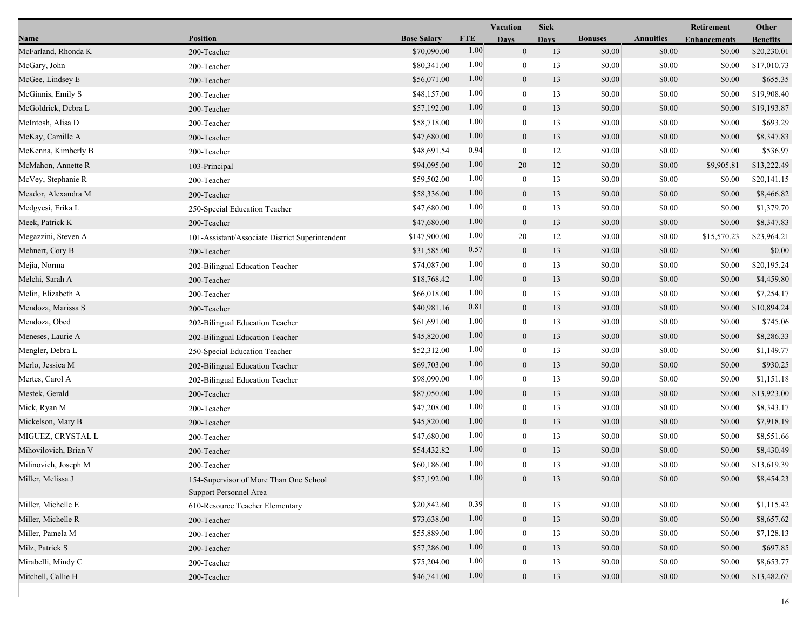|                       |                                                                  |                    |            | Vacation         | <b>Sick</b> |                |                  | Retirement          | Other           |
|-----------------------|------------------------------------------------------------------|--------------------|------------|------------------|-------------|----------------|------------------|---------------------|-----------------|
| Name                  | <b>Position</b>                                                  | <b>Base Salary</b> | <b>FTE</b> | <b>Days</b>      | <b>Days</b> | <b>Bonuses</b> | <b>Annuities</b> | <b>Enhancements</b> | <b>Benefits</b> |
| McFarland, Rhonda K   | 200-Teacher                                                      | \$70,090.00        | 1.00       | $\mathbf{0}$     | 13          | \$0.00         | \$0.00           | \$0.00              | \$20,230.01     |
| McGary, John          | 200-Teacher                                                      | \$80,341.00        | 1.00       | $\mathbf{0}$     | 13          | \$0.00         | \$0.00           | \$0.00              | \$17,010.73     |
| McGee, Lindsey E      | 200-Teacher                                                      | \$56,071.00        | 1.00       | $\mathbf{0}$     | 13          | \$0.00         | \$0.00           | \$0.00              | \$655.35        |
| McGinnis, Emily S     | 200-Teacher                                                      | \$48,157.00        | 1.00       | $\mathbf{0}$     | 13          | \$0.00         | \$0.00           | \$0.00              | \$19,908.40     |
| McGoldrick, Debra L   | 200-Teacher                                                      | \$57,192.00        | 1.00       | $\mathbf{0}$     | 13          | \$0.00         | \$0.00           | \$0.00              | \$19,193.87     |
| McIntosh, Alisa D     | 200-Teacher                                                      | \$58,718.00        | 1.00       | $\mathbf{0}$     | 13          | \$0.00         | \$0.00           | \$0.00              | \$693.29        |
| McKay, Camille A      | 200-Teacher                                                      | \$47,680.00        | 1.00       | $\mathbf{0}$     | 13          | \$0.00         | \$0.00           | \$0.00              | \$8,347.83      |
| McKenna, Kimberly B   | 200-Teacher                                                      | \$48,691.54        | 0.94       | $\theta$         | 12          | \$0.00         | \$0.00           | \$0.00              | \$536.97        |
| McMahon, Annette R    | 103-Principal                                                    | \$94,095.00        | 1.00       | 20               | 12          | \$0.00         | \$0.00           | \$9,905.81          | \$13,222.49     |
| McVey, Stephanie R    | 200-Teacher                                                      | \$59,502.00        | 1.00       | $\mathbf{0}$     | 13          | \$0.00         | \$0.00           | \$0.00              | \$20,141.15     |
| Meador, Alexandra M   | 200-Teacher                                                      | \$58,336.00        | 1.00       | $\mathbf{0}$     | 13          | \$0.00         | \$0.00           | \$0.00              | \$8,466.82      |
| Medgyesi, Erika L     | 250-Special Education Teacher                                    | \$47,680.00        | 1.00       | $\theta$         | 13          | \$0.00         | \$0.00           | \$0.00              | \$1,379.70      |
| Meek, Patrick K       | 200-Teacher                                                      | \$47,680.00        | 1.00       | $\mathbf{0}$     | 13          | \$0.00         | \$0.00           | \$0.00              | \$8,347.83      |
| Megazzini, Steven A   | 101-Assistant/Associate District Superintendent                  | \$147,900.00       | 1.00       | 20               | 12          | \$0.00         | \$0.00           | \$15,570.23         | \$23,964.21     |
| Mehnert, Cory B       | 200-Teacher                                                      | \$31,585.00        | 0.57       | $\boldsymbol{0}$ | 13          | \$0.00         | \$0.00           | \$0.00              | \$0.00          |
| Mejia, Norma          | 202-Bilingual Education Teacher                                  | \$74,087.00        | 1.00       | $\theta$         | 13          | \$0.00         | \$0.00           | \$0.00              | \$20,195.24     |
| Melchi, Sarah A       | 200-Teacher                                                      | \$18,768.42        | 1.00       | $\boldsymbol{0}$ | 13          | \$0.00         | \$0.00           | \$0.00              | \$4,459.80      |
| Melin, Elizabeth A    | 200-Teacher                                                      | \$66,018.00        | 1.00       | $\theta$         | 13          | \$0.00         | \$0.00           | \$0.00              | \$7,254.17      |
| Mendoza, Marissa S    | 200-Teacher                                                      | \$40,981.16        | 0.81       | $\mathbf{0}$     | 13          | \$0.00         | \$0.00           | \$0.00              | \$10,894.24     |
| Mendoza, Obed         | 202-Bilingual Education Teacher                                  | \$61,691.00        | 1.00       | $\theta$         | 13          | \$0.00         | \$0.00           | \$0.00              | \$745.06        |
| Meneses, Laurie A     | 202-Bilingual Education Teacher                                  | \$45,820.00        | 1.00       | $\mathbf{0}$     | 13          | \$0.00         | \$0.00           | \$0.00              | \$8,286.33      |
| Mengler, Debra L      | 250-Special Education Teacher                                    | \$52,312.00        | 1.00       | $\theta$         | 13          | \$0.00         | \$0.00           | \$0.00              | \$1,149.77      |
| Merlo, Jessica M      | 202-Bilingual Education Teacher                                  | \$69,703.00        | 1.00       | $\mathbf{0}$     | 13          | \$0.00         | \$0.00           | \$0.00              | \$930.25        |
| Mertes, Carol A       | 202-Bilingual Education Teacher                                  | \$98,090.00        | 1.00       | $\overline{0}$   | 13          | \$0.00         | \$0.00           | \$0.00              | \$1,151.18      |
| Mestek, Gerald        | 200-Teacher                                                      | \$87,050.00        | 1.00       | $\mathbf{0}$     | 13          | \$0.00         | \$0.00           | \$0.00              | \$13,923.00     |
| Mick, Ryan M          | 200-Teacher                                                      | \$47,208.00        | 1.00       | $\theta$         | 13          | \$0.00         | \$0.00           | \$0.00              | \$8,343.17      |
| Mickelson, Mary B     | 200-Teacher                                                      | \$45,820.00        | 1.00       | $\mathbf{0}$     | 13          | \$0.00         | \$0.00           | \$0.00              | \$7,918.19      |
| MIGUEZ, CRYSTAL L     | 200-Teacher                                                      | \$47,680.00        | 1.00       | $\mathbf{0}$     | 13          | \$0.00         | \$0.00           | \$0.00              | \$8,551.66      |
| Mihovilovich, Brian V | 200-Teacher                                                      | \$54,432.82        | 1.00       | $\mathbf{0}$     | 13          | \$0.00         | \$0.00           | \$0.00              | \$8,430.49      |
| Milinovich, Joseph M  | 200-Teacher                                                      | \$60,186.00        | 1.00       | $\overline{0}$   | 13          | \$0.00         | \$0.00           | \$0.00              | \$13,619.39     |
| Miller, Melissa J     | 154-Supervisor of More Than One School<br>Support Personnel Area | \$57,192.00        | $1.00\,$   | $\mathbf{0}$     | 13          | \$0.00         | \$0.00           | \$0.00              | \$8,454.23      |
| Miller, Michelle E    | 610-Resource Teacher Elementary                                  | \$20,842.60        | 0.39       | $\overline{0}$   | 13          | \$0.00         | \$0.00           | \$0.00              | \$1,115.42      |
| Miller, Michelle R    | 200-Teacher                                                      | \$73,638.00        | 1.00       | $\mathbf{0}$     | 13          | \$0.00         | \$0.00           | \$0.00              | \$8,657.62      |
| Miller, Pamela M      | 200-Teacher                                                      | \$55,889.00        | 1.00       | $\overline{0}$   | 13          | \$0.00         | \$0.00           | \$0.00              | \$7,128.13      |
| Milz, Patrick S       | 200-Teacher                                                      | \$57,286.00        | 1.00       | $\mathbf{0}$     | 13          | \$0.00         | \$0.00           | \$0.00              | \$697.85        |
| Mirabelli, Mindy C    | 200-Teacher                                                      | \$75,204.00        | 1.00       | $\mathbf{0}$     | 13          | \$0.00         | \$0.00           | \$0.00              | \$8,653.77      |
| Mitchell, Callie H    | 200-Teacher                                                      | \$46,741.00        | 1.00       | $\boldsymbol{0}$ | 13          | \$0.00         | \$0.00           | \$0.00              | \$13,482.67     |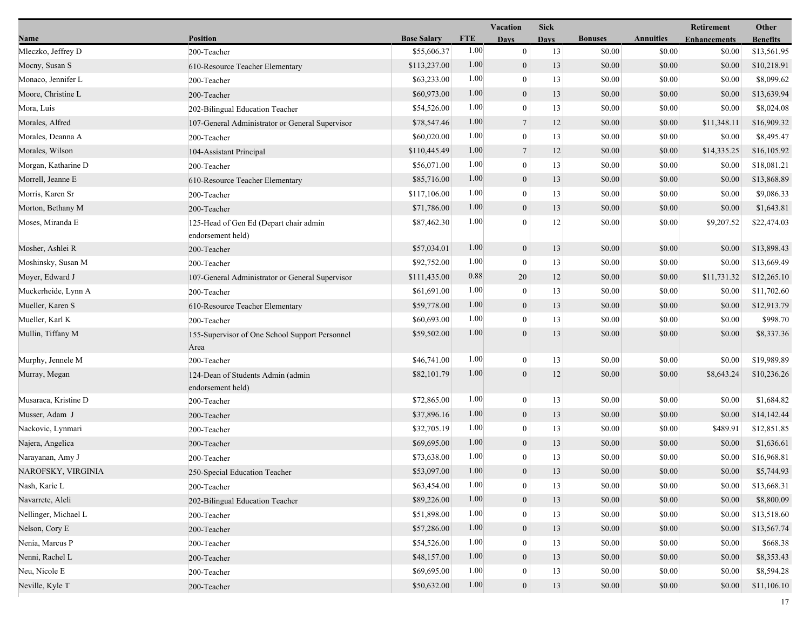|                      |                                                             |                    |            | <b>Vacation</b>  | Sick        |                |                  | Retirement          | Other           |
|----------------------|-------------------------------------------------------------|--------------------|------------|------------------|-------------|----------------|------------------|---------------------|-----------------|
| Name                 | <b>Position</b>                                             | <b>Base Salary</b> | <b>FTE</b> | <b>Days</b>      | <b>Days</b> | <b>Bonuses</b> | <b>Annuities</b> | <b>Enhancements</b> | <b>Benefits</b> |
| Mleczko, Jeffrey D   | 200-Teacher                                                 | \$55,606.37        | 1.00       | $\boldsymbol{0}$ | 13          | \$0.00         | \$0.00           | \$0.00              | \$13,561.95     |
| Mocny, Susan S       | 610-Resource Teacher Elementary                             | \$113,237.00       | 1.00       | $\boldsymbol{0}$ | 13          | \$0.00         | \$0.00           | \$0.00              | \$10,218.91     |
| Monaco, Jennifer L   | 200-Teacher                                                 | \$63,233.00        | 1.00       | $\boldsymbol{0}$ | 13          | \$0.00         | \$0.00           | \$0.00              | \$8,099.62      |
| Moore, Christine L   | 200-Teacher                                                 | \$60,973.00        | 1.00       | $\boldsymbol{0}$ | 13          | \$0.00         | \$0.00           | \$0.00              | \$13,639.94     |
| Mora, Luis           | 202-Bilingual Education Teacher                             | \$54,526.00        | 1.00       | $\boldsymbol{0}$ | 13          | \$0.00         | \$0.00           | \$0.00              | \$8,024.08      |
| Morales, Alfred      | 107-General Administrator or General Supervisor             | \$78,547.46        | 1.00       | $\overline{7}$   | 12          | \$0.00         | \$0.00           | \$11,348.11         | \$16,909.32     |
| Morales, Deanna A    | 200-Teacher                                                 | \$60,020.00        | 1.00       | $\overline{0}$   | 13          | \$0.00         | \$0.00           | \$0.00              | \$8,495.47      |
| Morales, Wilson      | 104-Assistant Principal                                     | \$110,445.49       | 1.00       | $\overline{7}$   | 12          | \$0.00         | \$0.00           | \$14,335.25         | \$16,105.92     |
| Morgan, Katharine D  | 200-Teacher                                                 | \$56,071.00        | 1.00       | $\boldsymbol{0}$ | 13          | \$0.00         | \$0.00           | \$0.00              | \$18,081.21     |
| Morrell, Jeanne E    | 610-Resource Teacher Elementary                             | \$85,716.00        | 1.00       | $\boldsymbol{0}$ | 13          | \$0.00         | \$0.00           | \$0.00              | \$13,868.89     |
| Morris, Karen Sr     | 200-Teacher                                                 | \$117,106.00       | 1.00       | $\boldsymbol{0}$ | 13          | \$0.00         | \$0.00           | \$0.00              | \$9,086.33      |
| Morton, Bethany M    | 200-Teacher                                                 | \$71,786.00        | 1.00       | $\boldsymbol{0}$ | 13          | \$0.00         | \$0.00           | \$0.00              | \$1,643.81      |
| Moses, Miranda E     | 125-Head of Gen Ed (Depart chair admin<br>endorsement held) | \$87,462.30        | 1.00       | $\mathbf{0}$     | 12          | \$0.00         | \$0.00           | \$9,207.52          | \$22,474.03     |
| Mosher, Ashlei R     | 200-Teacher                                                 | \$57,034.01        | 1.00       | $\boldsymbol{0}$ | 13          | \$0.00         | \$0.00           | \$0.00              | \$13,898.43     |
| Moshinsky, Susan M   | 200-Teacher                                                 | \$92,752.00        | 1.00       | $\boldsymbol{0}$ | 13          | \$0.00         | \$0.00           | \$0.00              | \$13,669.49     |
| Moyer, Edward J      | 107-General Administrator or General Supervisor             | \$111,435.00       | 0.88       | 20               | 12          | \$0.00         | \$0.00           | \$11,731.32         | \$12,265.10     |
| Muckerheide, Lynn A  | 200-Teacher                                                 | \$61,691.00        | 1.00       | $\boldsymbol{0}$ | 13          | \$0.00         | \$0.00           | \$0.00              | \$11,702.60     |
| Mueller, Karen S     | 610-Resource Teacher Elementary                             | \$59,778.00        | 1.00       | $\boldsymbol{0}$ | 13          | \$0.00         | \$0.00           | \$0.00              | \$12,913.79     |
| Mueller, Karl K      | 200-Teacher                                                 | \$60,693.00        | 1.00       | $\mathbf{0}$     | 13          | \$0.00         | \$0.00           | \$0.00              | \$998.70        |
| Mullin, Tiffany M    | 155-Supervisor of One School Support Personnel<br>Area      | \$59,502.00        | 1.00       | $\overline{0}$   | 13          | \$0.00         | \$0.00           | \$0.00              | \$8,337.36      |
| Murphy, Jennele M    | 200-Teacher                                                 | \$46,741.00        | 1.00       | $\boldsymbol{0}$ | 13          | \$0.00         | \$0.00           | \$0.00              | \$19,989.89     |
| Murray, Megan        | 124-Dean of Students Admin (admin<br>endorsement held)      | \$82,101.79        | 1.00       | $\overline{0}$   | 12          | \$0.00         | \$0.00           | \$8,643.24          | \$10,236.26     |
| Musaraca, Kristine D | 200-Teacher                                                 | \$72,865.00        | 1.00       | $\boldsymbol{0}$ | 13          | \$0.00         | \$0.00           | \$0.00              | \$1,684.82      |
| Musser, Adam J       | 200-Teacher                                                 | \$37,896.16        | 1.00       | $\boldsymbol{0}$ | 13          | \$0.00         | \$0.00           | \$0.00              | \$14,142.44     |
| Nackovic, Lynmari    | 200-Teacher                                                 | \$32,705.19        | 1.00       | $\boldsymbol{0}$ | 13          | \$0.00         | \$0.00           | \$489.91            | \$12,851.85     |
| Najera, Angelica     | 200-Teacher                                                 | \$69,695.00        | 1.00       | $\overline{0}$   | 13          | \$0.00         | \$0.00           | \$0.00              | \$1,636.61      |
| Narayanan, Amy J     | 200-Teacher                                                 | \$73,638.00        | 1.00       | $\boldsymbol{0}$ | 13          | \$0.00         | \$0.00           | \$0.00              | \$16,968.81     |
| NAROFSKY, VIRGINIA   | 250-Special Education Teacher                               | \$53,097.00        | 1.00       | $\overline{0}$   | 13          | \$0.00         | \$0.00           | \$0.00              | \$5,744.93      |
| Nash, Karie L        | 200-Teacher                                                 | \$63,454.00        | 1.00       | $\boldsymbol{0}$ | 13          | \$0.00         | \$0.00           | \$0.00              | \$13,668.31     |
| Navarrete, Aleli     | 202-Bilingual Education Teacher                             | \$89,226.00        | 1.00       | $\boldsymbol{0}$ | 13          | \$0.00         | \$0.00           | \$0.00              | \$8,800.09      |
| Nellinger, Michael L | 200-Teacher                                                 | \$51,898.00        | 1.00       | $\boldsymbol{0}$ | 13          | \$0.00         | \$0.00           | \$0.00              | \$13,518.60     |
| Nelson, Cory E       | 200-Teacher                                                 | \$57,286.00        | 1.00       | $\boldsymbol{0}$ | 13          | \$0.00         | \$0.00           | \$0.00              | \$13,567.74     |
| Nenia, Marcus P      | 200-Teacher                                                 | \$54,526.00        | 1.00       | $\boldsymbol{0}$ | 13          | \$0.00         | \$0.00           | \$0.00              | \$668.38        |
| Nenni, Rachel L      | 200-Teacher                                                 | \$48,157.00        | 1.00       | $\boldsymbol{0}$ | 13          | \$0.00         | \$0.00           | \$0.00              | \$8,353.43      |
| Neu, Nicole E        | 200-Teacher                                                 | \$69,695.00        | 1.00       | $\boldsymbol{0}$ | 13          | \$0.00         | \$0.00           | \$0.00              | \$8,594.28      |
| Neville, Kyle T      | 200-Teacher                                                 | \$50,632.00        | 1.00       | $\boldsymbol{0}$ | 13          | \$0.00         | \$0.00           | \$0.00              | \$11,106.10     |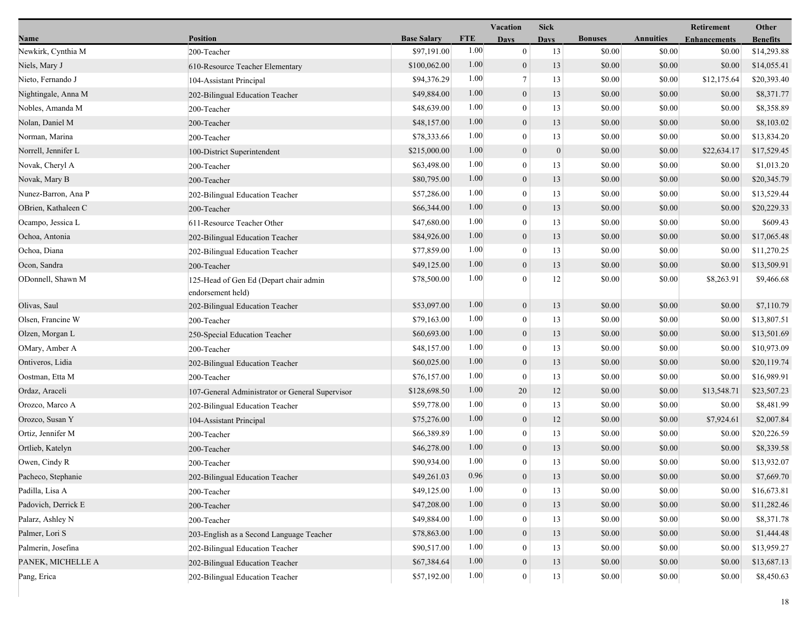|                     |                                                             |                    |            | Vacation         | <b>Sick</b>  |                |                  | Retirement          | Other           |
|---------------------|-------------------------------------------------------------|--------------------|------------|------------------|--------------|----------------|------------------|---------------------|-----------------|
| Name                | <b>Position</b>                                             | <b>Base Salary</b> | <b>FTE</b> | <b>Days</b>      | <b>Days</b>  | <b>Bonuses</b> | <b>Annuities</b> | <b>Enhancements</b> | <b>Benefits</b> |
| Newkirk, Cynthia M  | 200-Teacher                                                 | \$97,191.00        | 1.00       | $\overline{0}$   | 13           | \$0.00         | \$0.00           | \$0.00              | \$14,293.88     |
| Niels, Mary J       | 610-Resource Teacher Elementary                             | \$100,062.00       | 1.00       | $\mathbf{0}$     | 13           | \$0.00         | \$0.00           | \$0.00              | \$14,055.41     |
| Nieto, Fernando J   | 104-Assistant Principal                                     | \$94,376.29        | 1.00       | $\overline{7}$   | 13           | \$0.00         | \$0.00           | \$12,175.64         | \$20,393.40     |
| Nightingale, Anna M | 202-Bilingual Education Teacher                             | \$49,884.00        | 1.00       | $\mathbf{0}$     | 13           | \$0.00         | \$0.00           | \$0.00              | \$8,371.77      |
| Nobles, Amanda M    | 200-Teacher                                                 | \$48,639.00        | 1.00       | $\theta$         | 13           | \$0.00         | \$0.00           | \$0.00              | \$8,358.89      |
| Nolan, Daniel M     | 200-Teacher                                                 | \$48,157.00        | 1.00       | $\boldsymbol{0}$ | 13           | \$0.00         | \$0.00           | \$0.00              | \$8,103.02      |
| Norman, Marina      | 200-Teacher                                                 | \$78,333.66        | 1.00       | $\mathbf{0}$     | 13           | \$0.00         | \$0.00           | \$0.00              | \$13,834.20     |
| Norrell, Jennifer L | 100-District Superintendent                                 | \$215,000.00       | 1.00       | $\mathbf{0}$     | $\mathbf{0}$ | \$0.00         | \$0.00           | \$22,634.17         | \$17,529.45     |
| Novak, Cheryl A     | 200-Teacher                                                 | \$63,498.00        | 1.00       | $\overline{0}$   | 13           | \$0.00         | \$0.00           | \$0.00              | \$1,013.20      |
| Novak, Mary B       | 200-Teacher                                                 | \$80,795.00        | 1.00       | $\mathbf{0}$     | 13           | \$0.00         | \$0.00           | \$0.00              | \$20,345.79     |
| Nunez-Barron, Ana P | 202-Bilingual Education Teacher                             | \$57,286.00        | 1.00       | $\theta$         | 13           | \$0.00         | \$0.00           | \$0.00              | \$13,529.44     |
| OBrien, Kathaleen C | 200-Teacher                                                 | \$66,344.00        | 1.00       | $\boldsymbol{0}$ | 13           | \$0.00         | \$0.00           | \$0.00              | \$20,229.33     |
| Ocampo, Jessica L   | 611-Resource Teacher Other                                  | \$47,680.00        | 1.00       | $\theta$         | 13           | \$0.00         | \$0.00           | \$0.00              | \$609.43        |
| Ochoa, Antonia      | 202-Bilingual Education Teacher                             | \$84,926.00        | 1.00       | $\mathbf{0}$     | 13           | \$0.00         | \$0.00           | \$0.00              | \$17,065.48     |
| Ochoa, Diana        | 202-Bilingual Education Teacher                             | \$77,859.00        | 1.00       | $\mathbf{0}$     | 13           | \$0.00         | \$0.00           | \$0.00              | \$11,270.25     |
| Ocon, Sandra        | 200-Teacher                                                 | \$49,125.00        | 1.00       | $\mathbf{0}$     | 13           | \$0.00         | \$0.00           | \$0.00              | \$13,509.91     |
| ODonnell, Shawn M   | 125-Head of Gen Ed (Depart chair admin<br>endorsement held) | \$78,500.00        | 1.00       | $\Omega$         | 12           | \$0.00         | \$0.00           | \$8,263.91          | \$9,466.68      |
| Olivas, Saul        | 202-Bilingual Education Teacher                             | \$53,097.00        | 1.00       | $\mathbf{0}$     | 13           | \$0.00         | \$0.00           | \$0.00              | \$7,110.79      |
| Olsen, Francine W   | 200-Teacher                                                 | \$79,163.00        | 1.00       | $\overline{0}$   | 13           | \$0.00         | \$0.00           | \$0.00              | \$13,807.51     |
| Olzen, Morgan L     | 250-Special Education Teacher                               | \$60,693.00        | 1.00       | $\mathbf{0}$     | 13           | \$0.00         | \$0.00           | \$0.00              | \$13,501.69     |
| OMary, Amber A      | 200-Teacher                                                 | \$48,157.00        | 1.00       | $\overline{0}$   | 13           | \$0.00         | \$0.00           | \$0.00              | \$10,973.09     |
| Ontiveros, Lidia    | 202-Bilingual Education Teacher                             | \$60,025.00        | 1.00       | $\boldsymbol{0}$ | 13           | \$0.00         | \$0.00           | \$0.00              | \$20,119.74     |
| Oostman, Etta M     | 200-Teacher                                                 | \$76,157.00        | 1.00       | $\mathbf{0}$     | 13           | \$0.00         | \$0.00           | \$0.00              | \$16,989.91     |
| Ordaz, Araceli      | 107-General Administrator or General Supervisor             | \$128,698.50       | 1.00       | 20               | 12           | \$0.00         | \$0.00           | \$13,548.71         | \$23,507.23     |
| Orozco, Marco A     | 202-Bilingual Education Teacher                             | \$59,778.00        | 1.00       | $\boldsymbol{0}$ | 13           | \$0.00         | \$0.00           | \$0.00              | \$8,481.99      |
| Orozco, Susan Y     | 104-Assistant Principal                                     | \$75,276.00        | 1.00       | $\mathbf{0}$     | 12           | \$0.00         | \$0.00           | \$7,924.61          | \$2,007.84      |
| Ortiz, Jennifer M   | 200-Teacher                                                 | \$66,389.89        | 1.00       | $\mathbf{0}$     | 13           | \$0.00         | \$0.00           | \$0.00              | \$20,226.59     |
| Ortlieb, Katelyn    | 200-Teacher                                                 | \$46,278.00        | 1.00       | $\mathbf{0}$     | 13           | \$0.00         | \$0.00           | \$0.00              | \$8,339.58      |
| Owen, Cindy R       | 200-Teacher                                                 | \$90,934.00        | 1.00       | $\mathbf{0}$     | 13           | \$0.00         | \$0.00           | \$0.00              | \$13,932.07     |
| Pacheco, Stephanie  | 202-Bilingual Education Teacher                             | \$49,261.03        | 0.96       | $\Omega$         | 13           | \$0.00         | \$0.00           | \$0.00              | \$7,669.70      |
| Padilla, Lisa A     | 200-Teacher                                                 | \$49,125.00        | 1.00       | $\mathbf{0}$     | 13           | \$0.00         | \$0.00           | \$0.00              | \$16,673.81     |
| Padovich, Derrick E | 200-Teacher                                                 | \$47,208.00        | 1.00       | $\mathbf{0}$     | 13           | \$0.00         | \$0.00           | \$0.00              | \$11,282.46     |
| Palarz, Ashley N    | 200-Teacher                                                 | \$49,884.00        | 1.00       | $\theta$         | 13           | \$0.00         | \$0.00           | \$0.00              | \$8,371.78      |
| Palmer, Lori S      | 203-English as a Second Language Teacher                    | \$78,863.00        | 1.00       | $\mathbf{0}$     | 13           | \$0.00         | \$0.00           | \$0.00              | \$1,444.48      |
| Palmerin, Josefina  | 202-Bilingual Education Teacher                             | \$90,517.00        | 1.00       | $\theta$         | 13           | \$0.00         | \$0.00           | \$0.00              | \$13,959.27     |
| PANEK, MICHELLE A   | 202-Bilingual Education Teacher                             | \$67,384.64        | 1.00       | $\boldsymbol{0}$ | 13           | \$0.00         | \$0.00           | \$0.00              | \$13,687.13     |
| Pang, Erica         | 202-Bilingual Education Teacher                             | \$57,192.00        | $1.00\,$   | $\boldsymbol{0}$ | 13           | \$0.00         | \$0.00           | \$0.00              | \$8,450.63      |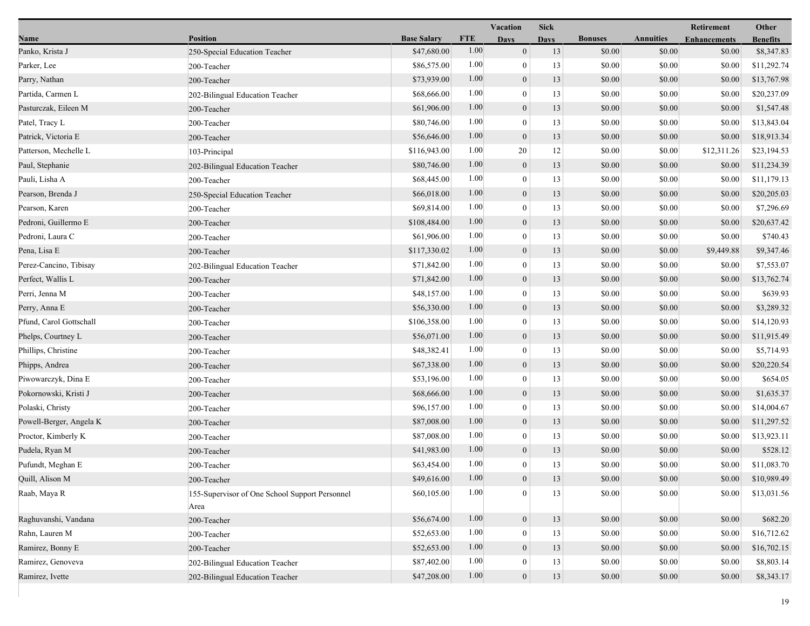|                         |                                                        |                    |            | Vacation         | <b>Sick</b> |                |                  | Retirement          | Other           |
|-------------------------|--------------------------------------------------------|--------------------|------------|------------------|-------------|----------------|------------------|---------------------|-----------------|
| Name                    | <b>Position</b>                                        | <b>Base Salary</b> | <b>FTE</b> | <b>Days</b>      | <b>Days</b> | <b>Bonuses</b> | <b>Annuities</b> | <b>Enhancements</b> | <b>Benefits</b> |
| Panko, Krista J         | 250-Special Education Teacher                          | \$47,680.00        | 1.00       | $\mathbf{0}$     | 13          | \$0.00         | \$0.00           | \$0.00              | \$8,347.83      |
| Parker, Lee             | 200-Teacher                                            | \$86,575.00        | 1.00       | $\mathbf{0}$     | 13          | \$0.00         | \$0.00           | \$0.00              | \$11,292.74     |
| Parry, Nathan           | 200-Teacher                                            | \$73,939.00        | 1.00       | $\boldsymbol{0}$ | 13          | \$0.00         | \$0.00           | \$0.00              | \$13,767.98     |
| Partida, Carmen L       | 202-Bilingual Education Teacher                        | \$68,666.00        | 1.00       | $\mathbf{0}$     | 13          | \$0.00         | \$0.00           | \$0.00              | \$20,237.09     |
| Pasturczak, Eileen M    | 200-Teacher                                            | \$61,906.00        | 1.00       | $\boldsymbol{0}$ | 13          | \$0.00         | \$0.00           | \$0.00              | \$1,547.48      |
| Patel, Tracy L          | 200-Teacher                                            | \$80,746.00        | 1.00       | $\mathbf{0}$     | 13          | \$0.00         | \$0.00           | \$0.00              | \$13,843.04     |
| Patrick, Victoria E     | 200-Teacher                                            | \$56,646.00        | 1.00       | $\mathbf{0}$     | 13          | \$0.00         | \$0.00           | \$0.00              | \$18,913.34     |
| Patterson, Mechelle L   | 103-Principal                                          | \$116,943.00       | 1.00       | 20               | 12          | \$0.00         | \$0.00           | \$12,311.26         | \$23,194.53     |
| Paul, Stephanie         | 202-Bilingual Education Teacher                        | \$80,746.00        | 1.00       | $\boldsymbol{0}$ | 13          | \$0.00         | \$0.00           | \$0.00              | \$11,234.39     |
| Pauli, Lisha A          | 200-Teacher                                            | \$68,445.00        | 1.00       | $\mathbf{0}$     | 13          | \$0.00         | \$0.00           | \$0.00              | \$11,179.13     |
| Pearson, Brenda J       | 250-Special Education Teacher                          | \$66,018.00        | 1.00       | $\mathbf{0}$     | 13          | \$0.00         | \$0.00           | \$0.00              | \$20,205.03     |
| Pearson, Karen          | 200-Teacher                                            | \$69,814.00        | 1.00       | $\mathbf{0}$     | 13          | \$0.00         | \$0.00           | \$0.00              | \$7,296.69      |
| Pedroni, Guillermo E    | 200-Teacher                                            | \$108,484.00       | 1.00       | $\mathbf{0}$     | 13          | \$0.00         | \$0.00           | \$0.00              | \$20,637.42     |
| Pedroni, Laura C        | 200-Teacher                                            | \$61,906.00        | 1.00       | $\mathbf{0}$     | 13          | \$0.00         | \$0.00           | \$0.00              | \$740.43        |
| Pena, Lisa E            | 200-Teacher                                            | \$117,330.02       | 1.00       | $\mathbf{0}$     | 13          | \$0.00         | \$0.00           | \$9,449.88          | \$9,347.46      |
| Perez-Cancino, Tibisay  | 202-Bilingual Education Teacher                        | \$71,842.00        | 1.00       | $\mathbf{0}$     | 13          | \$0.00         | \$0.00           | \$0.00              | \$7,553.07      |
| Perfect, Wallis L       | 200-Teacher                                            | \$71,842.00        | 1.00       | $\mathbf{0}$     | 13          | \$0.00         | \$0.00           | \$0.00              | \$13,762.74     |
| Perri, Jenna M          | 200-Teacher                                            | \$48,157.00        | 1.00       | $\mathbf{0}$     | 13          | \$0.00         | \$0.00           | \$0.00              | \$639.93        |
| Perry, Anna E           | 200-Teacher                                            | \$56,330.00        | 1.00       | $\mathbf{0}$     | 13          | \$0.00         | \$0.00           | \$0.00              | \$3,289.32      |
| Pfund, Carol Gottschall | 200-Teacher                                            | \$106,358.00       | 1.00       | $\overline{0}$   | 13          | \$0.00         | \$0.00           | \$0.00              | \$14,120.93     |
| Phelps, Courtney L      | 200-Teacher                                            | \$56,071.00        | 1.00       | $\boldsymbol{0}$ | 13          | \$0.00         | \$0.00           | \$0.00              | \$11,915.49     |
| Phillips, Christine     | 200-Teacher                                            | \$48,382.41        | 1.00       | $\mathbf{0}$     | 13          | \$0.00         | \$0.00           | \$0.00              | \$5,714.93      |
| Phipps, Andrea          | 200-Teacher                                            | \$67,338.00        | 1.00       | $\mathbf{0}$     | 13          | \$0.00         | \$0.00           | \$0.00              | \$20,220.54     |
| Piwowarczyk, Dina E     | 200-Teacher                                            | \$53,196.00        | 1.00       | $\mathbf{0}$     | 13          | \$0.00         | \$0.00           | \$0.00              | \$654.05        |
| Pokornowski, Kristi J   | 200-Teacher                                            | \$68,666.00        | 1.00       | $\mathbf{0}$     | 13          | \$0.00         | \$0.00           | \$0.00              | \$1,635.37      |
| Polaski, Christy        | 200-Teacher                                            | \$96,157.00        | 1.00       | $\theta$         | 13          | \$0.00         | \$0.00           | \$0.00              | \$14,004.67     |
| Powell-Berger, Angela K | 200-Teacher                                            | \$87,008.00        | 1.00       | $\mathbf{0}$     | 13          | \$0.00         | \$0.00           | \$0.00              | \$11,297.52     |
| Proctor, Kimberly K     | 200-Teacher                                            | \$87,008.00        | 1.00       | $\mathbf{0}$     | 13          | \$0.00         | \$0.00           | \$0.00              | \$13,923.11     |
| Pudela, Ryan M          | 200-Teacher                                            | \$41,983.00        | 1.00       | $\mathbf{0}$     | 13          | \$0.00         | \$0.00           | \$0.00              | \$528.12        |
| Pufundt, Meghan E       | 200-Teacher                                            | \$63,454.00        | 1.00       | $\overline{0}$   | 13          | \$0.00         | \$0.00           | \$0.00              | \$11,083.70     |
| Quill, Alison M         | 200-Teacher                                            | \$49,616.00        | $1.00\,$   | $\theta$         | 13          | \$0.00         | \$0.00           | \$0.00              | \$10,989.49     |
| Raab, Maya R            | 155-Supervisor of One School Support Personnel<br>Area | \$60,105.00        | 1.00       | $\Omega$         | 13          | \$0.00         | \$0.00           | \$0.00              | \$13,031.56     |
| Raghuvanshi, Vandana    | 200-Teacher                                            | \$56,674.00        | 1.00       | $\mathbf{0}$     | 13          | \$0.00         | \$0.00           | \$0.00              | \$682.20        |
| Rahn, Lauren M          | 200-Teacher                                            | \$52,653.00        | 1.00       | $\theta$         | 13          | \$0.00         | \$0.00           | \$0.00              | \$16,712.62     |
| Ramirez, Bonny E        | 200-Teacher                                            | \$52,653.00        | 1.00       | $\mathbf{0}$     | 13          | \$0.00         | \$0.00           | \$0.00              | \$16,702.15     |
| Ramirez, Genoveva       | 202-Bilingual Education Teacher                        | \$87,402.00        | 1.00       | $\boldsymbol{0}$ | 13          | \$0.00         | \$0.00           | \$0.00              | \$8,803.14      |
| Ramirez, Ivette         | 202-Bilingual Education Teacher                        | \$47,208.00        | $1.00\,$   | $\boldsymbol{0}$ | 13          | \$0.00         | \$0.00           | \$0.00              | \$8,343.17      |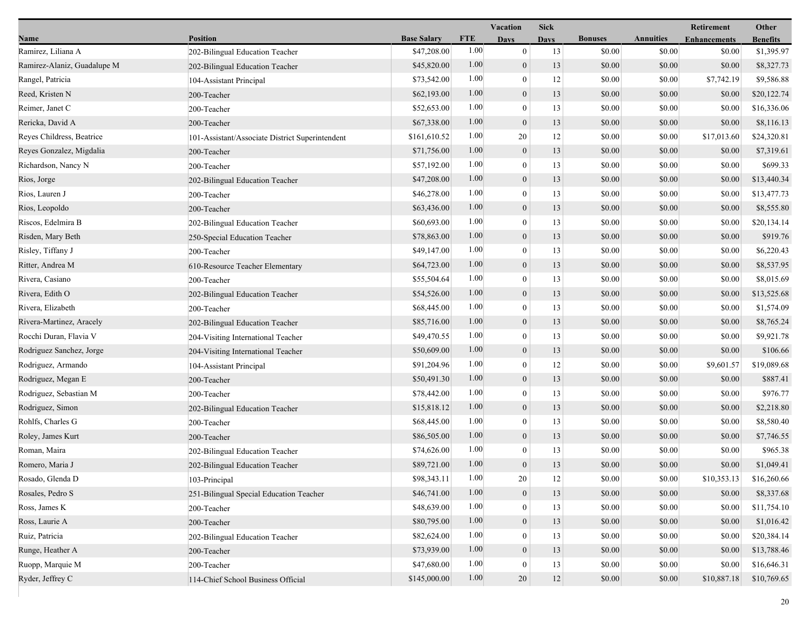|                             |                                                 |                    |            | <b>Vacation</b>  | <b>Sick</b> |                |                  | Retirement          | Other           |
|-----------------------------|-------------------------------------------------|--------------------|------------|------------------|-------------|----------------|------------------|---------------------|-----------------|
| Name                        | Position                                        | <b>Base Salary</b> | <b>FTE</b> | <b>Days</b>      | <b>Days</b> | <b>Bonuses</b> | <b>Annuities</b> | <b>Enhancements</b> | <b>Benefits</b> |
| Ramirez, Liliana A          | 202-Bilingual Education Teacher                 | \$47,208.00        | 1.00       | $\mathbf{0}$     | 13          | \$0.00         | \$0.00           | \$0.00              | \$1,395.97      |
| Ramirez-Alaniz, Guadalupe M | 202-Bilingual Education Teacher                 | \$45,820.00        | 1.00       | $\boldsymbol{0}$ | 13          | \$0.00         | \$0.00           | \$0.00              | \$8,327.73      |
| Rangel, Patricia            | 104-Assistant Principal                         | \$73,542.00        | 1.00       | $\boldsymbol{0}$ | 12          | \$0.00         | \$0.00           | \$7,742.19          | \$9,586.88      |
| Reed, Kristen N             | 200-Teacher                                     | \$62,193.00        | 1.00       | $\boldsymbol{0}$ | 13          | \$0.00         | \$0.00           | \$0.00              | \$20,122.74     |
| Reimer, Janet C             | 200-Teacher                                     | \$52,653.00        | 1.00       | $\boldsymbol{0}$ | 13          | \$0.00         | \$0.00           | \$0.00              | \$16,336.06     |
| Rericka, David A            | 200-Teacher                                     | \$67,338.00        | 1.00       | $\boldsymbol{0}$ | 13          | \$0.00         | \$0.00           | \$0.00              | \$8,116.13      |
| Reyes Childress, Beatrice   | 101-Assistant/Associate District Superintendent | \$161,610.52       | 1.00       | 20               | 12          | \$0.00         | \$0.00           | \$17,013.60         | \$24,320.81     |
| Reyes Gonzalez, Migdalia    | 200-Teacher                                     | \$71,756.00        | 1.00       | $\boldsymbol{0}$ | 13          | \$0.00         | \$0.00           | \$0.00              | \$7,319.61      |
| Richardson, Nancy N         | 200-Teacher                                     | \$57,192.00        | 1.00       | $\boldsymbol{0}$ | 13          | \$0.00         | \$0.00           | \$0.00              | \$699.33        |
| Rios, Jorge                 | 202-Bilingual Education Teacher                 | \$47,208.00        | 1.00       | $\boldsymbol{0}$ | 13          | \$0.00         | \$0.00           | \$0.00              | \$13,440.34     |
| Rios, Lauren J              | 200-Teacher                                     | \$46,278.00        | 1.00       | $\boldsymbol{0}$ | 13          | \$0.00         | \$0.00           | \$0.00              | \$13,477.73     |
| Rios, Leopoldo              | 200-Teacher                                     | \$63,436.00        | 1.00       | $\boldsymbol{0}$ | 13          | \$0.00         | \$0.00           | \$0.00              | \$8,555.80      |
| Riscos, Edelmira B          | 202-Bilingual Education Teacher                 | \$60,693.00        | 1.00       | $\boldsymbol{0}$ | 13          | \$0.00         | \$0.00           | \$0.00              | \$20,134.14     |
| Risden, Mary Beth           | 250-Special Education Teacher                   | \$78,863.00        | 1.00       | $\boldsymbol{0}$ | 13          | \$0.00         | \$0.00           | \$0.00              | \$919.76        |
| Risley, Tiffany J           | 200-Teacher                                     | \$49,147.00        | 1.00       | $\boldsymbol{0}$ | 13          | \$0.00         | \$0.00           | \$0.00              | \$6,220.43      |
| Ritter, Andrea M            | 610-Resource Teacher Elementary                 | \$64,723.00        | 1.00       | $\boldsymbol{0}$ | 13          | \$0.00         | \$0.00           | \$0.00              | \$8,537.95      |
| Rivera, Casiano             | 200-Teacher                                     | \$55,504.64        | 1.00       | $\boldsymbol{0}$ | 13          | \$0.00         | \$0.00           | \$0.00              | \$8,015.69      |
| Rivera, Edith O             | 202-Bilingual Education Teacher                 | \$54,526.00        | 1.00       | $\boldsymbol{0}$ | 13          | \$0.00         | \$0.00           | \$0.00              | \$13,525.68     |
| Rivera, Elizabeth           | 200-Teacher                                     | \$68,445.00        | 1.00       | $\boldsymbol{0}$ | 13          | \$0.00         | \$0.00           | \$0.00              | \$1,574.09      |
| Rivera-Martinez, Aracely    | 202-Bilingual Education Teacher                 | \$85,716.00        | 1.00       | $\boldsymbol{0}$ | 13          | \$0.00         | \$0.00           | \$0.00              | \$8,765.24      |
| Rocchi Duran, Flavia V      | 204-Visiting International Teacher              | \$49,470.55        | 1.00       | $\boldsymbol{0}$ | 13          | \$0.00         | \$0.00           | \$0.00              | \$9,921.78      |
| Rodriguez Sanchez, Jorge    | 204-Visiting International Teacher              | \$50,609.00        | 1.00       | $\boldsymbol{0}$ | 13          | \$0.00         | \$0.00           | \$0.00              | \$106.66        |
| Rodriguez, Armando          | 104-Assistant Principal                         | \$91,204.96        | 1.00       | $\boldsymbol{0}$ | 12          | \$0.00         | \$0.00           | \$9,601.57          | \$19,089.68     |
| Rodriguez, Megan E          | 200-Teacher                                     | \$50,491.30        | 1.00       | $\boldsymbol{0}$ | 13          | \$0.00         | \$0.00           | \$0.00              | \$887.41        |
| Rodriguez, Sebastian M      | 200-Teacher                                     | \$78,442.00        | 1.00       | $\boldsymbol{0}$ | 13          | \$0.00         | \$0.00           | \$0.00              | \$976.77        |
| Rodriguez, Simon            | 202-Bilingual Education Teacher                 | \$15,818.12        | 1.00       | $\boldsymbol{0}$ | 13          | \$0.00         | \$0.00           | \$0.00              | \$2,218.80      |
| Rohlfs, Charles G           | 200-Teacher                                     | \$68,445.00        | 1.00       | $\boldsymbol{0}$ | 13          | \$0.00         | \$0.00           | \$0.00              | \$8,580.40      |
| Roley, James Kurt           | 200-Teacher                                     | \$86,505.00        | 1.00       | $\boldsymbol{0}$ | 13          | \$0.00         | \$0.00           | \$0.00              | \$7,746.55      |
| Roman, Maira                | 202-Bilingual Education Teacher                 | \$74,626.00        | 1.00       | $\boldsymbol{0}$ | 13          | \$0.00         | \$0.00           | \$0.00              | \$965.38        |
| Romero, Maria J             | 202-Bilingual Education Teacher                 | \$89,721.00        | 1.00       | $\boldsymbol{0}$ | 13          | \$0.00         | \$0.00           | \$0.00              | \$1,049.41      |
| Rosado, Glenda D            | 103-Principal                                   | \$98,343.11        | 1.00       | 20               | 12          | \$0.00         | \$0.00           | \$10,353.13         | \$16,260.66     |
| Rosales, Pedro S            | 251-Bilingual Special Education Teacher         | \$46,741.00        | 1.00       | $\boldsymbol{0}$ | 13          | \$0.00         | \$0.00           | \$0.00              | \$8,337.68      |
| Ross, James K               | 200-Teacher                                     | \$48,639.00        | 1.00       | $\boldsymbol{0}$ | 13          | \$0.00         | \$0.00           | \$0.00              | \$11,754.10     |
| Ross, Laurie A              | 200-Teacher                                     | \$80,795.00        | 1.00       | $\boldsymbol{0}$ | 13          | \$0.00         | \$0.00           | \$0.00              | \$1,016.42      |
| Ruiz, Patricia              | 202-Bilingual Education Teacher                 | \$82,624.00        | 1.00       | $\mathbf{0}$     | 13          | \$0.00         | \$0.00           | \$0.00              | \$20,384.14     |
| Runge, Heather A            | 200-Teacher                                     | \$73,939.00        | 1.00       | $\boldsymbol{0}$ | 13          | \$0.00         | \$0.00           | \$0.00              | \$13,788.46     |
| Ruopp, Marquie M            | 200-Teacher                                     | \$47,680.00        | 1.00       | $\mathbf{0}$     | 13          | \$0.00         | \$0.00           | \$0.00              | \$16,646.31     |
| Ryder, Jeffrey C            | 114-Chief School Business Official              | \$145,000.00       | 1.00       | 20               | 12          | \$0.00         | \$0.00           | \$10,887.18         | \$10,769.65     |
|                             |                                                 |                    |            |                  |             |                |                  |                     |                 |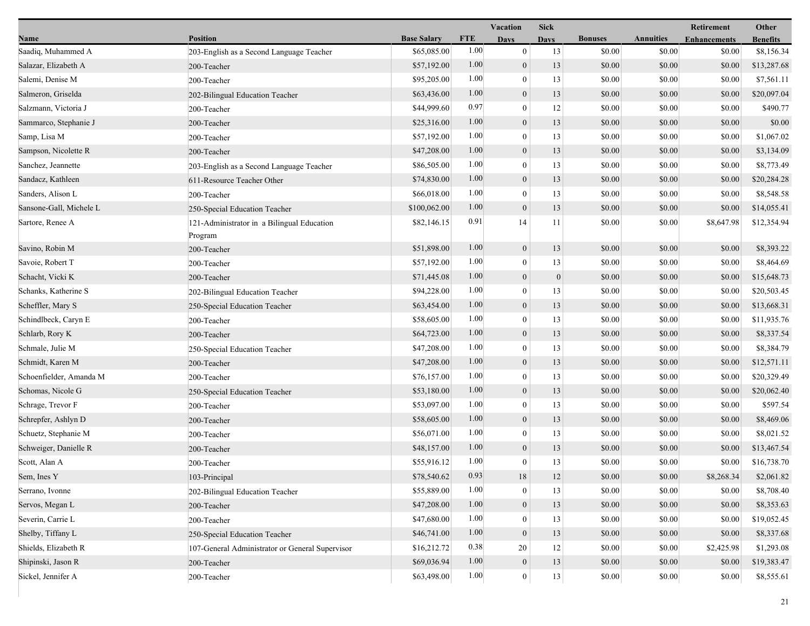|                         |                                                       |                    |            | <b>Vacation</b>  | <b>Sick</b>      |                |                  | Retirement          | Other           |
|-------------------------|-------------------------------------------------------|--------------------|------------|------------------|------------------|----------------|------------------|---------------------|-----------------|
| Name                    | Position                                              | <b>Base Salary</b> | <b>FTE</b> | <b>Days</b>      | <b>Days</b>      | <b>Bonuses</b> | <b>Annuities</b> | <b>Enhancements</b> | <b>Benefits</b> |
| Saadiq, Muhammed A      | 203-English as a Second Language Teacher              | \$65,085.00        | 1.00       | $\overline{0}$   | 13               | \$0.00         | \$0.00           | \$0.00              | \$8,156.34      |
| Salazar, Elizabeth A    | 200-Teacher                                           | \$57,192.00        | 1.00       | $\boldsymbol{0}$ | 13               | \$0.00         | \$0.00           | \$0.00              | \$13,287.68     |
| Salemi, Denise M        | 200-Teacher                                           | \$95,205.00        | 1.00       | $\boldsymbol{0}$ | 13               | \$0.00         | \$0.00           | \$0.00              | \$7,561.11      |
| Salmeron, Griselda      | 202-Bilingual Education Teacher                       | \$63,436.00        | 1.00       | $\overline{0}$   | 13               | \$0.00         | \$0.00           | \$0.00              | \$20,097.04     |
| Salzmann, Victoria J    | 200-Teacher                                           | \$44,999.60        | 0.97       | $\boldsymbol{0}$ | 12               | \$0.00         | \$0.00           | \$0.00              | \$490.77        |
| Sammarco, Stephanie J   | 200-Teacher                                           | \$25,316.00        | 1.00       | $\mathbf{0}$     | 13               | \$0.00         | \$0.00           | \$0.00              | \$0.00          |
| Samp, Lisa M            | 200-Teacher                                           | \$57,192.00        | 1.00       | $\Omega$         | 13               | \$0.00         | \$0.00           | \$0.00              | \$1,067.02      |
| Sampson, Nicolette R    | 200-Teacher                                           | \$47,208.00        | 1.00       | $\boldsymbol{0}$ | 13               | \$0.00         | \$0.00           | \$0.00              | \$3,134.09      |
| Sanchez, Jeannette      | 203-English as a Second Language Teacher              | \$86,505.00        | 1.00       | $\mathbf{0}$     | 13               | \$0.00         | \$0.00           | \$0.00              | \$8,773.49      |
| Sandacz, Kathleen       | 611-Resource Teacher Other                            | \$74,830.00        | 1.00       | $\overline{0}$   | 13               | \$0.00         | \$0.00           | \$0.00              | \$20,284.28     |
| Sanders, Alison L       | 200-Teacher                                           | \$66,018.00        | 1.00       | $\boldsymbol{0}$ | 13               | \$0.00         | \$0.00           | \$0.00              | \$8,548.58      |
| Sansone-Gall, Michele L | 250-Special Education Teacher                         | \$100,062.00       | 1.00       | $\mathbf{0}$     | 13               | \$0.00         | \$0.00           | \$0.00              | \$14,055.41     |
| Sartore, Renee A        | 121-Administrator in a Bilingual Education<br>Program | \$82,146.15        | 0.91       | 14               | 11               | \$0.00         | \$0.00           | \$8,647.98          | \$12,354.94     |
| Savino, Robin M         | 200-Teacher                                           | \$51,898.00        | 1.00       | $\boldsymbol{0}$ | 13               | \$0.00         | \$0.00           | \$0.00              | \$8,393.22      |
| Savoie, Robert T        | 200-Teacher                                           | \$57,192.00        | 1.00       | $\overline{0}$   | 13               | \$0.00         | \$0.00           | \$0.00              | \$8,464.69      |
| Schacht, Vicki K        | 200-Teacher                                           | \$71,445.08        | 1.00       | $\mathbf{0}$     | $\boldsymbol{0}$ | \$0.00         | \$0.00           | \$0.00              | \$15,648.73     |
| Schanks, Katherine S    | 202-Bilingual Education Teacher                       | \$94,228.00        | 1.00       | $\theta$         | 13               | \$0.00         | \$0.00           | \$0.00              | \$20,503.45     |
| Scheffler, Mary S       | 250-Special Education Teacher                         | \$63,454.00        | 1.00       | $\mathbf{0}$     | 13               | \$0.00         | \$0.00           | \$0.00              | \$13,668.31     |
| Schindlbeck, Caryn E    | 200-Teacher                                           | \$58,605.00        | 1.00       | $\mathbf{0}$     | 13               | \$0.00         | \$0.00           | \$0.00              | \$11,935.76     |
| Schlarb, Rory K         | 200-Teacher                                           | \$64,723.00        | 1.00       | $\overline{0}$   | 13               | \$0.00         | \$0.00           | \$0.00              | \$8,337.54      |
| Schmale, Julie M        | 250-Special Education Teacher                         | \$47,208.00        | 1.00       | $\overline{0}$   | 13               | \$0.00         | \$0.00           | \$0.00              | \$8,384.79      |
| Schmidt, Karen M        | 200-Teacher                                           | \$47,208.00        | 1.00       | $\mathbf{0}$     | 13               | \$0.00         | \$0.00           | \$0.00              | \$12,571.11     |
| Schoenfielder, Amanda M | 200-Teacher                                           | \$76,157.00        | 1.00       | $\theta$         | 13               | \$0.00         | \$0.00           | \$0.00              | \$20,329.49     |
| Schomas, Nicole G       | 250-Special Education Teacher                         | \$53,180.00        | 1.00       | $\overline{0}$   | 13               | \$0.00         | \$0.00           | \$0.00              | \$20,062.40     |
| Schrage, Trevor F       | 200-Teacher                                           | \$53,097.00        | 1.00       | $\mathbf{0}$     | 13               | \$0.00         | \$0.00           | \$0.00              | \$597.54        |
| Schrepfer, Ashlyn D     | 200-Teacher                                           | \$58,605.00        | 1.00       | $\overline{0}$   | 13               | \$0.00         | \$0.00           | \$0.00              | \$8,469.06      |
| Schuetz, Stephanie M    | 200-Teacher                                           | \$56,071.00        | 1.00       | $\mathbf{0}$     | 13               | \$0.00         | \$0.00           | \$0.00              | \$8,021.52      |
| Schweiger, Danielle R   | 200-Teacher                                           | \$48,157.00        | 1.00       | $\mathbf{0}$     | 13               | \$0.00         | \$0.00           | \$0.00              | \$13,467.54     |
| Scott, Alan A           | 200-Teacher                                           | \$55,916.12        | 1.00       | $\theta$         | 13               | \$0.00         | \$0.00           | \$0.00              | \$16,738.70     |
| Sem, Ines Y             | 103-Principal                                         | \$78,540.62        | 0.93       | 18               | 12               | $\$0.00$       | $\$0.00$         | \$8,268.34          | \$2,061.82      |
| Serrano, Ivonne         | 202-Bilingual Education Teacher                       | \$55,889.00        | 1.00       | $\bf{0}$         | 13               | \$0.00         | \$0.00           | \$0.00              | \$8,708.40      |
| Servos, Megan L         | 200-Teacher                                           | \$47,208.00        | 1.00       | $\overline{0}$   | 13               | \$0.00         | \$0.00           | \$0.00              | \$8,353.63      |
| Severin, Carrie L       | 200-Teacher                                           | \$47,680.00        | 1.00       | $\theta$         | 13               | \$0.00         | \$0.00           | \$0.00              | \$19,052.45     |
| Shelby, Tiffany L       | 250-Special Education Teacher                         | \$46,741.00        | 1.00       | $\mathbf{0}$     | 13               | \$0.00         | \$0.00           | \$0.00              | \$8,337.68      |
| Shields, Elizabeth R    | 107-General Administrator or General Supervisor       | \$16,212.72        | 0.38       | 20               | 12               | \$0.00         | \$0.00           | \$2,425.98          | \$1,293.08      |
| Shipinski, Jason R      | 200-Teacher                                           | \$69,036.94        | 1.00       | $\boldsymbol{0}$ | 13               | \$0.00         | \$0.00           | \$0.00              | \$19,383.47     |
| Sickel, Jennifer A      | 200-Teacher                                           | \$63,498.00        | 1.00       | $\boldsymbol{0}$ | 13               | \$0.00         | \$0.00           | \$0.00              | \$8,555.61      |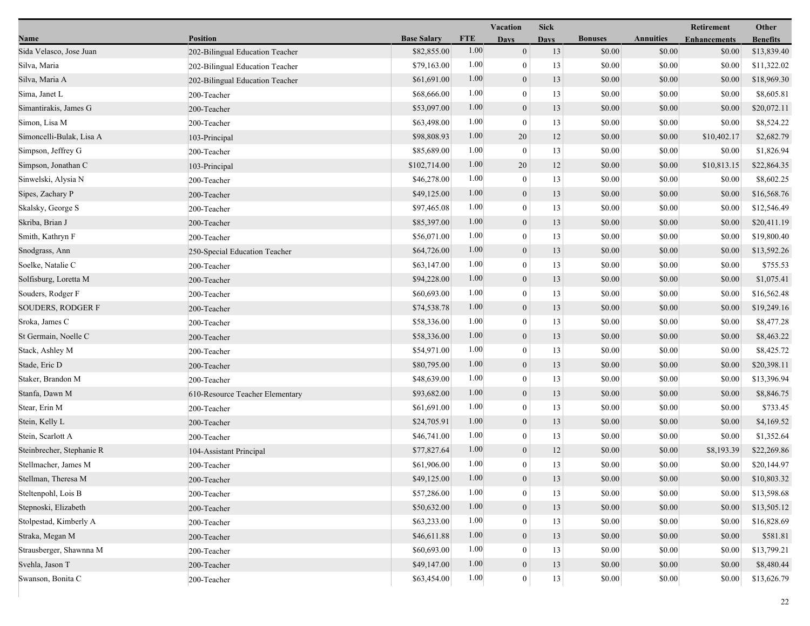|                           |                                 |                    | <b>Vacation</b> |                  | <b>Sick</b> |                |                  | Retirement          | Other           |
|---------------------------|---------------------------------|--------------------|-----------------|------------------|-------------|----------------|------------------|---------------------|-----------------|
| Name                      | <b>Position</b>                 | <b>Base Salary</b> | <b>FTE</b>      | <b>Days</b>      | <b>Days</b> | <b>Bonuses</b> | <b>Annuities</b> | <b>Enhancements</b> | <b>Benefits</b> |
| Sida Velasco, Jose Juan   | 202-Bilingual Education Teacher | \$82,855.00        | 1.00            | $\mathbf{0}$     | 13          | \$0.00         | \$0.00           | \$0.00              | \$13,839.40     |
| Silva, Maria              | 202-Bilingual Education Teacher | \$79,163.00        | 1.00            | $\bf{0}$         | 13          | \$0.00         | \$0.00           | \$0.00              | \$11,322.02     |
| Silva, Maria A            | 202-Bilingual Education Teacher | \$61,691.00        | 1.00            | $\boldsymbol{0}$ | 13          | \$0.00         | \$0.00           | \$0.00              | \$18,969.30     |
| Sima, Janet L             | 200-Teacher                     | \$68,666.00        | 1.00            | $\mathbf{0}$     | 13          | \$0.00         | \$0.00           | \$0.00              | \$8,605.81      |
| Simantirakis, James G     | 200-Teacher                     | \$53,097.00        | 1.00            | $\boldsymbol{0}$ | 13          | \$0.00         | \$0.00           | \$0.00              | \$20,072.11     |
| Simon, Lisa M             | 200-Teacher                     | \$63,498.00        | 1.00            | $\bf{0}$         | 13          | \$0.00         | \$0.00           | \$0.00              | \$8,524.22      |
| Simoncelli-Bulak, Lisa A  | 103-Principal                   | \$98,808.93        | 1.00            | 20               | 12          | \$0.00         | \$0.00           | \$10,402.17         | \$2,682.79      |
| Simpson, Jeffrey G        | 200-Teacher                     | \$85,689.00        | 1.00            | $\bf{0}$         | 13          | \$0.00         | \$0.00           | \$0.00              | \$1,826.94      |
| Simpson, Jonathan C       | 103-Principal                   | \$102,714.00       | 1.00            | 20               | 12          | \$0.00         | \$0.00           | \$10,813.15         | \$22,864.35     |
| Sinwelski, Alysia N       | 200-Teacher                     | \$46,278.00        | 1.00            | $\mathbf{0}$     | 13          | \$0.00         | \$0.00           | \$0.00              | \$8,602.25      |
| Sipes, Zachary P          | 200-Teacher                     | \$49,125.00        | 1.00            | $\mathbf{0}$     | 13          | \$0.00         | \$0.00           | \$0.00              | \$16,568.76     |
| Skalsky, George S         | 200-Teacher                     | \$97,465.08        | 1.00            | $\bf{0}$         | 13          | \$0.00         | \$0.00           | \$0.00              | \$12,546.49     |
| Skriba, Brian J           | 200-Teacher                     | \$85,397.00        | 1.00            | $\mathbf{0}$     | 13          | \$0.00         | \$0.00           | \$0.00              | \$20,411.19     |
| Smith, Kathryn F          | 200-Teacher                     | \$56,071.00        | 1.00            | $\bf{0}$         | 13          | \$0.00         | \$0.00           | \$0.00              | \$19,800.40     |
| Snodgrass, Ann            | 250-Special Education Teacher   | \$64,726.00        | 1.00            | $\mathbf{0}$     | 13          | \$0.00         | \$0.00           | \$0.00              | \$13,592.26     |
| Soelke, Natalie C         | 200-Teacher                     | \$63,147.00        | 1.00            | $\mathbf{0}$     | 13          | \$0.00         | \$0.00           | \$0.00              | \$755.53        |
| Solfisburg, Loretta M     | 200-Teacher                     | \$94,228.00        | 1.00            | $\mathbf{0}$     | 13          | \$0.00         | \$0.00           | \$0.00              | \$1,075.41      |
| Souders, Rodger F         | 200-Teacher                     | \$60,693.00        | 1.00            | $\boldsymbol{0}$ | 13          | \$0.00         | \$0.00           | \$0.00              | \$16,562.48     |
| <b>SOUDERS, RODGER F</b>  | 200-Teacher                     | \$74,538.78        | 1.00            | $\mathbf{0}$     | 13          | \$0.00         | \$0.00           | \$0.00              | \$19,249.16     |
| Sroka, James C            | 200-Teacher                     | \$58,336.00        | 1.00            | $\mathbf{0}$     | 13          | \$0.00         | \$0.00           | \$0.00              | \$8,477.28      |
| St Germain, Noelle C      | 200-Teacher                     | \$58,336.00        | 1.00            | $\mathbf{0}$     | 13          | \$0.00         | \$0.00           | \$0.00              | \$8,463.22      |
| Stack, Ashley M           | 200-Teacher                     | \$54,971.00        | 1.00            | $\mathbf{0}$     | 13          | \$0.00         | \$0.00           | \$0.00              | \$8,425.72      |
| Stade, Eric D             | 200-Teacher                     | \$80,795.00        | 1.00            | $\mathbf{0}$     | 13          | \$0.00         | \$0.00           | \$0.00              | \$20,398.11     |
| Staker, Brandon M         | 200-Teacher                     | \$48,639.00        | 1.00            | $\boldsymbol{0}$ | 13          | \$0.00         | \$0.00           | \$0.00              | \$13,396.94     |
| Stanfa, Dawn M            | 610-Resource Teacher Elementary | \$93,682.00        | 1.00            | $\mathbf{0}$     | 13          | \$0.00         | \$0.00           | \$0.00              | \$8,846.75      |
| Stear, Erin M             | 200-Teacher                     | \$61,691.00        | 1.00            | $\mathbf{0}$     | 13          | \$0.00         | \$0.00           | \$0.00              | \$733.45        |
| Stein, Kelly L            | 200-Teacher                     | \$24,705.91        | 1.00            | $\mathbf{0}$     | 13          | \$0.00         | \$0.00           | \$0.00              | \$4,169.52      |
| Stein, Scarlott A         | 200-Teacher                     | \$46,741.00        | 1.00            | $\bf{0}$         | 13          | \$0.00         | \$0.00           | \$0.00              | \$1,352.64      |
| Steinbrecher, Stephanie R | 104-Assistant Principal         | \$77,827.64        | 1.00            | $\mathbf{0}$     | 12          | \$0.00         | \$0.00           | \$8,193.39          | \$22,269.86     |
| Stellmacher, James M      | 200-Teacher                     | \$61,906.00        | 1.00            | $\bf{0}$         | 13          | \$0.00         | \$0.00           | \$0.00              | \$20,144.97     |
| Stellman, Theresa M       | 200-Teacher                     | \$49,125.00        | 1.00            | $\boldsymbol{0}$ | 13          | \$0.00         | $\$0.00$         | \$0.00              | \$10,803.32     |
| Steltenpohl, Lois B       | 200-Teacher                     | \$57,286.00        | 1.00            | $\mathbf{0}$     | 13          | \$0.00         | \$0.00           | \$0.00              | \$13,598.68     |
| Stepnoski, Elizabeth      | 200-Teacher                     | \$50,632.00        | 1.00            | $\mathbf{0}$     | 13          | \$0.00         | \$0.00           | \$0.00              | \$13,505.12     |
| Stolpestad, Kimberly A    | 200-Teacher                     | \$63,233.00        | 1.00            | $\mathbf{0}$     | 13          | \$0.00         | \$0.00           | \$0.00              | \$16,828.69     |
| Straka, Megan M           | 200-Teacher                     | \$46,611.88        | 1.00            | $\mathbf{0}$     | 13          | \$0.00         | \$0.00           | \$0.00              | \$581.81        |
| Strausberger, Shawnna M   | 200-Teacher                     | \$60,693.00        | 1.00            | $\theta$         | 13          | \$0.00         | \$0.00           | \$0.00              | \$13,799.21     |
| Svehla, Jason T           | 200-Teacher                     | \$49,147.00        | 1.00            | $\boldsymbol{0}$ | 13          | \$0.00         | \$0.00           | \$0.00              | \$8,480.44      |
| Swanson, Bonita C         | 200-Teacher                     | \$63,454.00        | 1.00            | $\boldsymbol{0}$ | 13          | \$0.00         | \$0.00           | \$0.00              | \$13,626.79     |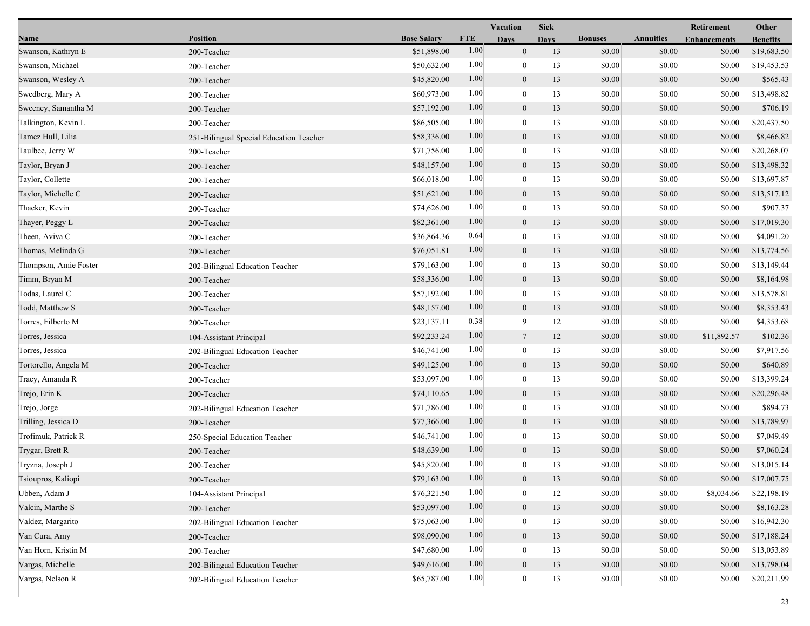|                       |                                         |                    |            | <b>Vacation</b>  | <b>Sick</b> |                |                  | Retirement          | Other           |
|-----------------------|-----------------------------------------|--------------------|------------|------------------|-------------|----------------|------------------|---------------------|-----------------|
| Name                  | <b>Position</b>                         | <b>Base Salary</b> | <b>FTE</b> | <b>Days</b>      | <b>Days</b> | <b>Bonuses</b> | <b>Annuities</b> | <b>Enhancements</b> | <b>Benefits</b> |
| Swanson, Kathryn E    | 200-Teacher                             | \$51,898.00        | 1.00       | $\mathbf{0}$     | 13          | \$0.00         | \$0.00           | \$0.00              | \$19,683.50     |
| Swanson, Michael      | 200-Teacher                             | \$50,632.00        | 1.00       | $\mathbf{0}$     | 13          | \$0.00         | \$0.00           | \$0.00              | \$19,453.53     |
| Swanson, Wesley A     | 200-Teacher                             | \$45,820.00        | 1.00       | $\mathbf{0}$     | 13          | \$0.00         | \$0.00           | \$0.00              | \$565.43        |
| Swedberg, Mary A      | 200-Teacher                             | \$60,973.00        | 1.00       | $\mathbf{0}$     | 13          | \$0.00         | \$0.00           | \$0.00              | \$13,498.82     |
| Sweeney, Samantha M   | 200-Teacher                             | \$57,192.00        | 1.00       | $\mathbf{0}$     | 13          | \$0.00         | \$0.00           | \$0.00              | \$706.19        |
| Talkington, Kevin L   | 200-Teacher                             | \$86,505.00        | 1.00       | $\mathbf{0}$     | 13          | \$0.00         | \$0.00           | \$0.00              | \$20,437.50     |
| Tamez Hull, Lilia     | 251-Bilingual Special Education Teacher | \$58,336.00        | 1.00       | $\mathbf{0}$     | 13          | \$0.00         | \$0.00           | \$0.00              | \$8,466.82      |
| Taulbee, Jerry W      | 200-Teacher                             | \$71,756.00        | 1.00       | $\overline{0}$   | 13          | \$0.00         | \$0.00           | \$0.00              | \$20,268.07     |
| Taylor, Bryan J       | 200-Teacher                             | \$48,157.00        | 1.00       | $\boldsymbol{0}$ | 13          | \$0.00         | \$0.00           | \$0.00              | \$13,498.32     |
| Taylor, Collette      | 200-Teacher                             | \$66,018.00        | 1.00       | $\theta$         | 13          | \$0.00         | \$0.00           | \$0.00              | \$13,697.87     |
| Taylor, Michelle C    | 200-Teacher                             | \$51,621.00        | 1.00       | $\mathbf{0}$     | 13          | \$0.00         | \$0.00           | \$0.00              | \$13,517.12     |
| Thacker, Kevin        | 200-Teacher                             | \$74,626.00        | 1.00       | $\theta$         | 13          | \$0.00         | \$0.00           | \$0.00              | \$907.37        |
| Thayer, Peggy L       | 200-Teacher                             | \$82,361.00        | 1.00       | $\mathbf{0}$     | 13          | \$0.00         | \$0.00           | \$0.00              | \$17,019.30     |
| Theen, Aviva C        | 200-Teacher                             | \$36,864.36        | 0.64       | $\overline{0}$   | 13          | \$0.00         | \$0.00           | \$0.00              | \$4,091.20      |
| Thomas, Melinda G     | 200-Teacher                             | \$76,051.81        | 1.00       | $\mathbf{0}$     | 13          | \$0.00         | \$0.00           | \$0.00              | \$13,774.56     |
| Thompson, Amie Foster | 202-Bilingual Education Teacher         | \$79,163.00        | 1.00       | $\theta$         | 13          | \$0.00         | \$0.00           | \$0.00              | \$13,149.44     |
| Timm, Bryan M         | 200-Teacher                             | \$58,336.00        | 1.00       | $\mathbf{0}$     | 13          | \$0.00         | \$0.00           | \$0.00              | \$8,164.98      |
| Todas, Laurel C       | 200-Teacher                             | \$57,192.00        | 1.00       | $\theta$         | 13          | \$0.00         | \$0.00           | \$0.00              | \$13,578.81     |
| Todd, Matthew S       | 200-Teacher                             | \$48,157.00        | 1.00       | $\mathbf{0}$     | 13          | \$0.00         | \$0.00           | \$0.00              | \$8,353.43      |
| Torres, Filberto M    | 200-Teacher                             | \$23,137.11        | 0.38       | 9                | 12          | \$0.00         | \$0.00           | \$0.00              | \$4,353.68      |
| Torres, Jessica       | 104-Assistant Principal                 | \$92,233.24        | 1.00       | $\overline{7}$   | 12          | \$0.00         | \$0.00           | \$11,892.57         | \$102.36        |
| Torres, Jessica       | 202-Bilingual Education Teacher         | \$46,741.00        | 1.00       | $\mathbf{0}$     | 13          | \$0.00         | \$0.00           | \$0.00              | \$7,917.56      |
| Tortorello, Angela M  | 200-Teacher                             | \$49,125.00        | 1.00       | $\mathbf{0}$     | 13          | \$0.00         | \$0.00           | \$0.00              | \$640.89        |
| Tracy, Amanda R       | 200-Teacher                             | \$53,097.00        | 1.00       | $\overline{0}$   | 13          | \$0.00         | \$0.00           | \$0.00              | \$13,399.24     |
| Trejo, Erin K         | 200-Teacher                             | \$74,110.65        | 1.00       | $\mathbf{0}$     | 13          | \$0.00         | \$0.00           | \$0.00              | \$20,296.48     |
| Trejo, Jorge          | 202-Bilingual Education Teacher         | \$71,786.00        | 1.00       | $\theta$         | 13          | \$0.00         | \$0.00           | \$0.00              | \$894.73        |
| Trilling, Jessica D   | 200-Teacher                             | \$77,366.00        | 1.00       | $\mathbf{0}$     | 13          | \$0.00         | \$0.00           | \$0.00              | \$13,789.97     |
| Trofimuk, Patrick R   | 250-Special Education Teacher           | \$46,741.00        | 1.00       | $\mathbf{0}$     | 13          | \$0.00         | \$0.00           | \$0.00              | \$7,049.49      |
| Trygar, Brett R       | 200-Teacher                             | \$48,639.00        | 1.00       | $\mathbf{0}$     | 13          | \$0.00         | \$0.00           | \$0.00              | \$7,060.24      |
| Tryzna, Joseph J      | 200-Teacher                             | \$45,820.00        | 1.00       | $\mathbf{0}$     | 13          | \$0.00         | \$0.00           | \$0.00              | \$13,015.14     |
| Tsioupros, Kaliopi    | 200-Teacher                             | \$79,163.00        | 1.00       | $\mathbf{0}$     | 13          | \$0.00         | \$0.00           | \$0.00              | \$17,007.75     |
| Ubben, Adam J         | 104-Assistant Principal                 | \$76,321.50        | 1.00       | $\theta$         | 12          | \$0.00         | \$0.00           | \$8,034.66          | \$22,198.19     |
| Valcin, Marthe S      | 200-Teacher                             | \$53,097.00        | 1.00       | $\mathbf{0}$     | 13          | \$0.00         | \$0.00           | \$0.00              | \$8,163.28      |
| Valdez, Margarito     | 202-Bilingual Education Teacher         | \$75,063.00        | 1.00       | $\theta$         | 13          | \$0.00         | \$0.00           | \$0.00              | \$16,942.30     |
| Van Cura, Amy         | 200-Teacher                             | \$98,090.00        | 1.00       | $\mathbf{0}$     | 13          | \$0.00         | \$0.00           | \$0.00              | \$17,188.24     |
| Van Horn, Kristin M   | 200-Teacher                             | \$47,680.00        | 1.00       | $\theta$         | 13          | \$0.00         | \$0.00           | \$0.00              | \$13,053.89     |
| Vargas, Michelle      | 202-Bilingual Education Teacher         | \$49,616.00        | 1.00       | $\boldsymbol{0}$ | 13          | \$0.00         | \$0.00           | \$0.00              | \$13,798.04     |
| Vargas, Nelson R      | 202-Bilingual Education Teacher         | \$65,787.00        | 1.00       | $\boldsymbol{0}$ | $13$        | \$0.00         | $\$0.00$         | \$0.00              | \$20,211.99     |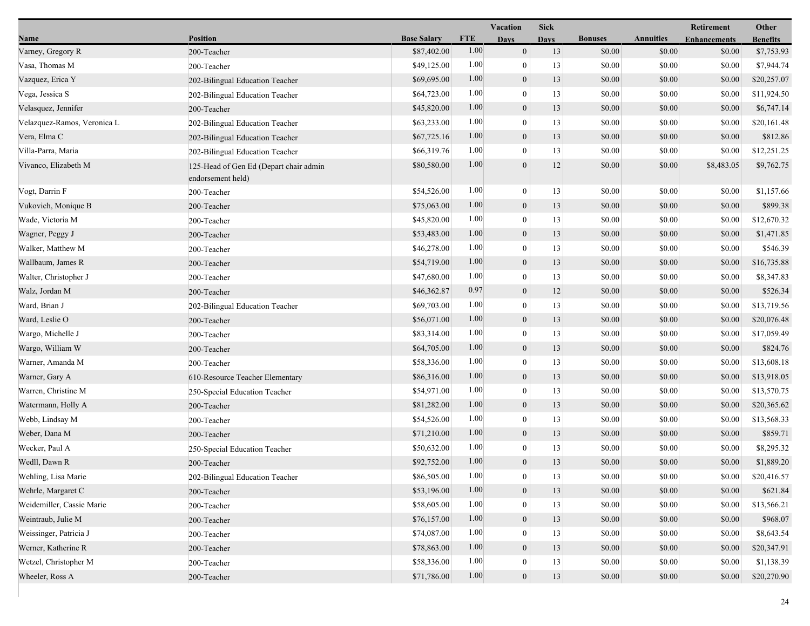|                             |                                                             |                    |            | Vacation         | <b>Sick</b> |                |                  | <b>Retirement</b>   | Other           |
|-----------------------------|-------------------------------------------------------------|--------------------|------------|------------------|-------------|----------------|------------------|---------------------|-----------------|
| Name                        | <b>Position</b>                                             | <b>Base Salary</b> | <b>FTE</b> | <b>Days</b>      | <b>Days</b> | <b>Bonuses</b> | <b>Annuities</b> | <b>Enhancements</b> | <b>Benefits</b> |
| Varney, Gregory R           | 200-Teacher                                                 | \$87,402.00        | 1.00       | $\overline{0}$   | 13          | \$0.00         | \$0.00           | \$0.00              | \$7,753.93      |
| Vasa, Thomas M              | 200-Teacher                                                 | \$49,125.00        | 1.00       | $\mathbf{0}$     | 13          | \$0.00         | \$0.00           | \$0.00              | \$7,944.74      |
| Vazquez, Erica Y            | 202-Bilingual Education Teacher                             | \$69,695.00        | 1.00       | $\boldsymbol{0}$ | 13          | \$0.00         | \$0.00           | \$0.00              | \$20,257.07     |
| Vega, Jessica S             | 202-Bilingual Education Teacher                             | \$64,723.00        | 1.00       | $\mathbf{0}$     | 13          | \$0.00         | \$0.00           | \$0.00              | \$11,924.50     |
| Velasquez, Jennifer         | 200-Teacher                                                 | \$45,820.00        | 1.00       | $\overline{0}$   | 13          | \$0.00         | \$0.00           | \$0.00              | \$6,747.14      |
| Velazquez-Ramos, Veronica L | 202-Bilingual Education Teacher                             | \$63,233.00        | 1.00       | $\mathbf{0}$     | 13          | \$0.00         | \$0.00           | \$0.00              | \$20,161.48     |
| Vera, Elma C                | 202-Bilingual Education Teacher                             | \$67,725.16        | 1.00       | $\overline{0}$   | 13          | \$0.00         | \$0.00           | \$0.00              | \$812.86        |
| Villa-Parra, Maria          | 202-Bilingual Education Teacher                             | \$66,319.76        | 1.00       | $\mathbf{0}$     | 13          | \$0.00         | \$0.00           | \$0.00              | \$12,251.25     |
| Vivanco, Elizabeth M        | 125-Head of Gen Ed (Depart chair admin<br>endorsement held) | \$80,580.00        | 1.00       | $\mathbf{0}$     | 12          | \$0.00         | \$0.00           | \$8,483.05          | \$9,762.75      |
| Vogt, Darrin F              | 200-Teacher                                                 | \$54,526.00        | 1.00       | $\bf{0}$         | 13          | \$0.00         | \$0.00           | \$0.00              | \$1,157.66      |
| Vukovich, Monique B         | 200-Teacher                                                 | \$75,063.00        | 1.00       | $\overline{0}$   | 13          | \$0.00         | \$0.00           | \$0.00              | \$899.38        |
| Wade, Victoria M            | 200-Teacher                                                 | \$45,820.00        | 1.00       | $\mathbf{0}$     | 13          | \$0.00         | \$0.00           | \$0.00              | \$12,670.32     |
| Wagner, Peggy J             | 200-Teacher                                                 | \$53,483.00        | 1.00       | $\mathbf{0}$     | 13          | \$0.00         | \$0.00           | \$0.00              | \$1,471.85      |
| Walker, Matthew M           | 200-Teacher                                                 | \$46,278.00        | 1.00       | $\overline{0}$   | 13          | \$0.00         | \$0.00           | \$0.00              | \$546.39        |
| Wallbaum, James R           | 200-Teacher                                                 | \$54,719.00        | 1.00       | $\overline{0}$   | 13          | \$0.00         | \$0.00           | \$0.00              | \$16,735.88     |
| Walter, Christopher J       | 200-Teacher                                                 | \$47,680.00        | 1.00       | $\overline{0}$   | 13          | \$0.00         | \$0.00           | \$0.00              | \$8,347.83      |
| Walz, Jordan M              | 200-Teacher                                                 | \$46,362.87        | 0.97       | $\mathbf{0}$     | 12          | \$0.00         | \$0.00           | \$0.00              | \$526.34        |
| Ward, Brian J               | 202-Bilingual Education Teacher                             | \$69,703.00        | 1.00       | $\mathbf{0}$     | 13          | \$0.00         | \$0.00           | \$0.00              | \$13,719.56     |
| Ward, Leslie O              | 200-Teacher                                                 | \$56,071.00        | 1.00       | $\mathbf{0}$     | 13          | \$0.00         | \$0.00           | \$0.00              | \$20,076.48     |
| Wargo, Michelle J           | 200-Teacher                                                 | \$83,314.00        | 1.00       | $\mathbf{0}$     | 13          | \$0.00         | \$0.00           | \$0.00              | \$17,059.49     |
| Wargo, William W            | 200-Teacher                                                 | \$64,705.00        | 1.00       | $\boldsymbol{0}$ | 13          | \$0.00         | \$0.00           | \$0.00              | \$824.76        |
| Warner, Amanda M            | 200-Teacher                                                 | \$58,336.00        | 1.00       | $\overline{0}$   | 13          | \$0.00         | \$0.00           | \$0.00              | \$13,608.18     |
| Warner, Gary A              | 610-Resource Teacher Elementary                             | \$86,316.00        | 1.00       | $\overline{0}$   | 13          | \$0.00         | \$0.00           | \$0.00              | \$13,918.05     |
| Warren, Christine M         | 250-Special Education Teacher                               | \$54,971.00        | 1.00       | $\bf{0}$         | 13          | \$0.00         | \$0.00           | \$0.00              | \$13,570.75     |
| Watermann, Holly A          | 200-Teacher                                                 | \$81,282.00        | 1.00       | $\mathbf{0}$     | 13          | \$0.00         | \$0.00           | \$0.00              | \$20,365.62     |
| Webb, Lindsay M             | 200-Teacher                                                 | \$54,526.00        | 1.00       | $\mathbf{0}$     | 13          | \$0.00         | \$0.00           | \$0.00              | \$13,568.33     |
| Weber, Dana M               | 200-Teacher                                                 | \$71,210.00        | 1.00       | $\boldsymbol{0}$ | 13          | \$0.00         | \$0.00           | \$0.00              | \$859.71        |
| Wecker, Paul A              | 250-Special Education Teacher                               | \$50,632.00        | 1.00       | $\overline{0}$   | 13          | \$0.00         | \$0.00           | \$0.00              | \$8,295.32      |
| Wedll, Dawn R               | 200-Teacher                                                 | \$92,752.00        | 1.00       | $\boldsymbol{0}$ | 13          | \$0.00         | \$0.00           | \$0.00              | \$1,889.20      |
| Wehling, Lisa Marie         | 202-Bilingual Education Teacher                             | \$86,505.00        | 1.00       | $\boldsymbol{0}$ | 13          | $\$0.00$       | $\$0.00$         | \$0.00              | \$20,416.57     |
| Wehrle, Margaret C          | 200-Teacher                                                 | \$53,196.00        | 1.00       | $\overline{0}$   | 13          | \$0.00         | \$0.00           | \$0.00              | \$621.84        |
| Weidemiller, Cassie Marie   | 200-Teacher                                                 | \$58,605.00        | 1.00       | $\overline{0}$   | 13          | \$0.00         | \$0.00           | \$0.00              | \$13,566.21     |
| Weintraub, Julie M          | 200-Teacher                                                 | \$76,157.00        | 1.00       | $\overline{0}$   | 13          | \$0.00         | \$0.00           | \$0.00              | \$968.07        |
| Weissinger, Patricia J      | 200-Teacher                                                 | \$74,087.00        | 1.00       | $\theta$         | 13          | \$0.00         | \$0.00           | \$0.00              | \$8,643.54      |
| Werner, Katherine R         | 200-Teacher                                                 | \$78,863.00        | 1.00       | $\mathbf{0}$     | 13          | \$0.00         | \$0.00           | \$0.00              | \$20,347.91     |
| Wetzel, Christopher M       | 200-Teacher                                                 | \$58,336.00        | 1.00       | 0                | 13          | \$0.00         | \$0.00           | \$0.00              | \$1,138.39      |
| Wheeler, Ross A             | 200-Teacher                                                 | \$71,786.00        | 1.00       | $\boldsymbol{0}$ | 13          | \$0.00         | \$0.00           | \$0.00              | \$20,270.90     |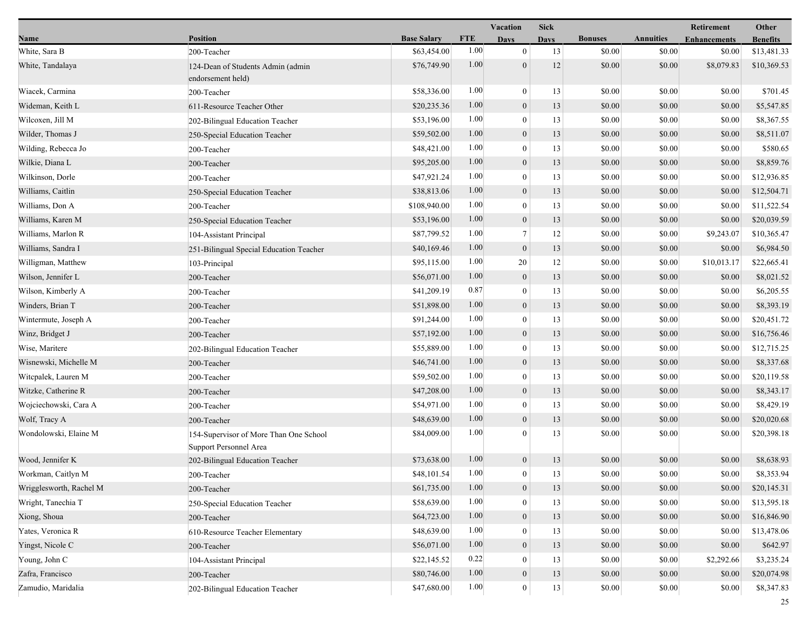|                         |                                                                  |                    |            | Vacation         | <b>Sick</b> |                |                  | Retirement          | Other           |
|-------------------------|------------------------------------------------------------------|--------------------|------------|------------------|-------------|----------------|------------------|---------------------|-----------------|
| Name                    | <b>Position</b>                                                  | <b>Base Salary</b> | <b>FTE</b> | <b>Days</b>      | <b>Days</b> | <b>Bonuses</b> | <b>Annuities</b> | <b>Enhancements</b> | <b>Benefits</b> |
| White, Sara B           | 200-Teacher                                                      | \$63,454.00        | 1.00       | $\overline{0}$   | 13          | \$0.00         | \$0.00           | \$0.00              | \$13,481.33     |
| White, Tandalaya        | 124-Dean of Students Admin (admin<br>endorsement held)           | \$76,749.90        | 1.00       | $\mathbf{0}$     | 12          | \$0.00         | \$0.00           | \$8,079.83          | \$10,369.53     |
| Wiacek, Carmina         | 200-Teacher                                                      | \$58,336.00        | 1.00       | $\bf{0}$         | 13          | \$0.00         | \$0.00           | \$0.00              | \$701.45        |
| Wideman, Keith L        | 611-Resource Teacher Other                                       | \$20,235.36        | 1.00       | $\boldsymbol{0}$ | 13          | \$0.00         | \$0.00           | \$0.00              | \$5,547.85      |
| Wilcoxen, Jill M        | 202-Bilingual Education Teacher                                  | \$53,196.00        | 1.00       | $\bf{0}$         | 13          | \$0.00         | \$0.00           | \$0.00              | \$8,367.55      |
| Wilder, Thomas J        | 250-Special Education Teacher                                    | \$59,502.00        | 1.00       | $\mathbf{0}$     | 13          | \$0.00         | \$0.00           | \$0.00              | \$8,511.07      |
| Wilding, Rebecca Jo     | 200-Teacher                                                      | \$48,421.00        | 1.00       | $\overline{0}$   | 13          | \$0.00         | \$0.00           | \$0.00              | \$580.65        |
| Wilkie, Diana L         | 200-Teacher                                                      | \$95,205.00        | 1.00       | $\boldsymbol{0}$ | 13          | \$0.00         | \$0.00           | \$0.00              | \$8,859.76      |
| Wilkinson, Dorle        | 200-Teacher                                                      | \$47,921.24        | 1.00       | $\overline{0}$   | 13          | \$0.00         | \$0.00           | \$0.00              | \$12,936.85     |
| Williams, Caitlin       | 250-Special Education Teacher                                    | \$38,813.06        | 1.00       | $\boldsymbol{0}$ | 13          | \$0.00         | \$0.00           | \$0.00              | \$12,504.71     |
| Williams, Don A         | 200-Teacher                                                      | \$108,940.00       | 1.00       | $\overline{0}$   | 13          | \$0.00         | \$0.00           | \$0.00              | \$11,522.54     |
| Williams, Karen M       | 250-Special Education Teacher                                    | \$53,196.00        | 1.00       | $\mathbf{0}$     | 13          | \$0.00         | \$0.00           | \$0.00              | \$20,039.59     |
| Williams, Marlon R      | 104-Assistant Principal                                          | \$87,799.52        | 1.00       | $7\phantom{.0}$  | 12          | \$0.00         | \$0.00           | \$9,243.07          | \$10,365.47     |
| Williams, Sandra I      | 251-Bilingual Special Education Teacher                          | \$40,169.46        | 1.00       | $\boldsymbol{0}$ | 13          | \$0.00         | \$0.00           | \$0.00              | \$6,984.50      |
| Willigman, Matthew      | 103-Principal                                                    | \$95,115.00        | 1.00       | 20               | 12          | \$0.00         | \$0.00           | \$10,013.17         | \$22,665.41     |
| Wilson, Jennifer L      | 200-Teacher                                                      | \$56,071.00        | 1.00       | $\boldsymbol{0}$ | 13          | \$0.00         | \$0.00           | \$0.00              | \$8,021.52      |
| Wilson, Kimberly A      | 200-Teacher                                                      | \$41,209.19        | 0.87       | $\mathbf{0}$     | 13          | \$0.00         | \$0.00           | \$0.00              | \$6,205.55      |
| Winders, Brian T        | 200-Teacher                                                      | \$51,898.00        | 1.00       | $\mathbf{0}$     | 13          | \$0.00         | \$0.00           | \$0.00              | \$8,393.19      |
| Wintermute, Joseph A    | 200-Teacher                                                      | \$91,244.00        | 1.00       | $\boldsymbol{0}$ | 13          | \$0.00         | \$0.00           | \$0.00              | \$20,451.72     |
| Winz, Bridget J         | 200-Teacher                                                      | \$57,192.00        | 1.00       | $\mathbf{0}$     | 13          | \$0.00         | \$0.00           | \$0.00              | \$16,756.46     |
| Wise, Maritere          | 202-Bilingual Education Teacher                                  | \$55,889.00        | 1.00       | $\mathbf{0}$     | 13          | \$0.00         | \$0.00           | \$0.00              | \$12,715.25     |
| Wisnewski, Michelle M   | 200-Teacher                                                      | \$46,741.00        | 1.00       | $\boldsymbol{0}$ | 13          | \$0.00         | \$0.00           | \$0.00              | \$8,337.68      |
| Witcpalek, Lauren M     | 200-Teacher                                                      | \$59,502.00        | 1.00       | $\mathbf{0}$     | 13          | \$0.00         | \$0.00           | \$0.00              | \$20,119.58     |
| Witzke, Catherine R     | 200-Teacher                                                      | \$47,208.00        | 1.00       | $\mathbf{0}$     | 13          | \$0.00         | \$0.00           | \$0.00              | \$8,343.17      |
| Wojciechowski, Cara A   | 200-Teacher                                                      | \$54,971.00        | 1.00       | $\mathbf{0}$     | 13          | \$0.00         | \$0.00           | \$0.00              | \$8,429.19      |
| Wolf, Tracy A           | 200-Teacher                                                      | \$48,639.00        | 1.00       | $\mathbf{0}$     | 13          | \$0.00         | \$0.00           | \$0.00              | \$20,020.68     |
| Wondolowski, Elaine M   | 154-Supervisor of More Than One School<br>Support Personnel Area | \$84,009.00        | 1.00       | $\overline{0}$   | 13          | \$0.00         | \$0.00           | \$0.00              | \$20,398.18     |
| Wood, Jennifer K        | 202-Bilingual Education Teacher                                  | \$73,638.00        | 1.00       | $\boldsymbol{0}$ | 13          | \$0.00         | \$0.00           | \$0.00              | \$8,638.93      |
| Workman, Caitlyn M      | 200-Teacher                                                      | \$48,101.54        | 1.00       | $\overline{0}$   | 13          | \$0.00         | \$0.00           | \$0.00              | \$8,353.94      |
| Wrigglesworth, Rachel M | 200-Teacher                                                      | \$61,735.00        | 1.00       | $\boldsymbol{0}$ | 13          | \$0.00         | \$0.00           | \$0.00              | \$20,145.31     |
| Wright, Tanechia T      | 250-Special Education Teacher                                    | \$58,639.00        | 1.00       | $\mathbf{0}$     | 13          | \$0.00         | \$0.00           | \$0.00              | \$13,595.18     |
| Xiong, Shoua            | 200-Teacher                                                      | \$64,723.00        | $1.00\,$   | $\boldsymbol{0}$ | 13          | \$0.00         | \$0.00           | \$0.00              | \$16,846.90     |
| Yates, Veronica R       | 610-Resource Teacher Elementary                                  | \$48,639.00        | 1.00       | $\bf{0}$         | 13          | \$0.00         | \$0.00           | \$0.00              | \$13,478.06     |
| Yingst, Nicole C        | 200-Teacher                                                      | \$56,071.00        | 1.00       | $\boldsymbol{0}$ | 13          | \$0.00         | \$0.00           | \$0.00              | \$642.97        |
| Young, John C           | 104-Assistant Principal                                          | \$22,145.52        | 0.22       | $\mathbf{0}$     | 13          | \$0.00         | \$0.00           | \$2,292.66          | \$3,235.24      |
| Zafra, Francisco        | 200-Teacher                                                      | \$80,746.00        | 1.00       | $\mathbf{0}$     | 13          | \$0.00         | \$0.00           | \$0.00              | \$20,074.98     |
| Zamudio, Maridalia      | 202-Bilingual Education Teacher                                  | \$47,680.00        | 1.00       | $\bf{0}$         | 13          | \$0.00         | \$0.00           | \$0.00              | \$8,347.83      |